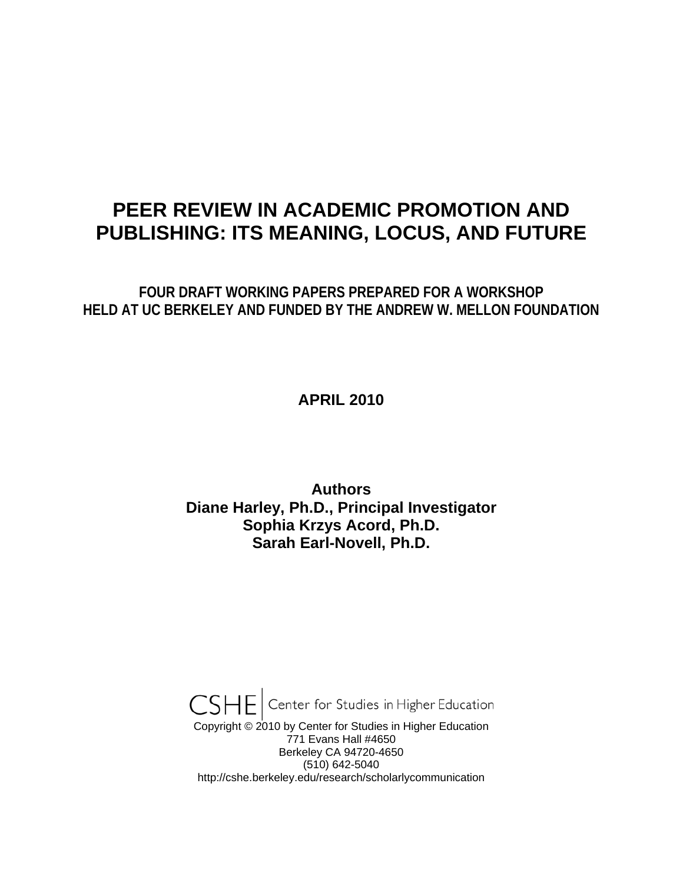# **PEER REVIEW IN ACADEMIC PROMOTION AND PUBLISHING: ITS MEANING, LOCUS, AND FUTURE**

**FOUR DRAFT WORKING PAPERS PREPARED FOR A WORKSHOP HELD AT UC BERKELEY AND FUNDED BY THE ANDREW W. MELLON FOUNDATION** 

# **APRIL 2010**

# **Authors Diane Harley, Ph.D., Principal Investigator Sophia Krzys Acord, Ph.D. Sarah Earl-Novell, Ph.D.**

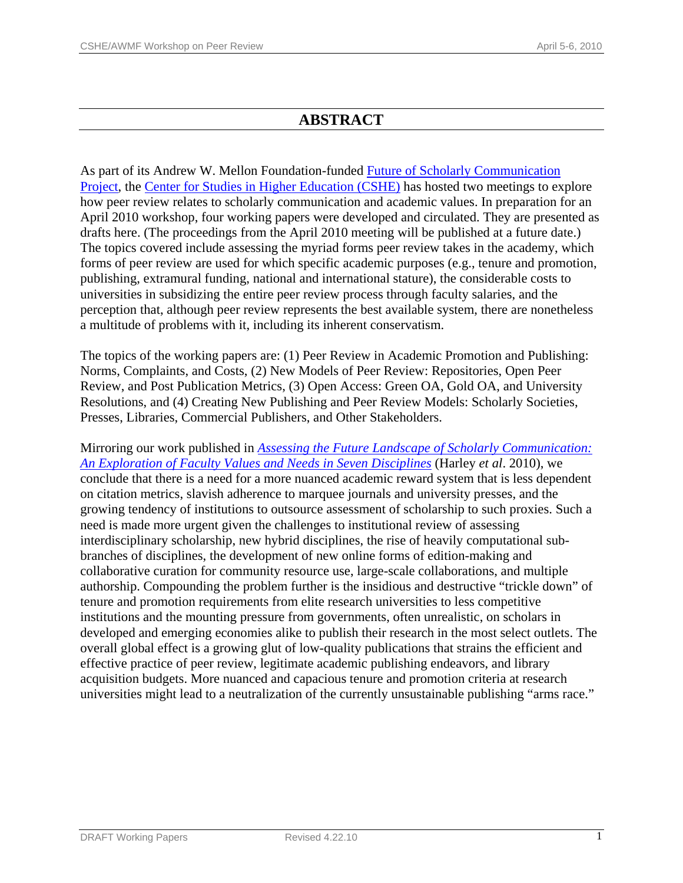# **ABSTRACT**

As part of its Andrew W. Mellon Foundation-funded [Future of Scholarly Communication](http://cshe.berkeley.edu/research/scholarlycommunication/index.htm)  [Project,](http://cshe.berkeley.edu/research/scholarlycommunication/index.htm) the [Center for Studies in Higher Education \(CSHE\)](http://cshe.berkeley.edu/) has hosted two meetings to explore how peer review relates to scholarly communication and academic values. In preparation for an April 2010 workshop, four working papers were developed and circulated. They are presented as drafts here. (The proceedings from the April 2010 meeting will be published at a future date.) The topics covered include assessing the myriad forms peer review takes in the academy, which forms of peer review are used for which specific academic purposes (e.g., tenure and promotion, publishing, extramural funding, national and international stature), the considerable costs to universities in subsidizing the entire peer review process through faculty salaries, and the perception that, although peer review represents the best available system, there are nonetheless a multitude of problems with it, including its inherent conservatism.

The topics of the working papers are: (1) Peer Review in Academic Promotion and Publishing: Norms, Complaints, and Costs, (2) New Models of Peer Review: Repositories, Open Peer Review, and Post Publication Metrics, (3) Open Access: Green OA, Gold OA, and University Resolutions, and (4) Creating New Publishing and Peer Review Models: Scholarly Societies, Presses, Libraries, Commercial Publishers, and Other Stakeholders.

Mirroring our work published in *[Assessing the Future Landscape of Scholarly Communication:](http://escholarship.org/uc/cshe_fsc)  [An Exploration of Faculty Values and Needs in Seven Disciplines](http://escholarship.org/uc/cshe_fsc)* (Harley *et al*. 2010), we conclude that there is a need for a more nuanced academic reward system that is less dependent on citation metrics, slavish adherence to marquee journals and university presses, and the growing tendency of institutions to outsource assessment of scholarship to such proxies. Such a need is made more urgent given the challenges to institutional review of assessing interdisciplinary scholarship, new hybrid disciplines, the rise of heavily computational subbranches of disciplines, the development of new online forms of edition-making and collaborative curation for community resource use, large-scale collaborations, and multiple authorship. Compounding the problem further is the insidious and destructive "trickle down" of tenure and promotion requirements from elite research universities to less competitive institutions and the mounting pressure from governments, often unrealistic, on scholars in developed and emerging economies alike to publish their research in the most select outlets. The overall global effect is a growing glut of low-quality publications that strains the efficient and effective practice of peer review, legitimate academic publishing endeavors, and library acquisition budgets. More nuanced and capacious tenure and promotion criteria at research universities might lead to a neutralization of the currently unsustainable publishing "arms race."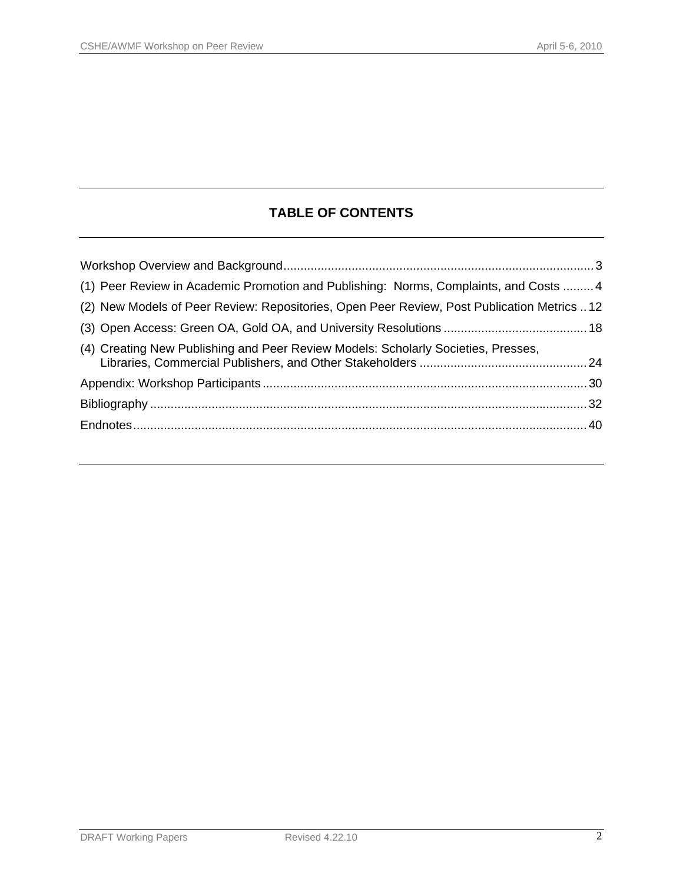# **TABLE OF CONTENTS**

| (1) Peer Review in Academic Promotion and Publishing: Norms, Complaints, and Costs  4      |  |
|--------------------------------------------------------------------------------------------|--|
| (2) New Models of Peer Review: Repositories, Open Peer Review, Post Publication Metrics 12 |  |
|                                                                                            |  |
| (4) Creating New Publishing and Peer Review Models: Scholarly Societies, Presses,          |  |
|                                                                                            |  |
|                                                                                            |  |
|                                                                                            |  |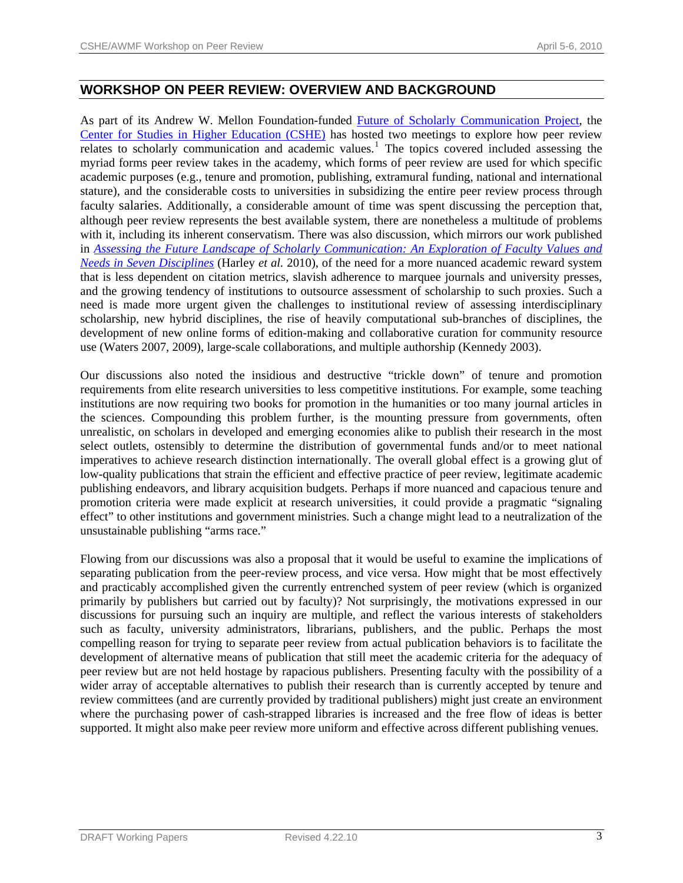# **WORKSHOP ON PEER REVIEW: OVERVIEW AND BACKGROUND**

As part of its Andrew W. Mellon Foundation-funded [Future of Scholarly Communication Project](http://cshe.berkeley.edu/research/scholarlycommunication/index.htm), the [Center for Studies in Higher Education \(CSHE\)](http://cshe.berkeley.edu/) has hosted two meetings to explore how peer review relates to scholarly communication and academic values.<sup>[1](#page-40-0)</sup> The topics covered included assessing the myriad forms peer review takes in the academy, which forms of peer review are used for which specific academic purposes (e.g., tenure and promotion, publishing, extramural funding, national and international stature), and the considerable costs to universities in subsidizing the entire peer review process through faculty salaries. Additionally, a considerable amount of time was spent discussing the perception that, although peer review represents the best available system, there are nonetheless a multitude of problems with it, including its inherent conservatism. There was also discussion, which mirrors our work published in *[Assessing the Future Landscape of Scholarly Communication: An Exploration of Faculty Values and](http://escholarship.org/uc/cshe_fsc)  [Needs in Seven Disciplines](http://escholarship.org/uc/cshe_fsc)* (Harley *et al.* 2010), of the need for a more nuanced academic reward system that is less dependent on citation metrics, slavish adherence to marquee journals and university presses, and the growing tendency of institutions to outsource assessment of scholarship to such proxies. Such a need is made more urgent given the challenges to institutional review of assessing interdisciplinary scholarship, new hybrid disciplines, the rise of heavily computational sub-branches of disciplines, the development of new online forms of edition-making and collaborative curation for community resource use (Waters 2007, 2009), large-scale collaborations, and multiple authorship (Kennedy 2003).

Our discussions also noted the insidious and destructive "trickle down" of tenure and promotion requirements from elite research universities to less competitive institutions. For example, some teaching institutions are now requiring two books for promotion in the humanities or too many journal articles in the sciences. Compounding this problem further, is the mounting pressure from governments, often unrealistic, on scholars in developed and emerging economies alike to publish their research in the most select outlets, ostensibly to determine the distribution of governmental funds and/or to meet national imperatives to achieve research distinction internationally. The overall global effect is a growing glut of low-quality publications that strain the efficient and effective practice of peer review, legitimate academic publishing endeavors, and library acquisition budgets. Perhaps if more nuanced and capacious tenure and promotion criteria were made explicit at research universities, it could provide a pragmatic "signaling effect" to other institutions and government ministries. Such a change might lead to a neutralization of the unsustainable publishing "arms race."

Flowing from our discussions was also a proposal that it would be useful to examine the implications of separating publication from the peer-review process, and vice versa. How might that be most effectively and practicably accomplished given the currently entrenched system of peer review (which is organized primarily by publishers but carried out by faculty)? Not surprisingly, the motivations expressed in our discussions for pursuing such an inquiry are multiple, and reflect the various interests of stakeholders such as faculty, university administrators, librarians, publishers, and the public. Perhaps the most compelling reason for trying to separate peer review from actual publication behaviors is to facilitate the development of alternative means of publication that still meet the academic criteria for the adequacy of peer review but are not held hostage by rapacious publishers. Presenting faculty with the possibility of a wider array of acceptable alternatives to publish their research than is currently accepted by tenure and review committees (and are currently provided by traditional publishers) might just create an environment where the purchasing power of cash-strapped libraries is increased and the free flow of ideas is better supported. It might also make peer review more uniform and effective across different publishing venues.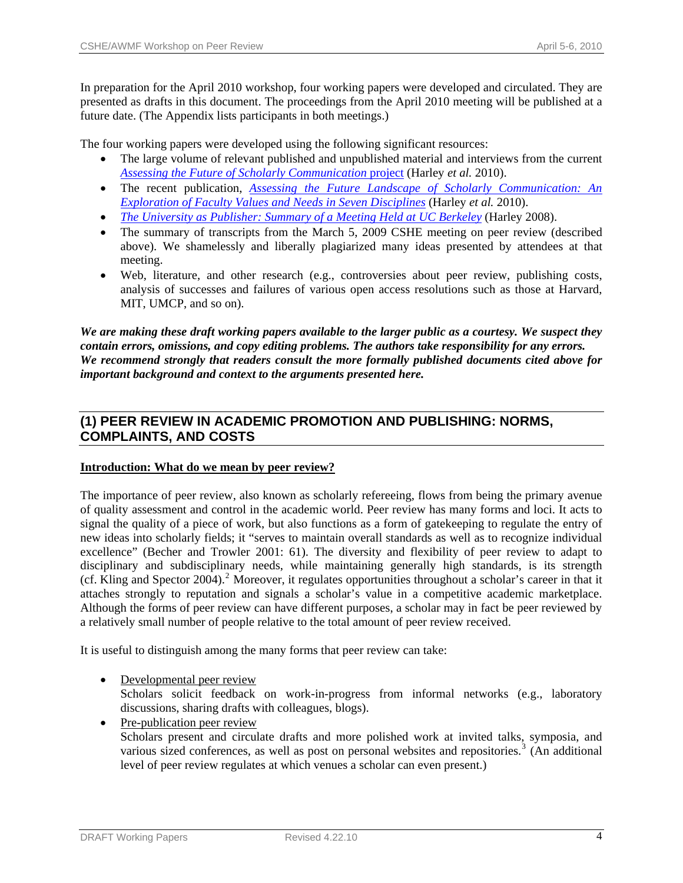In preparation for the April 2010 workshop, four working papers were developed and circulated. They are presented as drafts in this document. The proceedings from the April 2010 meeting will be published at a future date. (The Appendix lists participants in both meetings.)

The four working papers were developed using the following significant resources:

- The large volume of relevant published and unpublished material and interviews from the current *[Assessing the Future of Scholarly Communication](http://cshe.berkeley.edu/research/scholarlycommunication/index.htm)* project (Harley *et al.* 2010).
- The recent publication, *[Assessing the Future Landscape of Scholarly Communication: An](http://escholarship.org/uc/cshe_fsc)  [Exploration of Faculty Values and Needs in Seven Disciplines](http://escholarship.org/uc/cshe_fsc)* (Harley *et al.* 2010).
- *[The University as Publisher: Summary of a Meeting Held at UC Berkeley](http://cshe.berkeley.edu/publications/docs/university_publisher.pdf)* (Harley 2008).
- The summary of transcripts from the March 5, 2009 CSHE meeting on peer review (described above). We shamelessly and liberally plagiarized many ideas presented by attendees at that meeting.
- Web, literature, and other research (e.g., controversies about peer review, publishing costs, analysis of successes and failures of various open access resolutions such as those at Harvard, MIT, UMCP, and so on).

*We are making these draft working papers available to the larger public as a courtesy. We suspect they contain errors, omissions, and copy editing problems. The authors take responsibility for any errors. We recommend strongly that readers consult the more formally published documents cited above for important background and context to the arguments presented here.* 

# **(1) PEER REVIEW IN ACADEMIC PROMOTION AND PUBLISHING: NORMS, COMPLAINTS, AND COSTS**

# **Introduction: What do we mean by peer review?**

The importance of peer review, also known as scholarly refereeing, flows from being the primary avenue of quality assessment and control in the academic world. Peer review has many forms and loci. It acts to signal the quality of a piece of work, but also functions as a form of gatekeeping to regulate the entry of new ideas into scholarly fields; it "serves to maintain overall standards as well as to recognize individual excellence" (Becher and Trowler 2001: 61). The diversity and flexibility of peer review to adapt to disciplinary and subdisciplinary needs, while maintaining generally high standards, is its strength (cf. Kling and Spector [2](#page-40-1)004).<sup>2</sup> Moreover, it regulates opportunities throughout a scholar's career in that it attaches strongly to reputation and signals a scholar's value in a competitive academic marketplace. Although the forms of peer review can have different purposes, a scholar may in fact be peer reviewed by a relatively small number of people relative to the total amount of peer review received.

It is useful to distinguish among the many forms that peer review can take:

• Developmental peer review

Scholars solicit feedback on work-in-progress from informal networks (e.g., laboratory discussions, sharing drafts with colleagues, blogs).

• Pre-publication peer review Scholars present and circulate drafts and more polished work at invited talks, symposia, and various sized conferences, as well as post on personal websites and repositories.<sup>[3](#page-40-1)</sup> (An additional level of peer review regulates at which venues a scholar can even present.)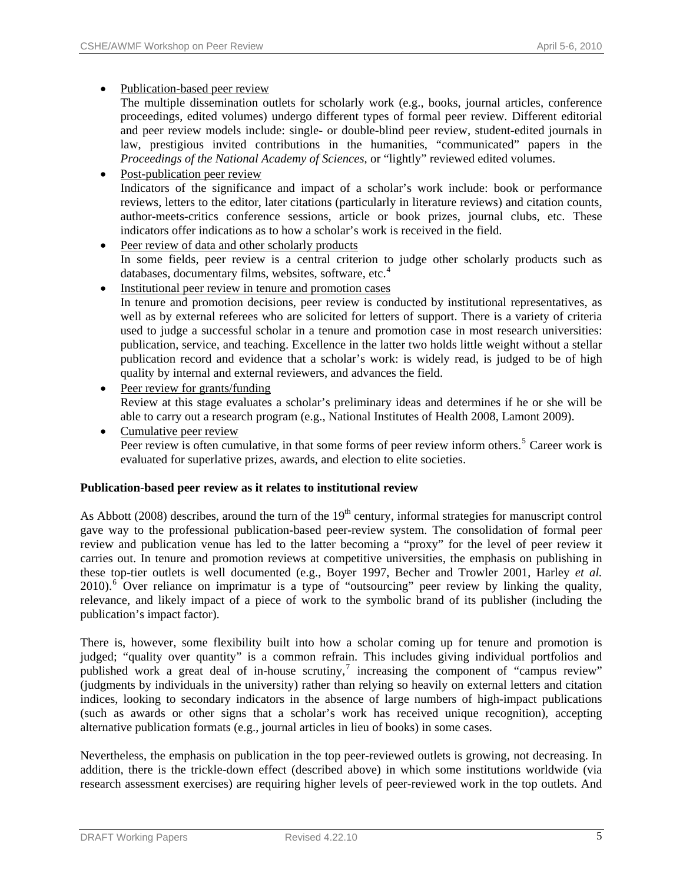# • Publication-based peer review

- The multiple dissemination outlets for scholarly work (e.g., books, journal articles, conference proceedings, edited volumes) undergo different types of formal peer review. Different editorial and peer review models include: single- or double-blind peer review, student-edited journals in law, prestigious invited contributions in the humanities, "communicated" papers in the *Proceedings of the National Academy of Sciences*, or "lightly" reviewed edited volumes.
- Post-publication peer review Indicators of the significance and impact of a scholar's work include: book or performance reviews, letters to the editor, later citations (particularly in literature reviews) and citation counts, author-meets-critics conference sessions, article or book prizes, journal clubs, etc. These indicators offer indications as to how a scholar's work is received in the field.
- Peer review of data and other scholarly products In some fields, peer review is a central criterion to judge other scholarly products such as databases, documentary films, websites, software, etc.<sup>[4](#page-40-1)</sup>
- Institutional peer review in tenure and promotion cases In tenure and promotion decisions, peer review is conducted by institutional representatives, as well as by external referees who are solicited for letters of support. There is a variety of criteria used to judge a successful scholar in a tenure and promotion case in most research universities: publication, service, and teaching. Excellence in the latter two holds little weight without a stellar publication record and evidence that a scholar's work: is widely read, is judged to be of high quality by internal and external reviewers, and advances the field.
- Peer review for grants/funding Review at this stage evaluates a scholar's preliminary ideas and determines if he or she will be able to carry out a research program (e.g., National Institutes of Health 2008, Lamont 2009).
- Cumulative peer review Peer review is often cumulative, in that some forms of peer review inform others.<sup>[5](#page-40-1)</sup> Career work is evaluated for superlative prizes, awards, and election to elite societies.

# **Publication-based peer review as it relates to institutional review**

As Abbott (2008) describes, around the turn of the  $19<sup>th</sup>$  century, informal strategies for manuscript control gave way to the professional publication-based peer-review system. The consolidation of formal peer review and publication venue has led to the latter becoming a "proxy" for the level of peer review it carries out. In tenure and promotion reviews at competitive universities, the emphasis on publishing in these top-tier outlets is well documented (e.g., Boyer 1997, Becher and Trowler 2001, Harley *et al.*  2010).<sup>[6](#page-40-1)</sup> Over reliance on imprimatur is a type of "outsourcing" peer review by linking the quality, relevance, and likely impact of a piece of work to the symbolic brand of its publisher (including the publication's impact factor).

There is, however, some flexibility built into how a scholar coming up for tenure and promotion is judged; "quality over quantity" is a common refrain. This includes giving individual portfolios and published work a great deal of in-house scrutiny,<sup>[7](#page-40-1)</sup> increasing the component of "campus review" (judgments by individuals in the university) rather than relying so heavily on external letters and citation indices, looking to secondary indicators in the absence of large numbers of high-impact publications (such as awards or other signs that a scholar's work has received unique recognition), accepting alternative publication formats (e.g., journal articles in lieu of books) in some cases.

Nevertheless, the emphasis on publication in the top peer-reviewed outlets is growing, not decreasing. In addition, there is the trickle-down effect (described above) in which some institutions worldwide (via research assessment exercises) are requiring higher levels of peer-reviewed work in the top outlets. And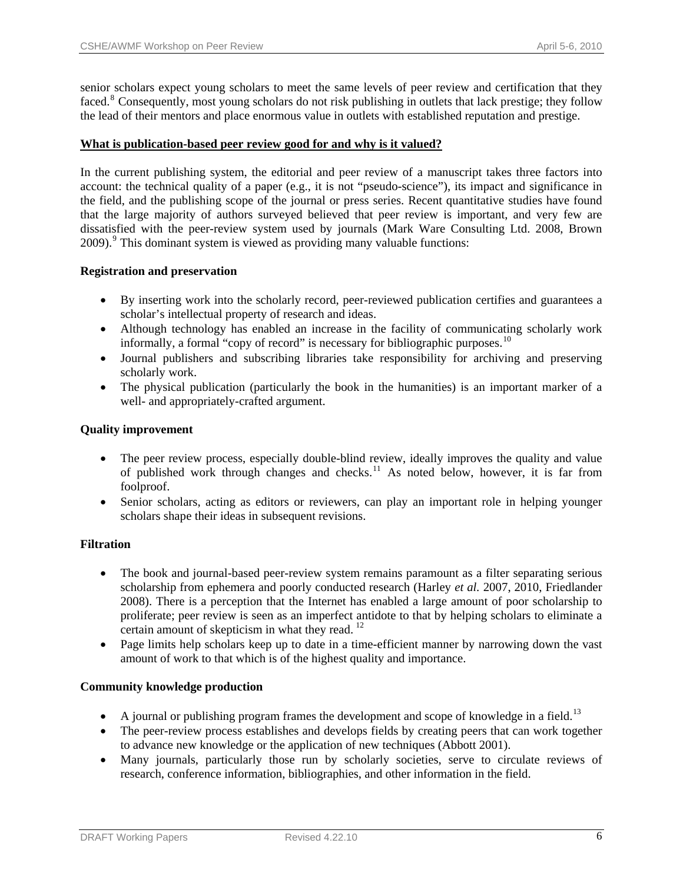senior scholars expect young scholars to meet the same levels of peer review and certification that they faced.<sup>[8](#page-40-1)</sup> Consequently, most young scholars do not risk publishing in outlets that lack prestige; they follow the lead of their mentors and place enormous value in outlets with established reputation and prestige.

# **What is publication-based peer review good for and why is it valued?**

In the current publishing system, the editorial and peer review of a manuscript takes three factors into account: the technical quality of a paper (e.g., it is not "pseudo-science"), its impact and significance in the field, and the publishing scope of the journal or press series. Recent quantitative studies have found that the large majority of authors surveyed believed that peer review is important, and very few are dissatisfied with the peer-review system used by journals (Mark Ware Consulting Ltd. 2008, Brown 200[9](#page-40-1)).<sup>9</sup> This dominant system is viewed as providing many valuable functions:

# **Registration and preservation**

- By inserting work into the scholarly record, peer-reviewed publication certifies and guarantees a scholar's intellectual property of research and ideas.
- Although technology has enabled an increase in the facility of communicating scholarly work informally, a formal "copy of record" is necessary for bibliographic purposes.<sup>[10](#page-40-1)</sup>
- Journal publishers and subscribing libraries take responsibility for archiving and preserving scholarly work.
- The physical publication (particularly the book in the humanities) is an important marker of a well- and appropriately-crafted argument.

# **Quality improvement**

- The peer review process, especially double-blind review, ideally improves the quality and value of published work through changes and checks.<sup>[11](#page-40-1)</sup> As noted below, however, it is far from foolproof.
- Senior scholars, acting as editors or reviewers, can play an important role in helping younger scholars shape their ideas in subsequent revisions.

# **Filtration**

- The book and journal-based peer-review system remains paramount as a filter separating serious scholarship from ephemera and poorly conducted research (Harley *et al.* 2007, 2010, Friedlander 2008). There is a perception that the Internet has enabled a large amount of poor scholarship to proliferate; peer review is seen as an imperfect antidote to that by helping scholars to eliminate a certain amount of skepticism in what they read.<sup>[12](#page-40-1)</sup>
- Page limits help scholars keep up to date in a time-efficient manner by narrowing down the vast amount of work to that which is of the highest quality and importance.

# **Community knowledge production**

- A journal or publishing program frames the development and scope of knowledge in a field.<sup>[13](#page-40-1)</sup>
- The peer-review process establishes and develops fields by creating peers that can work together to advance new knowledge or the application of new techniques (Abbott 2001).
- Many journals, particularly those run by scholarly societies, serve to circulate reviews of research, conference information, bibliographies, and other information in the field.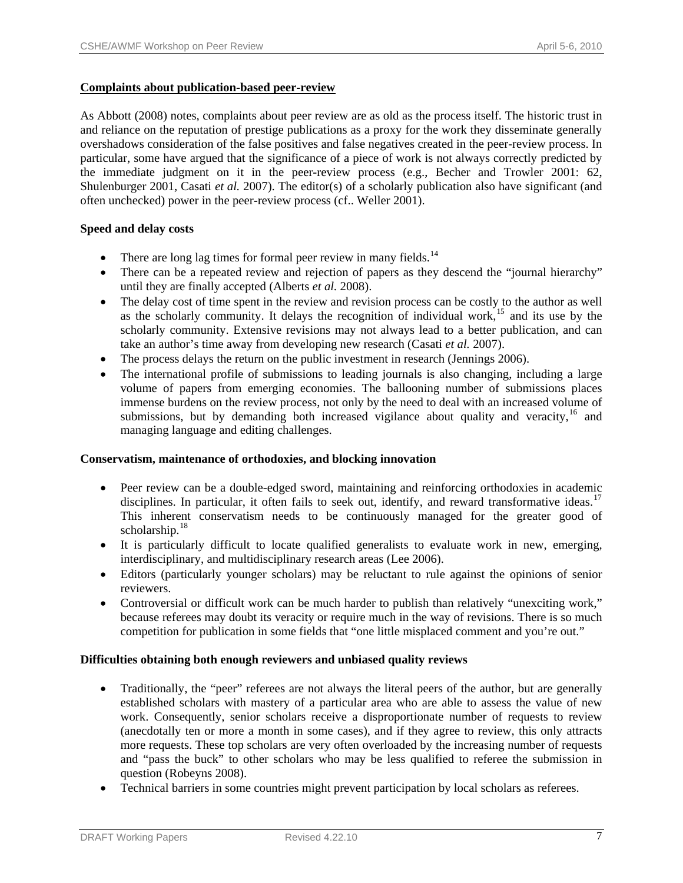# **Complaints about publication-based peer-review**

As Abbott (2008) notes, complaints about peer review are as old as the process itself. The historic trust in and reliance on the reputation of prestige publications as a proxy for the work they disseminate generally overshadows consideration of the false positives and false negatives created in the peer-review process. In particular, some have argued that the significance of a piece of work is not always correctly predicted by the immediate judgment on it in the peer-review process (e.g., Becher and Trowler 2001: 62, Shulenburger 2001, Casati *et al.* 2007). The editor(s) of a scholarly publication also have significant (and often unchecked) power in the peer-review process (cf.. Weller 2001).

# **Speed and delay costs**

- There are long lag times for formal peer review in many fields.<sup>[14](#page-40-1)</sup>
- There can be a repeated review and rejection of papers as they descend the "journal hierarchy" until they are finally accepted (Alberts *et al.* 2008).
- The delay cost of time spent in the review and revision process can be costly to the author as well as the scholarly community. It delays the recognition of individual work,<sup>[15](#page-40-1)</sup> and its use by the scholarly community. Extensive revisions may not always lead to a better publication, and can take an author's time away from developing new research (Casati *et al.* 2007).
- The process delays the return on the public investment in research (Jennings 2006).
- The international profile of submissions to leading journals is also changing, including a large volume of papers from emerging economies. The ballooning number of submissions places immense burdens on the review process, not only by the need to deal with an increased volume of submissions, but by demanding both increased vigilance about quality and veracity,  $16$  and managing language and editing challenges.

# **Conservatism, maintenance of orthodoxies, and blocking innovation**

- Peer review can be a double-edged sword, maintaining and reinforcing orthodoxies in academic disciplines. In particular, it often fails to seek out, identify, and reward transformative ideas.<sup>[17](#page-40-1)</sup> This inherent conservatism needs to be continuously managed for the greater good of scholarship.<sup>[18](#page-40-1)</sup>
- It is particularly difficult to locate qualified generalists to evaluate work in new, emerging, interdisciplinary, and multidisciplinary research areas (Lee 2006).
- Editors (particularly younger scholars) may be reluctant to rule against the opinions of senior reviewers.
- Controversial or difficult work can be much harder to publish than relatively "unexciting work," because referees may doubt its veracity or require much in the way of revisions. There is so much competition for publication in some fields that "one little misplaced comment and you're out."

# **Difficulties obtaining both enough reviewers and unbiased quality reviews**

- Traditionally, the "peer" referees are not always the literal peers of the author, but are generally established scholars with mastery of a particular area who are able to assess the value of new work. Consequently, senior scholars receive a disproportionate number of requests to review (anecdotally ten or more a month in some cases), and if they agree to review, this only attracts more requests. These top scholars are very often overloaded by the increasing number of requests and "pass the buck" to other scholars who may be less qualified to referee the submission in question (Robeyns 2008).
- Technical barriers in some countries might prevent participation by local scholars as referees.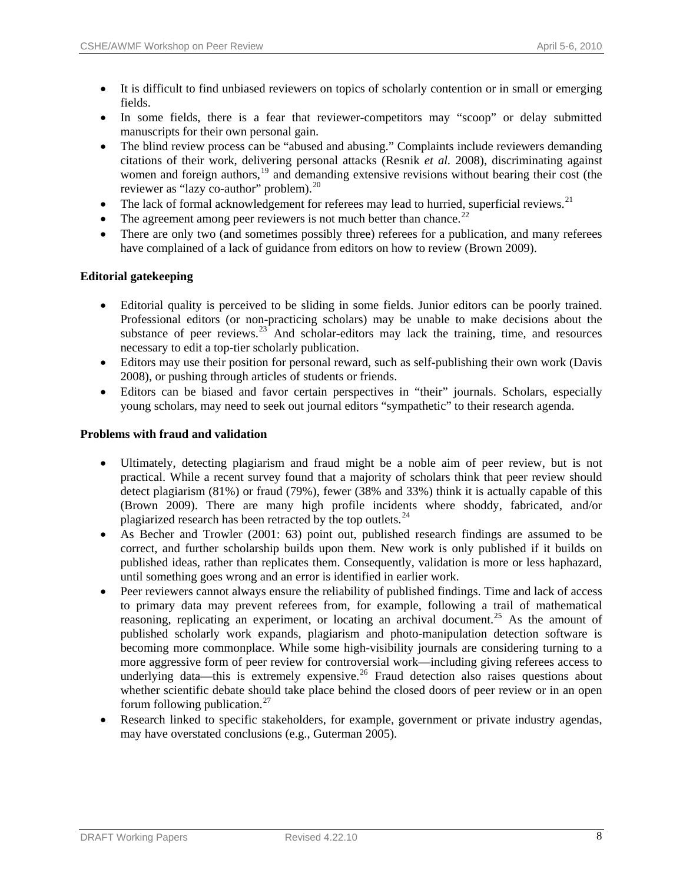- It is difficult to find unbiased reviewers on topics of scholarly contention or in small or emerging fields.
- In some fields, there is a fear that reviewer-competitors may "scoop" or delay submitted manuscripts for their own personal gain.
- The blind review process can be "abused and abusing." Complaints include reviewers demanding citations of their work, delivering personal attacks (Resnik *et al.* 2008), discriminating against women and foreign authors, $19$  and demanding extensive revisions without bearing their cost (the reviewer as "lazy co-author" problem).<sup>[20](#page-40-1)</sup>
- The lack of formal acknowledgement for referees may lead to hurried, superficial reviews.<sup>[21](#page-40-1)</sup>
- The agreement among peer reviewers is not much better than chance.<sup>[22](#page-40-1)</sup>
- There are only two (and sometimes possibly three) referees for a publication, and many referees have complained of a lack of guidance from editors on how to review (Brown 2009).

# **Editorial gatekeeping**

- Editorial quality is perceived to be sliding in some fields. Junior editors can be poorly trained. Professional editors (or non-practicing scholars) may be unable to make decisions about the substance of peer reviews.<sup>[23](#page-40-1)</sup> And scholar-editors may lack the training, time, and resources necessary to edit a top-tier scholarly publication.
- Editors may use their position for personal reward, such as self-publishing their own work (Davis 2008), or pushing through articles of students or friends.
- Editors can be biased and favor certain perspectives in "their" journals. Scholars, especially young scholars, may need to seek out journal editors "sympathetic" to their research agenda.

# **Problems with fraud and validation**

- Ultimately, detecting plagiarism and fraud might be a noble aim of peer review, but is not practical. While a recent survey found that a majority of scholars think that peer review should detect plagiarism (81%) or fraud (79%), fewer (38% and 33%) think it is actually capable of this (Brown 2009). There are many high profile incidents where shoddy, fabricated, and/or plagiarized research has been retracted by the top outlets.<sup>[24](#page-41-0)</sup>
- As Becher and Trowler (2001: 63) point out, published research findings are assumed to be correct, and further scholarship builds upon them. New work is only published if it builds on published ideas, rather than replicates them. Consequently, validation is more or less haphazard, until something goes wrong and an error is identified in earlier work.
- Peer reviewers cannot always ensure the reliability of published findings. Time and lack of access to primary data may prevent referees from, for example, following a trail of mathematical reasoning, replicating an experiment, or locating an archival document.<sup>[25](#page-41-0)</sup> As the amount of published scholarly work expands, plagiarism and photo-manipulation detection software is becoming more commonplace. While some high-visibility journals are considering turning to a more aggressive form of peer review for controversial work—including giving referees access to underlying data—this is extremely expensive.<sup>[26](#page-41-0)</sup> Fraud detection also raises questions about whether scientific debate should take place behind the closed doors of peer review or in an open forum following publication. $27$
- Research linked to specific stakeholders, for example, government or private industry agendas, may have overstated conclusions (e.g., Guterman 2005).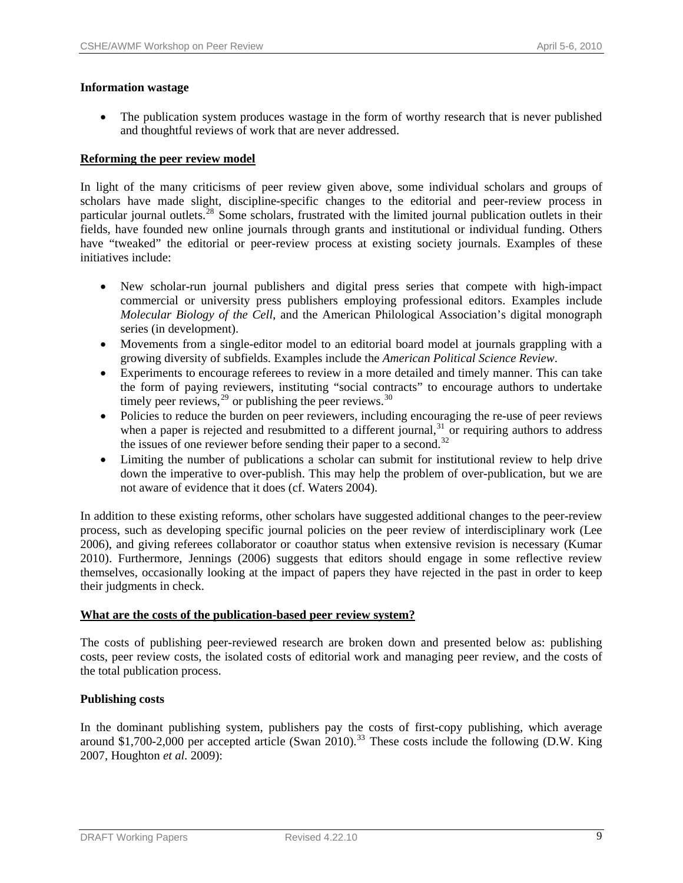# **Information wastage**

• The publication system produces wastage in the form of worthy research that is never published and thoughtful reviews of work that are never addressed.

# **Reforming the peer review model**

In light of the many criticisms of peer review given above, some individual scholars and groups of scholars have made slight, discipline-specific changes to the editorial and peer-review process in particular journal outlets.<sup>[28](#page-41-0)</sup> Some scholars, frustrated with the limited journal publication outlets in their fields, have founded new online journals through grants and institutional or individual funding. Others have "tweaked" the editorial or peer-review process at existing society journals. Examples of these initiatives include:

- New scholar-run journal publishers and digital press series that compete with high-impact commercial or university press publishers employing professional editors. Examples include *Molecular Biology of the Cell*, and the American Philological Association's digital monograph series (in development).
- Movements from a single-editor model to an editorial board model at journals grappling with a growing diversity of subfields. Examples include the *American Political Science Review*.
- Experiments to encourage referees to review in a more detailed and timely manner. This can take the form of paying reviewers, instituting "social contracts" to encourage authors to undertake timely peer reviews,  $29$  or publishing the peer reviews.  $30$
- Policies to reduce the burden on peer reviewers, including encouraging the re-use of peer reviews when a paper is rejected and resubmitted to a different journal, $31$  or requiring authors to address the issues of one reviewer before sending their paper to a second.<sup>[32](#page-41-0)</sup>
- Limiting the number of publications a scholar can submit for institutional review to help drive down the imperative to over-publish. This may help the problem of over-publication, but we are not aware of evidence that it does (cf. Waters 2004).

In addition to these existing reforms, other scholars have suggested additional changes to the peer-review process, such as developing specific journal policies on the peer review of interdisciplinary work (Lee 2006), and giving referees collaborator or coauthor status when extensive revision is necessary (Kumar 2010). Furthermore, Jennings (2006) suggests that editors should engage in some reflective review themselves, occasionally looking at the impact of papers they have rejected in the past in order to keep their judgments in check.

# **What are the costs of the publication-based peer review system?**

The costs of publishing peer-reviewed research are broken down and presented below as: publishing costs, peer review costs, the isolated costs of editorial work and managing peer review, and the costs of the total publication process.

# **Publishing costs**

In the dominant publishing system, publishers pay the costs of first-copy publishing, which average around \$1,700-2,000 per accepted article (Swan 2010).<sup>[33](#page-41-0)</sup> These costs include the following (D.W. King 2007, Houghton *et al.* 2009):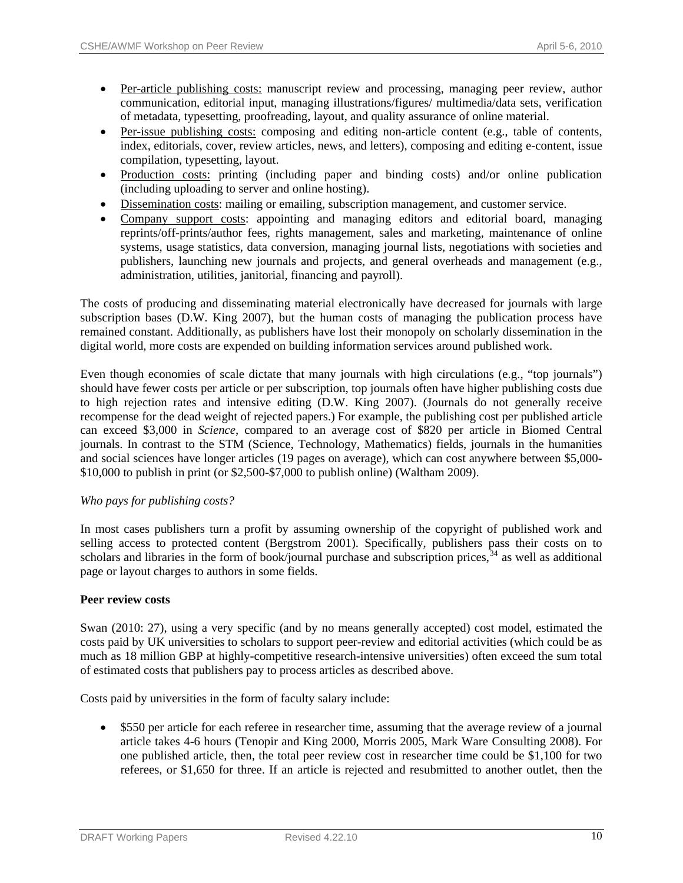- Per-article publishing costs: manuscript review and processing, managing peer review, author communication, editorial input, managing illustrations/figures/ multimedia/data sets, verification of metadata, typesetting, proofreading, layout, and quality assurance of online material.
- Per-issue publishing costs: composing and editing non-article content (e.g., table of contents, index, editorials, cover, review articles, news, and letters), composing and editing e-content, issue compilation, typesetting, layout.
- Production costs: printing (including paper and binding costs) and/or online publication (including uploading to server and online hosting).
- Dissemination costs: mailing or emailing, subscription management, and customer service.
- Company support costs: appointing and managing editors and editorial board, managing reprints/off-prints/author fees, rights management, sales and marketing, maintenance of online systems, usage statistics, data conversion, managing journal lists, negotiations with societies and publishers, launching new journals and projects, and general overheads and management (e.g., administration, utilities, janitorial, financing and payroll).

The costs of producing and disseminating material electronically have decreased for journals with large subscription bases (D.W. King 2007), but the human costs of managing the publication process have remained constant. Additionally, as publishers have lost their monopoly on scholarly dissemination in the digital world, more costs are expended on building information services around published work.

Even though economies of scale dictate that many journals with high circulations (e.g., "top journals") should have fewer costs per article or per subscription, top journals often have higher publishing costs due to high rejection rates and intensive editing (D.W. King 2007). (Journals do not generally receive recompense for the dead weight of rejected papers.) For example, the publishing cost per published article can exceed \$3,000 in *Science*, compared to an average cost of \$820 per article in Biomed Central journals. In contrast to the STM (Science, Technology, Mathematics) fields, journals in the humanities and social sciences have longer articles (19 pages on average), which can cost anywhere between \$5,000- \$10,000 to publish in print (or \$2,500-\$7,000 to publish online) (Waltham 2009).

# *Who pays for publishing costs?*

In most cases publishers turn a profit by assuming ownership of the copyright of published work and selling access to protected content (Bergstrom 2001). Specifically, publishers pass their costs on to scholars and libraries in the form of book/journal purchase and subscription prices,<sup>[34](#page-41-0)</sup> as well as additional page or layout charges to authors in some fields.

# **Peer review costs**

Swan (2010: 27), using a very specific (and by no means generally accepted) cost model, estimated the costs paid by UK universities to scholars to support peer-review and editorial activities (which could be as much as 18 million GBP at highly-competitive research-intensive universities) often exceed the sum total of estimated costs that publishers pay to process articles as described above.

Costs paid by universities in the form of faculty salary include:

• \$550 per article for each referee in researcher time, assuming that the average review of a journal article takes 4-6 hours (Tenopir and King 2000, Morris 2005, Mark Ware Consulting 2008). For one published article, then, the total peer review cost in researcher time could be \$1,100 for two referees, or \$1,650 for three. If an article is rejected and resubmitted to another outlet, then the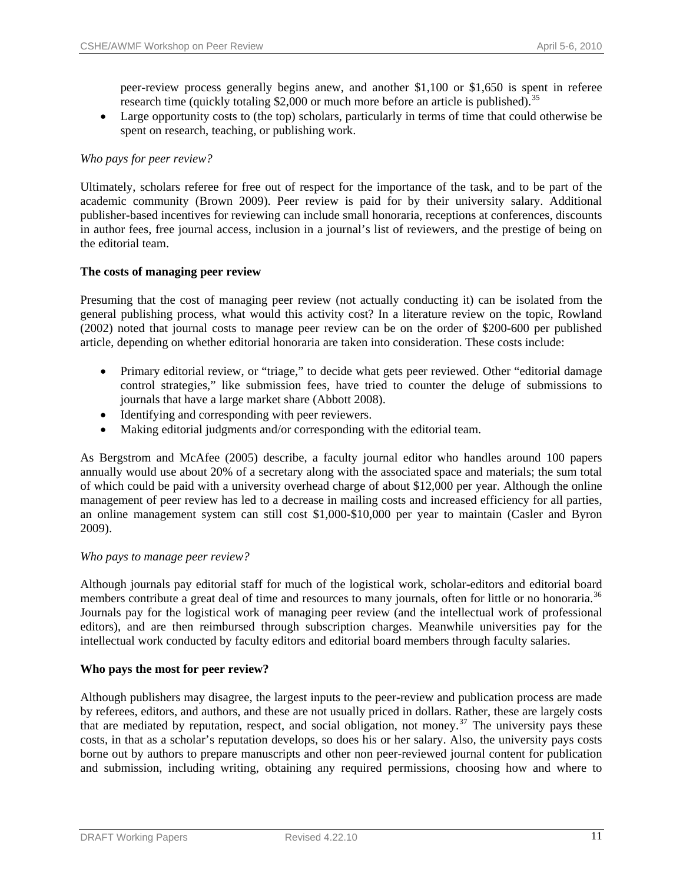peer-review process generally begins anew, and another \$1,100 or \$1,650 is spent in referee research time (quickly totaling  $$2,000$  or much more before an article is published).<sup>35</sup>

• Large opportunity costs to (the top) scholars, particularly in terms of time that could otherwise be spent on research, teaching, or publishing work.

# *Who pays for peer review?*

Ultimately, scholars referee for free out of respect for the importance of the task, and to be part of the academic community (Brown 2009). Peer review is paid for by their university salary. Additional publisher-based incentives for reviewing can include small honoraria, receptions at conferences, discounts in author fees, free journal access, inclusion in a journal's list of reviewers, and the prestige of being on the editorial team.

# **The costs of managing peer review**

Presuming that the cost of managing peer review (not actually conducting it) can be isolated from the general publishing process, what would this activity cost? In a literature review on the topic, Rowland (2002) noted that journal costs to manage peer review can be on the order of \$200-600 per published article, depending on whether editorial honoraria are taken into consideration. These costs include:

- Primary editorial review, or "triage," to decide what gets peer reviewed. Other "editorial damage control strategies," like submission fees, have tried to counter the deluge of submissions to journals that have a large market share (Abbott 2008).
- Identifying and corresponding with peer reviewers.
- Making editorial judgments and/or corresponding with the editorial team.

As Bergstrom and McAfee (2005) describe, a faculty journal editor who handles around 100 papers annually would use about 20% of a secretary along with the associated space and materials; the sum total of which could be paid with a university overhead charge of about \$12,000 per year. Although the online management of peer review has led to a decrease in mailing costs and increased efficiency for all parties, an online management system can still cost \$1,000-\$10,000 per year to maintain (Casler and Byron 2009).

# *Who pays to manage peer review?*

Although journals pay editorial staff for much of the logistical work, scholar-editors and editorial board members contribute a great deal of time and resources to many journals, often for little or no honoraria.<sup>[36](#page-41-0)</sup> Journals pay for the logistical work of managing peer review (and the intellectual work of professional editors), and are then reimbursed through subscription charges. Meanwhile universities pay for the intellectual work conducted by faculty editors and editorial board members through faculty salaries.

# **Who pays the most for peer review?**

Although publishers may disagree, the largest inputs to the peer-review and publication process are made by referees, editors, and authors, and these are not usually priced in dollars. Rather, these are largely costs that are mediated by reputation, respect, and social obligation, not money.<sup>[37](#page-41-0)</sup> The university pays these costs, in that as a scholar's reputation develops, so does his or her salary. Also, the university pays costs borne out by authors to prepare manuscripts and other non peer-reviewed journal content for publication and submission, including writing, obtaining any required permissions, choosing how and where to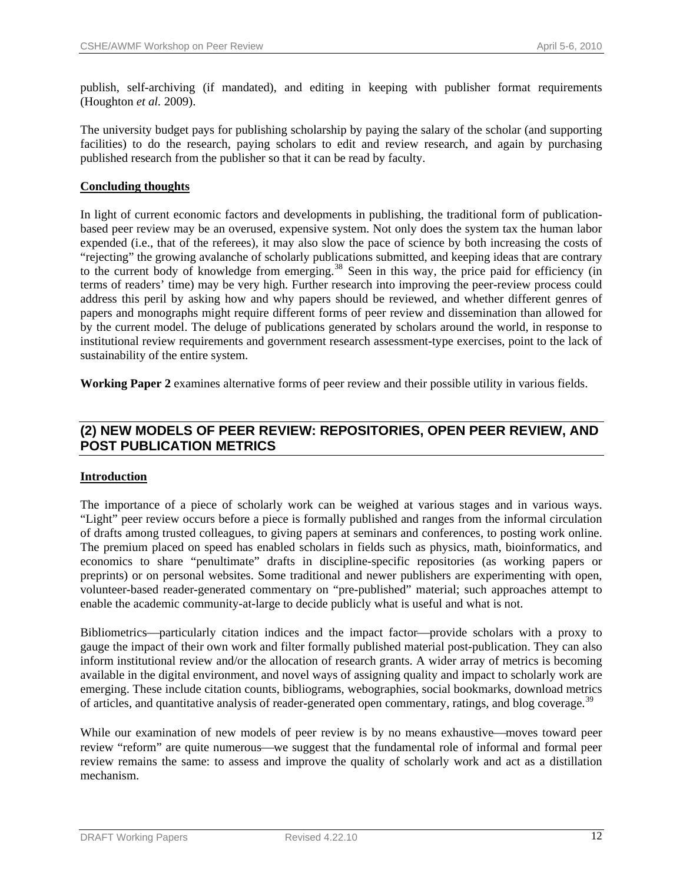publish, self-archiving (if mandated), and editing in keeping with publisher format requirements (Houghton *et al.* 2009).

The university budget pays for publishing scholarship by paying the salary of the scholar (and supporting facilities) to do the research, paying scholars to edit and review research, and again by purchasing published research from the publisher so that it can be read by faculty.

# **Concluding thoughts**

In light of current economic factors and developments in publishing, the traditional form of publicationbased peer review may be an overused, expensive system. Not only does the system tax the human labor expended (i.e., that of the referees), it may also slow the pace of science by both increasing the costs of "rejecting" the growing avalanche of scholarly publications submitted, and keeping ideas that are contrary to the current body of knowledge from emerging.<sup>[38](#page-41-0)</sup> Seen in this way, the price paid for efficiency (in terms of readers' time) may be very high. Further research into improving the peer-review process could address this peril by asking how and why papers should be reviewed, and whether different genres of papers and monographs might require different forms of peer review and dissemination than allowed for by the current model. The deluge of publications generated by scholars around the world, in response to institutional review requirements and government research assessment-type exercises, point to the lack of sustainability of the entire system.

**Working Paper 2** examines alternative forms of peer review and their possible utility in various fields.

# **(2) NEW MODELS OF PEER REVIEW: REPOSITORIES, OPEN PEER REVIEW, AND POST PUBLICATION METRICS**

# **Introduction**

The importance of a piece of scholarly work can be weighed at various stages and in various ways. "Light" peer review occurs before a piece is formally published and ranges from the informal circulation of drafts among trusted colleagues, to giving papers at seminars and conferences, to posting work online. The premium placed on speed has enabled scholars in fields such as physics, math, bioinformatics, and economics to share "penultimate" drafts in discipline-specific repositories (as working papers or preprints) or on personal websites. Some traditional and newer publishers are experimenting with open, volunteer-based reader-generated commentary on "pre-published" material; such approaches attempt to enable the academic community-at-large to decide publicly what is useful and what is not.

Bibliometrics—particularly citation indices and the impact factor—provide scholars with a proxy to gauge the impact of their own work and filter formally published material post-publication. They can also inform institutional review and/or the allocation of research grants. A wider array of metrics is becoming available in the digital environment, and novel ways of assigning quality and impact to scholarly work are emerging. These include citation counts, bibliograms, webographies, social bookmarks, download metrics of articles, and quantitative analysis of reader-generated open commentary, ratings, and blog coverage.<sup>[39](#page-41-0)</sup>

While our examination of new models of peer review is by no means exhaustive—moves toward peer review "reform" are quite numerous—we suggest that the fundamental role of informal and formal peer review remains the same: to assess and improve the quality of scholarly work and act as a distillation mechanism.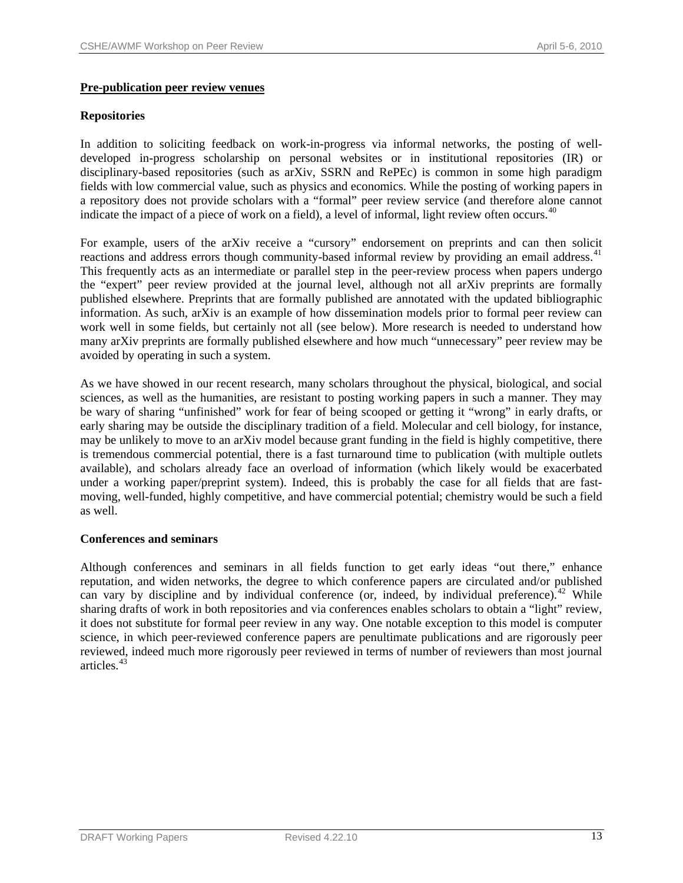# **Pre-publication peer review venues**

# **Repositories**

In addition to soliciting feedback on work-in-progress via informal networks, the posting of welldeveloped in-progress scholarship on personal websites or in institutional repositories (IR) or disciplinary-based repositories (such as arXiv, SSRN and RePEc) is common in some high paradigm fields with low commercial value, such as physics and economics. While the posting of working papers in a repository does not provide scholars with a "formal" peer review service (and therefore alone cannot indicate the impact of a piece of work on a field), a level of informal, light review often occurs.<sup>[40](#page-41-0)</sup>

For example, users of the arXiv receive a "cursory" endorsement on preprints and can then solicit reactions and address errors though community-based informal review by providing an email address.<sup>[41](#page-41-0)</sup> This frequently acts as an intermediate or parallel step in the peer-review process when papers undergo the "expert" peer review provided at the journal level, although not all arXiv preprints are formally published elsewhere. Preprints that are formally published are annotated with the updated bibliographic information. As such, arXiv is an example of how dissemination models prior to formal peer review can work well in some fields, but certainly not all (see below). More research is needed to understand how many arXiv preprints are formally published elsewhere and how much "unnecessary" peer review may be avoided by operating in such a system.

As we have showed in our recent research, many scholars throughout the physical, biological, and social sciences, as well as the humanities, are resistant to posting working papers in such a manner. They may be wary of sharing "unfinished" work for fear of being scooped or getting it "wrong" in early drafts, or early sharing may be outside the disciplinary tradition of a field. Molecular and cell biology, for instance, may be unlikely to move to an arXiv model because grant funding in the field is highly competitive, there is tremendous commercial potential, there is a fast turnaround time to publication (with multiple outlets available), and scholars already face an overload of information (which likely would be exacerbated under a working paper/preprint system). Indeed, this is probably the case for all fields that are fastmoving, well-funded, highly competitive, and have commercial potential; chemistry would be such a field as well.

# **Conferences and seminars**

Although conferences and seminars in all fields function to get early ideas "out there," enhance reputation, and widen networks, the degree to which conference papers are circulated and/or published can vary by discipline and by individual conference (or, indeed, by individual preference). <sup>[42](#page-41-0)</sup> While sharing drafts of work in both repositories and via conferences enables scholars to obtain a "light" review, it does not substitute for formal peer review in any way. One notable exception to this model is computer science, in which peer-reviewed conference papers are penultimate publications and are rigorously peer reviewed, indeed much more rigorously peer reviewed in terms of number of reviewers than most journal articles.[43](#page-42-0)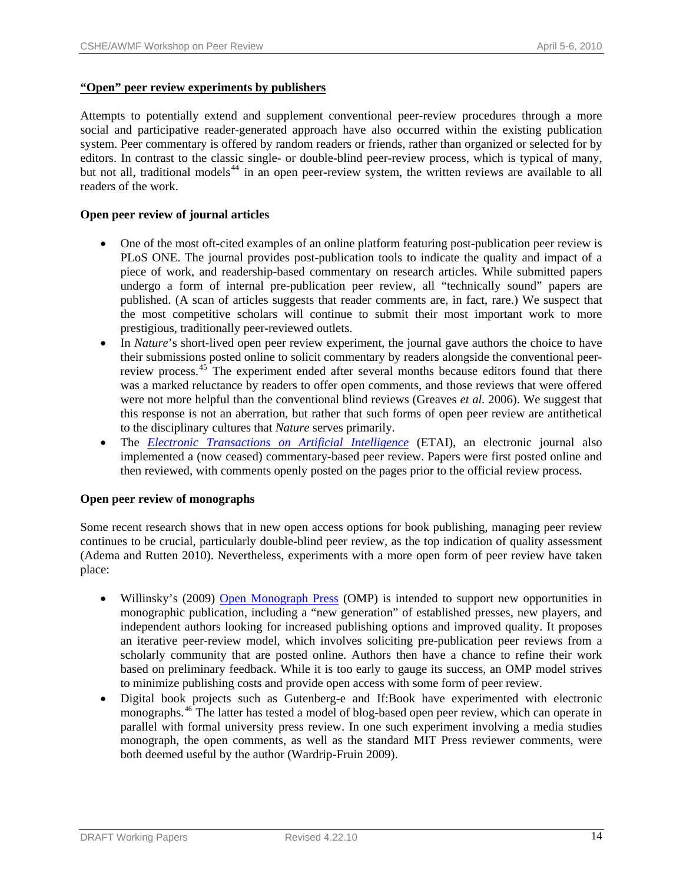# **"Open" peer review experiments by publishers**

Attempts to potentially extend and supplement conventional peer-review procedures through a more social and participative reader-generated approach have also occurred within the existing publication system. Peer commentary is offered by random readers or friends, rather than organized or selected for by editors. In contrast to the classic single- or double-blind peer-review process, which is typical of many, but not all, traditional models<sup>[44](#page-42-0)</sup> in an open peer-review system, the written reviews are available to all readers of the work.

# **Open peer review of journal articles**

- One of the most oft-cited examples of an online platform featuring post-publication peer review is PLoS ONE. The journal provides post-publication tools to indicate the quality and impact of a piece of work, and readership-based commentary on research articles. While submitted papers undergo a form of internal pre-publication peer review, all "technically sound" papers are published. (A scan of articles suggests that reader comments are, in fact, rare.) We suspect that the most competitive scholars will continue to submit their most important work to more prestigious, traditionally peer-reviewed outlets.
- In *Nature*'s short-lived open peer review experiment, the journal gave authors the choice to have their submissions posted online to solicit commentary by readers alongside the conventional peer-review process.<sup>[45](#page-42-0)</sup> The experiment ended after several months because editors found that there was a marked reluctance by readers to offer open comments, and those reviews that were offered were not more helpful than the conventional blind reviews (Greaves *et al.* 2006). We suggest that this response is not an aberration, but rather that such forms of open peer review are antithetical to the disciplinary cultures that *Nature* serves primarily.
- The *[Electronic Transactions on Artificial Intelligence](http://www.etaij.org/)* (ETAI), an electronic journal also implemented a (now ceased) commentary-based peer review. Papers were first posted online and then reviewed, with comments openly posted on the pages prior to the official review process.

# **Open peer review of monographs**

Some recent research shows that in new open access options for book publishing, managing peer review continues to be crucial, particularly double-blind peer review, as the top indication of quality assessment (Adema and Rutten 2010). Nevertheless, experiments with a more open form of peer review have taken place:

- Willinsky's (2009) [Open Monograph Press](http://pkp.sfu.ca/omp) (OMP) is intended to support new opportunities in monographic publication, including a "new generation" of established presses, new players, and independent authors looking for increased publishing options and improved quality. It proposes an iterative peer-review model, which involves soliciting pre-publication peer reviews from a scholarly community that are posted online. Authors then have a chance to refine their work based on preliminary feedback. While it is too early to gauge its success, an OMP model strives to minimize publishing costs and provide open access with some form of peer review.
- Digital book projects such as Gutenberg-e and If:Book have experimented with electronic monographs.[46](#page-42-0) The latter has tested a model of blog-based open peer review, which can operate in parallel with formal university press review. In one such experiment involving a media studies monograph, the open comments, as well as the standard MIT Press reviewer comments, were both deemed useful by the author (Wardrip-Fruin 2009).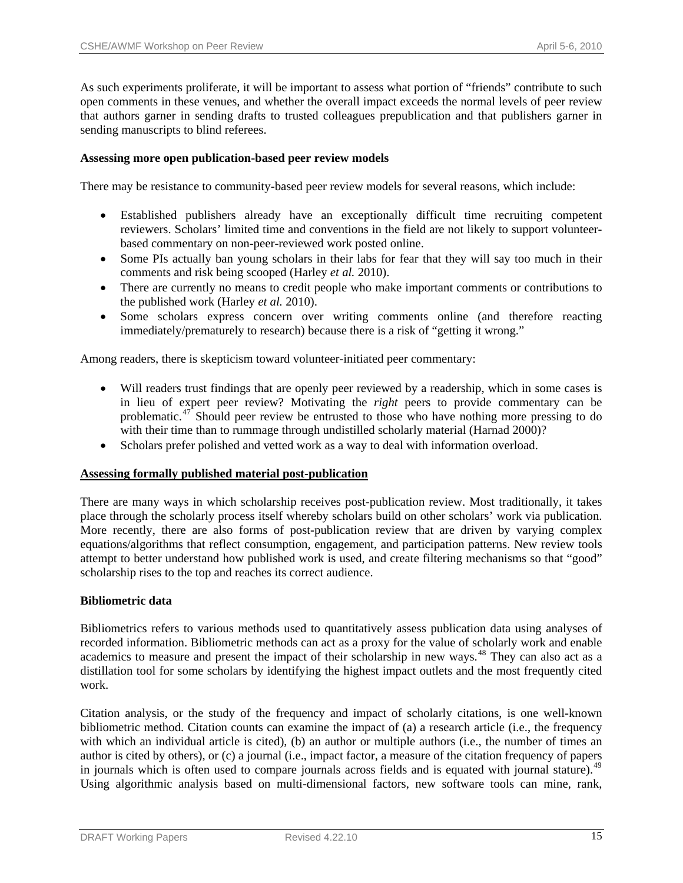As such experiments proliferate, it will be important to assess what portion of "friends" contribute to such open comments in these venues, and whether the overall impact exceeds the normal levels of peer review that authors garner in sending drafts to trusted colleagues prepublication and that publishers garner in sending manuscripts to blind referees.

#### **Assessing more open publication-based peer review models**

There may be resistance to community-based peer review models for several reasons, which include:

- Established publishers already have an exceptionally difficult time recruiting competent reviewers. Scholars' limited time and conventions in the field are not likely to support volunteerbased commentary on non-peer-reviewed work posted online.
- Some PIs actually ban young scholars in their labs for fear that they will say too much in their comments and risk being scooped (Harley *et al.* 2010).
- There are currently no means to credit people who make important comments or contributions to the published work (Harley *et al.* 2010).
- Some scholars express concern over writing comments online (and therefore reacting immediately/prematurely to research) because there is a risk of "getting it wrong."

Among readers, there is skepticism toward volunteer-initiated peer commentary:

- Will readers trust findings that are openly peer reviewed by a readership, which in some cases is in lieu of expert peer review? Motivating the *right* peers to provide commentary can be problematic.<sup>[47](#page-42-0)</sup> Should peer review be entrusted to those who have nothing more pressing to do with their time than to rummage through undistilled scholarly material (Harnad 2000)?
- Scholars prefer polished and vetted work as a way to deal with information overload.

# **Assessing formally published material post-publication**

There are many ways in which scholarship receives post-publication review. Most traditionally, it takes place through the scholarly process itself whereby scholars build on other scholars' work via publication. More recently, there are also forms of post-publication review that are driven by varying complex equations/algorithms that reflect consumption, engagement, and participation patterns. New review tools attempt to better understand how published work is used, and create filtering mechanisms so that "good" scholarship rises to the top and reaches its correct audience.

# **Bibliometric data**

Bibliometrics refers to various methods used to quantitatively assess publication data using analyses of recorded information. Bibliometric methods can act as a proxy for the value of scholarly work and enable academics to measure and present the impact of their scholarship in new ways.<sup>[48](#page-42-0)</sup> They can also act as a distillation tool for some scholars by identifying the highest impact outlets and the most frequently cited work.

Citation analysis, or the study of the frequency and impact of scholarly citations, is one well-known bibliometric method. Citation counts can examine the impact of (a) a research article (i.e., the frequency with which an individual article is cited), (b) an author or multiple authors (i.e., the number of times an author is cited by others), or (c) a journal (i.e., impact factor, a measure of the citation frequency of papers in journals which is often used to compare journals across fields and is equated with journal stature).<sup>[49](#page-42-0)</sup> Using algorithmic analysis based on multi-dimensional factors, new software tools can mine, rank,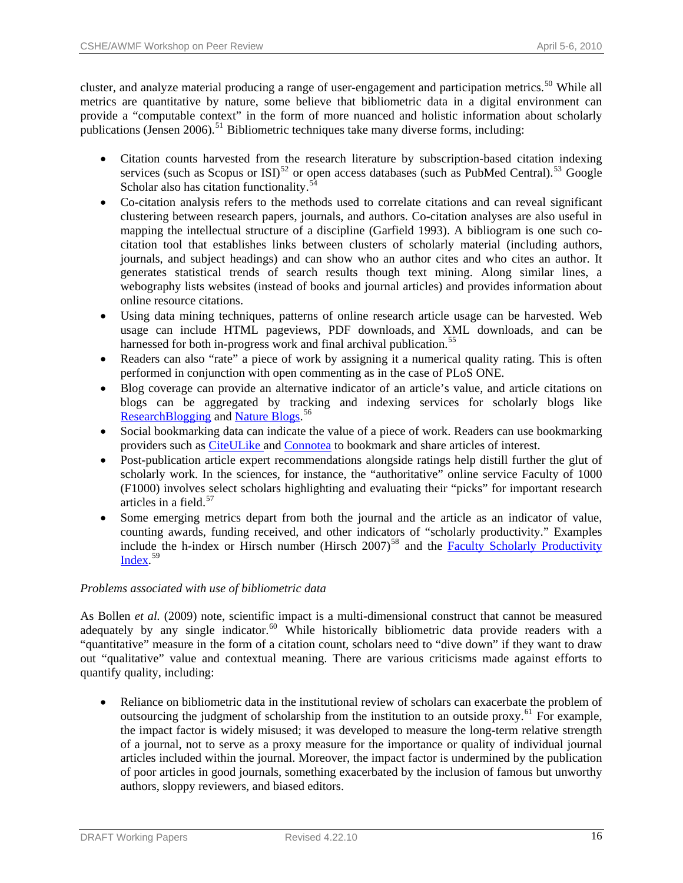cluster, and analyze material producing a range of user-engagement and participation metrics.<sup>[50](#page-42-0)</sup> While all metrics are quantitative by nature, some believe that bibliometric data in a digital environment can provide a "computable context" in the form of more nuanced and holistic information about scholarly publications (Jensen 2006).<sup>[51](#page-42-0)</sup> Bibliometric techniques take many diverse forms, including:

- Citation counts harvested from the research literature by subscription-based citation indexing services (such as Scopus or ISI)<sup>[52](#page-42-0)</sup> or open access databases (such as PubMed Central).<sup>[53](#page-42-0)</sup> Google Scholar also has citation functionality.<sup>5</sup>
- Co-citation analysis refers to the methods used to correlate citations and can reveal significant clustering between research papers, journals, and authors. Co-citation analyses are also useful in mapping the intellectual structure of a discipline (Garfield 1993). A bibliogram is one such cocitation tool that establishes links between clusters of scholarly material (including authors, journals, and subject headings) and can show who an author cites and who cites an author. It generates statistical trends of search results though text mining. Along similar lines, a webography lists websites (instead of books and journal articles) and provides information about online resource citations.
- Using data mining techniques, patterns of online research article usage can be harvested. Web usage can include HTML pageviews, PDF downloads, and XML downloads, and can be harnessed for both in-progress work and final archival publication.<sup>[55](#page-42-0)</sup>
- Readers can also "rate" a piece of work by assigning it a numerical quality rating. This is often performed in conjunction with open commenting as in the case of PLoS ONE.
- Blog coverage can provide an alternative indicator of an article's value, and article citations on blogs can be aggregated by tracking and indexing services for scholarly blogs like [ResearchBlogging](http://www.researchblogging.org/) and [Nature Blogs](http://blogs.nature.com/).<sup>[56](#page-42-0)</sup>
- Social bookmarking data can indicate the value of a piece of work. Readers can use bookmarking providers such as [CiteULike](http://www.citeulike.org/) and [Connotea](http://www.connotea.org/) to bookmark and share articles of interest.
- Post-publication article expert recommendations alongside ratings help distill further the glut of scholarly work. In the sciences, for instance, the "authoritative" online service Faculty of 1000 (F1000) involves select scholars highlighting and evaluating their "picks" for important research articles in a field.<sup>[57](#page-42-0)</sup>
- Some emerging metrics depart from both the journal and the article as an indicator of value, counting awards, funding received, and other indicators of "scholarly productivity." Examples include the h-index or Hirsch number (Hirsch  $2007$ )<sup>[58](#page-42-0)</sup> and the **Faculty Scholarly Productivity** [Index](http://www.academicanalytics.com/). [59](#page-42-0)

# *Problems associated with use of bibliometric data*

As Bollen *et al.* (2009) note, scientific impact is a multi-dimensional construct that cannot be measured adequately by any single indicator.<sup>[60](#page-42-0)</sup> While historically bibliometric data provide readers with a "quantitative" measure in the form of a citation count, scholars need to "dive down" if they want to draw out "qualitative" value and contextual meaning. There are various criticisms made against efforts to quantify quality, including:

Reliance on bibliometric data in the institutional review of scholars can exacerbate the problem of outsourcing the judgment of scholarship from the institution to an outside proxy.<sup>[61](#page-42-0)</sup> For example, the impact factor is widely misused; it was developed to measure the long-term relative strength of a journal, not to serve as a proxy measure for the importance or quality of individual journal articles included within the journal. Moreover, the impact factor is undermined by the publication of poor articles in good journals, something exacerbated by the inclusion of famous but unworthy authors, sloppy reviewers, and biased editors.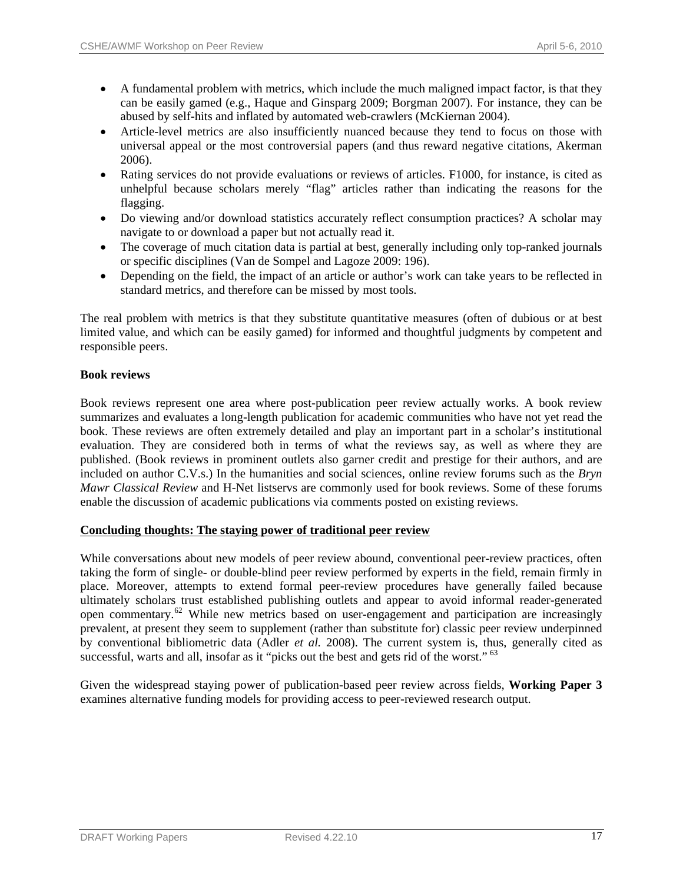- A fundamental problem with metrics, which include the much maligned impact factor, is that they can be easily gamed (e.g., Haque and Ginsparg 2009; Borgman 2007). For instance, they can be abused by self-hits and inflated by automated web-crawlers (McKiernan 2004).
- Article-level metrics are also insufficiently nuanced because they tend to focus on those with universal appeal or the most controversial papers (and thus reward negative citations, Akerman 2006).
- Rating services do not provide evaluations or reviews of articles. F1000, for instance, is cited as unhelpful because scholars merely "flag" articles rather than indicating the reasons for the flagging.
- Do viewing and/or download statistics accurately reflect consumption practices? A scholar may navigate to or download a paper but not actually read it.
- The coverage of much citation data is partial at best, generally including only top-ranked journals or specific disciplines (Van de Sompel and Lagoze 2009: 196).
- Depending on the field, the impact of an article or author's work can take years to be reflected in standard metrics, and therefore can be missed by most tools.

The real problem with metrics is that they substitute quantitative measures (often of dubious or at best limited value, and which can be easily gamed) for informed and thoughtful judgments by competent and responsible peers.

# **Book reviews**

Book reviews represent one area where post-publication peer review actually works. A book review summarizes and evaluates a long-length publication for academic communities who have not yet read the book. These reviews are often extremely detailed and play an important part in a scholar's institutional evaluation. They are considered both in terms of what the reviews say, as well as where they are published. (Book reviews in prominent outlets also garner credit and prestige for their authors, and are included on author C.V.s.) In the humanities and social sciences, online review forums such as the *Bryn Mawr Classical Review* and H-Net listservs are commonly used for book reviews. Some of these forums enable the discussion of academic publications via comments posted on existing reviews.

# **Concluding thoughts: The staying power of traditional peer review**

While conversations about new models of peer review abound, conventional peer-review practices, often taking the form of single- or double-blind peer review performed by experts in the field, remain firmly in place. Moreover, attempts to extend formal peer-review procedures have generally failed because ultimately scholars trust established publishing outlets and appear to avoid informal reader-generated open commentary.[62](#page-42-0) While new metrics based on user-engagement and participation are increasingly prevalent, at present they seem to supplement (rather than substitute for) classic peer review underpinned by conventional bibliometric data (Adler *et al.* 2008). The current system is, thus, generally cited as successful, warts and all, insofar as it "picks out the best and gets rid of the worst." <sup>[63](#page-42-0)</sup>

Given the widespread staying power of publication-based peer review across fields, **Working Paper 3** examines alternative funding models for providing access to peer-reviewed research output.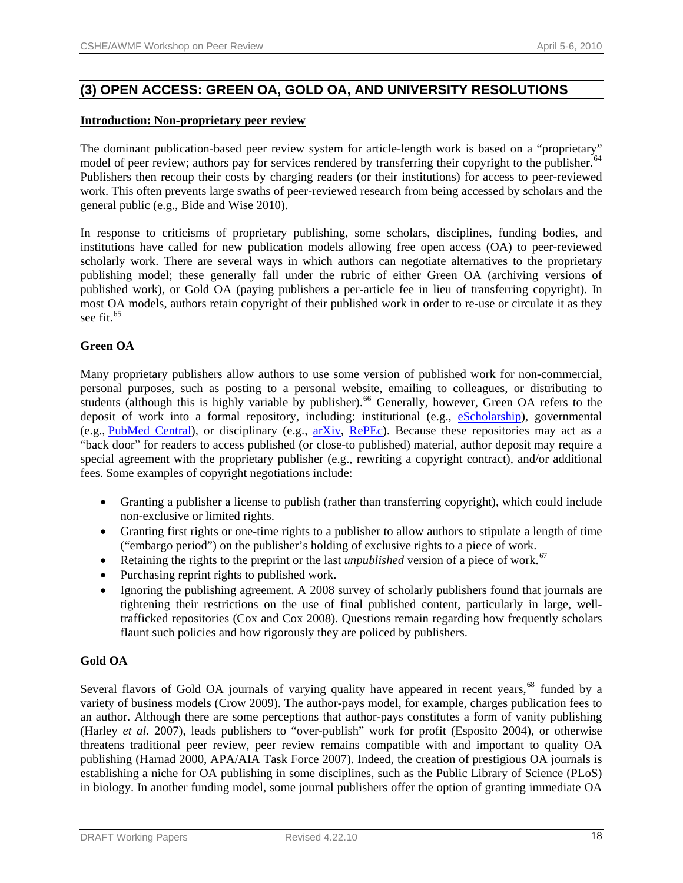# **(3) OPEN ACCESS: GREEN OA, GOLD OA, AND UNIVERSITY RESOLUTIONS**

# **Introduction: Non-proprietary peer review**

The dominant publication-based peer review system for article-length work is based on a "proprietary" model of peer review; authors pay for services rendered by transferring their copyright to the publisher.<sup>[64](#page-42-0)</sup> Publishers then recoup their costs by charging readers (or their institutions) for access to peer-reviewed work. This often prevents large swaths of peer-reviewed research from being accessed by scholars and the general public (e.g., Bide and Wise 2010).

In response to criticisms of proprietary publishing, some scholars, disciplines, funding bodies, and institutions have called for new publication models allowing free open access (OA) to peer-reviewed scholarly work. There are several ways in which authors can negotiate alternatives to the proprietary publishing model; these generally fall under the rubric of either Green OA (archiving versions of published work), or Gold OA (paying publishers a per-article fee in lieu of transferring copyright). In most OA models, authors retain copyright of their published work in order to re-use or circulate it as they see fit.<sup>[65](#page-42-0)</sup>

# **Green OA**

Many proprietary publishers allow authors to use some version of published work for non-commercial, personal purposes, such as posting to a personal website, emailing to colleagues, or distributing to students (although this is highly variable by publisher).<sup>[66](#page-42-0)</sup> Generally, however, Green OA refers to the deposit of work into a formal repository, including: institutional (e.g., [eScholarship](http://escholarship.org/)), governmental (e.g., [PubMed Central\)](http://www.ncbi.nlm.nih.gov/pubmed/), or disciplinary (e.g., [arXiv,](http://arxiv.org/) [RePEc](http://repec.org/)). Because these repositories may act as a "back door" for readers to access published (or close-to published) material, author deposit may require a special agreement with the proprietary publisher (e.g., rewriting a copyright contract), and/or additional fees. Some examples of copyright negotiations include:

- Granting a publisher a license to publish (rather than transferring copyright), which could include non-exclusive or limited rights.
- Granting first rights or one-time rights to a publisher to allow authors to stipulate a length of time ("embargo period") on the publisher's holding of exclusive rights to a piece of work.
- Retaining the rights to the preprint or the last *unpublished* version of a piece of work.<sup>[67](#page-43-0)</sup>
- Purchasing reprint rights to published work.
- Ignoring the publishing agreement. A 2008 survey of scholarly publishers found that journals are tightening their restrictions on the use of final published content, particularly in large, welltrafficked repositories (Cox and Cox 2008). Questions remain regarding how frequently scholars flaunt such policies and how rigorously they are policed by publishers.

# **Gold OA**

Several flavors of Gold OA journals of varying quality have appeared in recent years,<sup>[68](#page-43-0)</sup> funded by a variety of business models (Crow 2009). The author-pays model, for example, charges publication fees to an author. Although there are some perceptions that author-pays constitutes a form of vanity publishing (Harley *et al.* 2007), leads publishers to "over-publish" work for profit (Esposito 2004), or otherwise threatens traditional peer review, peer review remains compatible with and important to quality OA publishing (Harnad 2000, APA/AIA Task Force 2007). Indeed, the creation of prestigious OA journals is establishing a niche for OA publishing in some disciplines, such as the Public Library of Science (PLoS) in biology. In another funding model, some journal publishers offer the option of granting immediate OA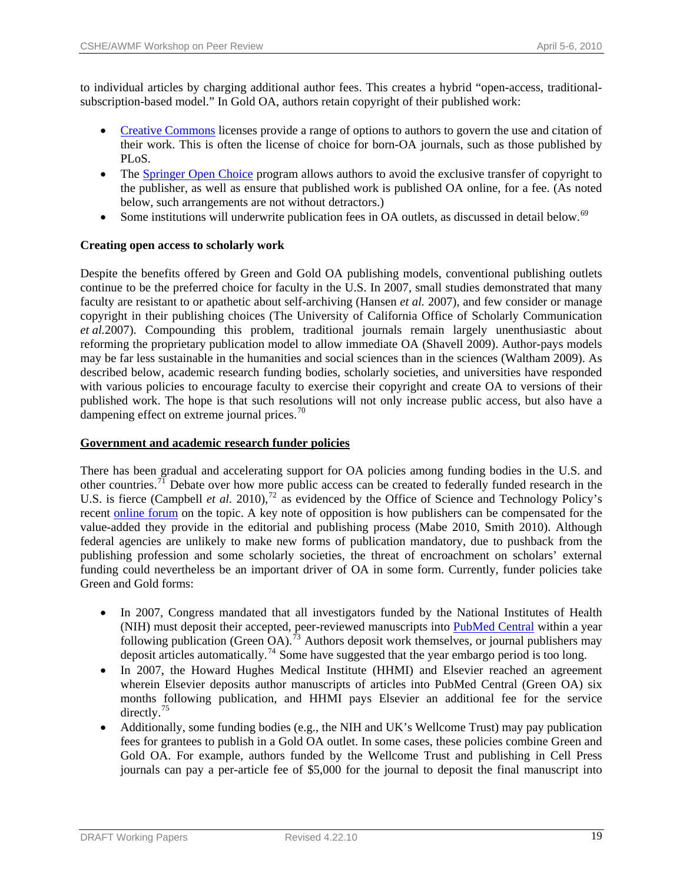to individual articles by charging additional author fees. This creates a hybrid "open-access, traditionalsubscription-based model." In Gold OA, authors retain copyright of their published work:

- [Creative Commons](http://creativecommons.org/) licenses provide a range of options to authors to govern the use and citation of their work. This is often the license of choice for born-OA journals, such as those published by PLoS.
- The [Springer Open Choice](http://www.springer.com/open+access/open+choice?SGWID=0-40359-0-0-0) program allows authors to avoid the exclusive transfer of copyright to the publisher, as well as ensure that published work is published OA online, for a fee. (As noted below, such arrangements are not without detractors.)
- Some institutions will underwrite publication fees in OA outlets, as discussed in detail below.<sup>[69](#page-43-0)</sup>

# **Creating open access to scholarly work**

Despite the benefits offered by Green and Gold OA publishing models, conventional publishing outlets continue to be the preferred choice for faculty in the U.S. In 2007, small studies demonstrated that many faculty are resistant to or apathetic about self-archiving (Hansen *et al.* 2007), and few consider or manage copyright in their publishing choices (The University of California Office of Scholarly Communication *et al.*2007). Compounding this problem, traditional journals remain largely unenthusiastic about reforming the proprietary publication model to allow immediate OA (Shavell 2009). Author-pays models may be far less sustainable in the humanities and social sciences than in the sciences (Waltham 2009). As described below, academic research funding bodies, scholarly societies, and universities have responded with various policies to encourage faculty to exercise their copyright and create OA to versions of their published work. The hope is that such resolutions will not only increase public access, but also have a dampening effect on extreme journal prices.<sup>[70](#page-43-0)</sup>

# **Government and academic research funder policies**

There has been gradual and accelerating support for OA policies among funding bodies in the U.S. and other countries.<sup>[71](#page-43-0)</sup> Debate over how more public access can be created to federally funded research in the U.S. is fierce (Campbell *et al.* 2010),<sup>[72](#page-43-0)</sup> as evidenced by the Office of Science and Technology Policy's recent [online forum](http://www.whitehouse.gov/administration/eop/ostp/public-access-policy) on the topic. A key note of opposition is how publishers can be compensated for the value-added they provide in the editorial and publishing process (Mabe 2010, Smith 2010). Although federal agencies are unlikely to make new forms of publication mandatory, due to pushback from the publishing profession and some scholarly societies, the threat of encroachment on scholars' external funding could nevertheless be an important driver of OA in some form. Currently, funder policies take Green and Gold forms:

- In 2007, Congress mandated that all investigators funded by the National Institutes of Health (NIH) must deposit their accepted, peer-reviewed manuscripts into [PubMed Central](http://www.ncbi.nlm.nih.gov/pmc/) within a year following publication (Green OA).<sup>[73](#page-43-0)</sup> Authors deposit work themselves, or journal publishers may deposit articles automatically.<sup>[74](#page-43-0)</sup> Some have suggested that the year embargo period is too long.
- In 2007, the Howard Hughes Medical Institute (HHMI) and Elsevier reached an agreement wherein Elsevier deposits author manuscripts of articles into PubMed Central (Green OA) six months following publication, and HHMI pays Elsevier an additional fee for the service directly.<sup>[75](#page-43-0)</sup>
- Additionally, some funding bodies (e.g., the NIH and UK's Wellcome Trust) may pay publication fees for grantees to publish in a Gold OA outlet. In some cases, these policies combine Green and Gold OA. For example, authors funded by the Wellcome Trust and publishing in Cell Press journals can pay a per-article fee of \$5,000 for the journal to deposit the final manuscript into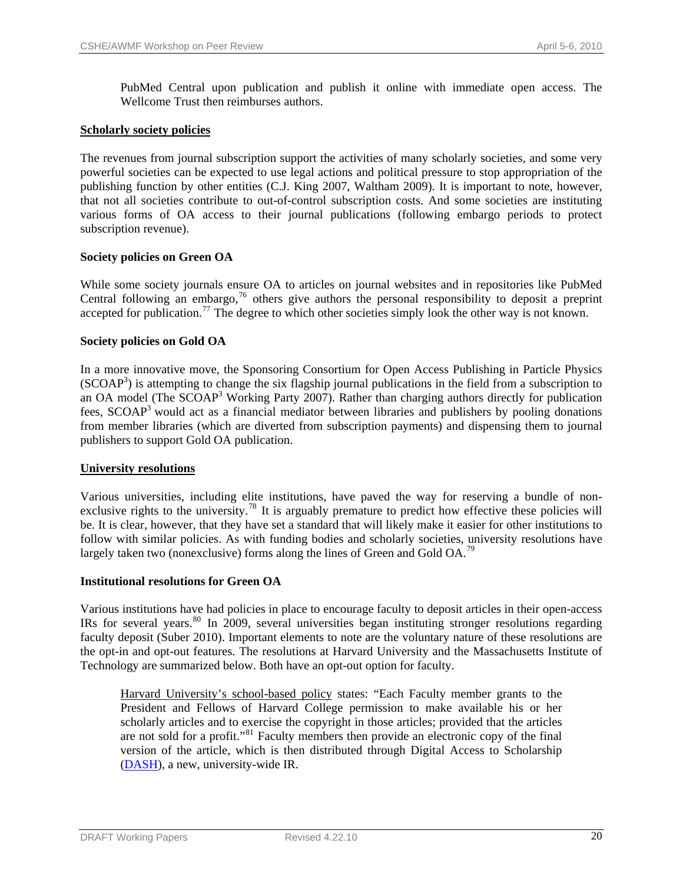PubMed Central upon publication and publish it online with immediate open access. The Wellcome Trust then reimburses authors.

# **Scholarly society policies**

The revenues from journal subscription support the activities of many scholarly societies, and some very powerful societies can be expected to use legal actions and political pressure to stop appropriation of the publishing function by other entities (C.J. King 2007, Waltham 2009). It is important to note, however, that not all societies contribute to out-of-control subscription costs. And some societies are instituting various forms of OA access to their journal publications (following embargo periods to protect subscription revenue).

# **Society policies on Green OA**

While some society journals ensure OA to articles on journal websites and in repositories like PubMed Central following an embargo,<sup>[76](#page-43-0)</sup> others give authors the personal responsibility to deposit a preprint accepted for publication.[77](#page-43-0) The degree to which other societies simply look the other way is not known.

# **Society policies on Gold OA**

In a more innovative move, the Sponsoring Consortium for Open Access Publishing in Particle Physics (SCOAP<sup>3</sup>) is attempting to change the six flagship journal publications in the field from a subscription to an OA model (The SCOAP<sup>3</sup> Working Party 2007). Rather than charging authors directly for publication fees, SCOAP3 would act as a financial mediator between libraries and publishers by pooling donations from member libraries (which are diverted from subscription payments) and dispensing them to journal publishers to support Gold OA publication.

# **University resolutions**

Various universities, including elite institutions, have paved the way for reserving a bundle of non-exclusive rights to the university.<sup>[78](#page-43-0)</sup> It is arguably premature to predict how effective these policies will be. It is clear, however, that they have set a standard that will likely make it easier for other institutions to follow with similar policies. As with funding bodies and scholarly societies, university resolutions have largely taken two (nonexclusive) forms along the lines of Green and Gold OA.<sup>[79](#page-43-0)</sup>

# **Institutional resolutions for Green OA**

Various institutions have had policies in place to encourage faculty to deposit articles in their open-access IRs for several years.[80](#page-43-0) In 2009, several universities began instituting stronger resolutions regarding faculty deposit (Suber 2010). Important elements to note are the voluntary nature of these resolutions are the opt-in and opt-out features. The resolutions at Harvard University and the Massachusetts Institute of Technology are summarized below. Both have an opt-out option for faculty.

Harvard University's school-based policy states: "Each Faculty member grants to the President and Fellows of Harvard College permission to make available his or her scholarly articles and to exercise the copyright in those articles; provided that the articles are not sold for a profit."<sup>[81](#page-43-0)</sup> Faculty members then provide an electronic copy of the final version of the article, which is then distributed through Digital Access to Scholarship ([DASH\)](http://hul.harvard.edu/news/2009_0901.html), a new, university-wide IR.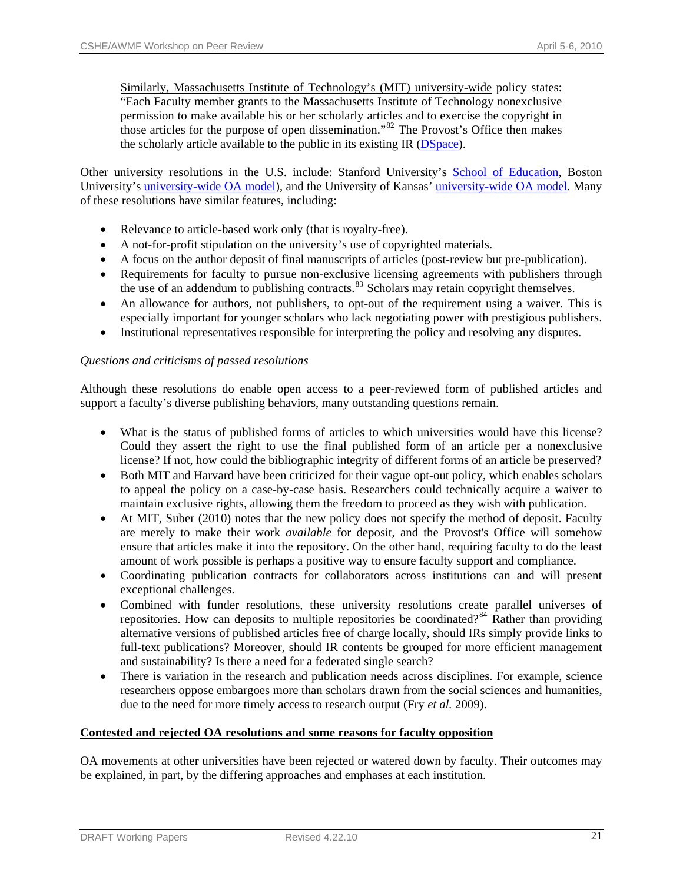Similarly, Massachusetts Institute of Technology's (MIT) university-wide policy states: "Each Faculty member grants to the Massachusetts Institute of Technology nonexclusive permission to make available his or her scholarly articles and to exercise the copyright in those articles for the purpose of open dissemination."<sup>[82](#page-43-0)</sup> The Provost's Office then makes the scholarly article available to the public in its existing IR [\(DSpace](http://dspace.mit.edu/)).

Other university resolutions in the U.S. include: Stanford University's [School of Education,](http://ed.stanford.edu/suse/faculty/dspace.html) Boston University's [university-wide OA model](http://www.bu.edu/today/node/8325)), and the University of Kansas' [university-wide OA model.](http://www.lib.ku.edu/scholcomm/OA_announce.shtml) Many of these resolutions have similar features, including:

- Relevance to article-based work only (that is royalty-free).
- A not-for-profit stipulation on the university's use of copyrighted materials.
- A focus on the author deposit of final manuscripts of articles (post-review but pre-publication).
- Requirements for faculty to pursue non-exclusive licensing agreements with publishers through the use of an addendum to publishing contracts.<sup>[83](#page-43-0)</sup> Scholars may retain copyright themselves.
- An allowance for authors, not publishers, to opt-out of the requirement using a waiver. This is especially important for younger scholars who lack negotiating power with prestigious publishers.
- Institutional representatives responsible for interpreting the policy and resolving any disputes.

# *Questions and criticisms of passed resolutions*

Although these resolutions do enable open access to a peer-reviewed form of published articles and support a faculty's diverse publishing behaviors, many outstanding questions remain.

- What is the status of published forms of articles to which universities would have this license? Could they assert the right to use the final published form of an article per a nonexclusive license? If not, how could the bibliographic integrity of different forms of an article be preserved?
- Both MIT and Harvard have been criticized for their vague opt-out policy, which enables scholars to appeal the policy on a case-by-case basis. Researchers could technically acquire a waiver to maintain exclusive rights, allowing them the freedom to proceed as they wish with publication.
- At MIT, Suber (2010) notes that the new policy does not specify the method of deposit. Faculty are merely to make their work *available* for deposit, and the Provost's Office will somehow ensure that articles make it into the repository. On the other hand, requiring faculty to do the least amount of work possible is perhaps a positive way to ensure faculty support and compliance.
- Coordinating publication contracts for collaborators across institutions can and will present exceptional challenges.
- Combined with funder resolutions, these university resolutions create parallel universes of repositories. How can deposits to multiple repositories be coordinated?<sup>[84](#page-43-0)</sup> Rather than providing alternative versions of published articles free of charge locally, should IRs simply provide links to full-text publications? Moreover, should IR contents be grouped for more efficient management and sustainability? Is there a need for a federated single search?
- There is variation in the research and publication needs across disciplines. For example, science researchers oppose embargoes more than scholars drawn from the social sciences and humanities, due to the need for more timely access to research output (Fry *et al.* 2009).

# **Contested and rejected OA resolutions and some reasons for faculty opposition**

OA movements at other universities have been rejected or watered down by faculty. Their outcomes may be explained, in part, by the differing approaches and emphases at each institution.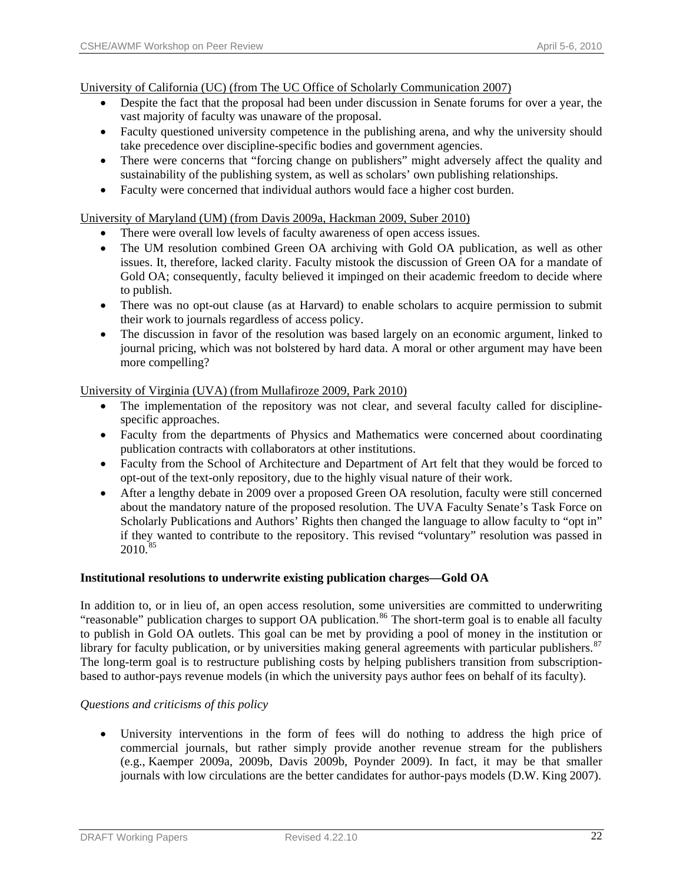University of California (UC) (from The UC Office of Scholarly Communication 2007)

- Despite the fact that the proposal had been under discussion in Senate forums for over a year, the vast majority of faculty was unaware of the proposal.
- Faculty questioned university competence in the publishing arena, and why the university should take precedence over discipline-specific bodies and government agencies.
- There were concerns that "forcing change on publishers" might adversely affect the quality and sustainability of the publishing system, as well as scholars' own publishing relationships.
- Faculty were concerned that individual authors would face a higher cost burden.

# University of Maryland (UM) (from Davis 2009a, Hackman 2009, Suber 2010)

- There were overall low levels of faculty awareness of open access issues.
- The UM resolution combined Green OA archiving with Gold OA publication, as well as other issues. It, therefore, lacked clarity. Faculty mistook the discussion of Green OA for a mandate of Gold OA; consequently, faculty believed it impinged on their academic freedom to decide where to publish.
- There was no opt-out clause (as at Harvard) to enable scholars to acquire permission to submit their work to journals regardless of access policy.
- The discussion in favor of the resolution was based largely on an economic argument, linked to journal pricing, which was not bolstered by hard data. A moral or other argument may have been more compelling?

# University of Virginia (UVA) (from Mullafiroze 2009, Park 2010)

- The implementation of the repository was not clear, and several faculty called for disciplinespecific approaches.
- Faculty from the departments of Physics and Mathematics were concerned about coordinating publication contracts with collaborators at other institutions.
- Faculty from the School of Architecture and Department of Art felt that they would be forced to opt-out of the text-only repository, due to the highly visual nature of their work.
- After a lengthy debate in 2009 over a proposed Green OA resolution, faculty were still concerned about the mandatory nature of the proposed resolution. The UVA Faculty Senate's Task Force on Scholarly Publications and Authors' Rights then changed the language to allow faculty to "opt in" if they wanted to contribute to the repository. This revised "voluntary" resolution was passed in  $2010.^{85}$  $2010.^{85}$  $2010.^{85}$

# **Institutional resolutions to underwrite existing publication charges—Gold OA**

In addition to, or in lieu of, an open access resolution, some universities are committed to underwriting "reasonable" publication charges to support OA publication.<sup>[86](#page-43-0)</sup> The short-term goal is to enable all faculty to publish in Gold OA outlets. This goal can be met by providing a pool of money in the institution or library for faculty publication, or by universities making general agreements with particular publishers.<sup>[87](#page-43-0)</sup> The long-term goal is to restructure publishing costs by helping publishers transition from subscriptionbased to author-pays revenue models (in which the university pays author fees on behalf of its faculty).

# *Questions and criticisms of this policy*

• University interventions in the form of fees will do nothing to address the high price of commercial journals, but rather simply provide another revenue stream for the publishers (e.g., Kaemper 2009a, 2009b, Davis 2009b, Poynder 2009). In fact, it may be that smaller journals with low circulations are the better candidates for author-pays models (D.W. King 2007).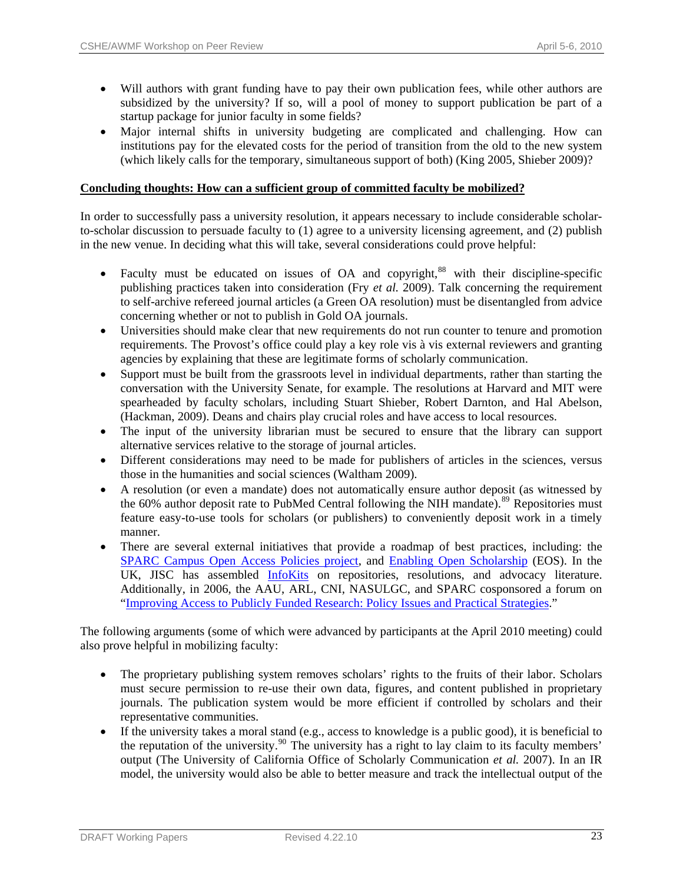- Will authors with grant funding have to pay their own publication fees, while other authors are subsidized by the university? If so, will a pool of money to support publication be part of a startup package for junior faculty in some fields?
- Major internal shifts in university budgeting are complicated and challenging. How can institutions pay for the elevated costs for the period of transition from the old to the new system (which likely calls for the temporary, simultaneous support of both) (King 2005, Shieber 2009)?

# **Concluding thoughts: How can a sufficient group of committed faculty be mobilized?**

In order to successfully pass a university resolution, it appears necessary to include considerable scholarto-scholar discussion to persuade faculty to (1) agree to a university licensing agreement, and (2) publish in the new venue. In deciding what this will take, several considerations could prove helpful:

- Faculty must be educated on issues of OA and copyright,<sup>[88](#page-43-0)</sup> with their discipline-specific publishing practices taken into consideration (Fry *et al.* 2009). Talk concerning the requirement to self-archive refereed journal articles (a Green OA resolution) must be disentangled from advice concerning whether or not to publish in Gold OA journals.
- Universities should make clear that new requirements do not run counter to tenure and promotion requirements. The Provost's office could play a key role vis à vis external reviewers and granting agencies by explaining that these are legitimate forms of scholarly communication.
- Support must be built from the grassroots level in individual departments, rather than starting the conversation with the University Senate, for example. The resolutions at Harvard and MIT were spearheaded by faculty scholars, including Stuart Shieber, Robert Darnton, and Hal Abelson, (Hackman, 2009). Deans and chairs play crucial roles and have access to local resources.
- The input of the university librarian must be secured to ensure that the library can support alternative services relative to the storage of journal articles.
- Different considerations may need to be made for publishers of articles in the sciences, versus those in the humanities and social sciences (Waltham 2009).
- A resolution (or even a mandate) does not automatically ensure author deposit (as witnessed by the 60% author deposit rate to PubMed Central following the NIH mandate).<sup>[89](#page-43-0)</sup> Repositories must feature easy-to-use tools for scholars (or publishers) to conveniently deposit work in a timely manner.
- There are several external initiatives that provide a roadmap of best practices, including: the [SPARC Campus Open Access Policies project](http://www.arl.org/sparc/advocacy/campus/), and [Enabling Open Scholarship](http://www.openscholarship.org/jcms/j_6/home) (EOS). In the UK, JISC has assembled [InfoKits](http://www.jiscinfonet.ac.uk/infokits) on repositories, resolutions, and advocacy literature. Additionally, in 2006, the AAU, ARL, CNI, NASULGC, and SPARC cosponsored a forum on "[Improving Access to Publicly Funded Research: Policy Issues and Practical Strategies](http://www.arl.org/events/fallforum/forum06/index.shtml)."

The following arguments (some of which were advanced by participants at the April 2010 meeting) could also prove helpful in mobilizing faculty:

- The proprietary publishing system removes scholars' rights to the fruits of their labor. Scholars must secure permission to re-use their own data, figures, and content published in proprietary journals. The publication system would be more efficient if controlled by scholars and their representative communities.
- If the university takes a moral stand (e.g., access to knowledge is a public good), it is beneficial to the reputation of the university.<sup>[90](#page-44-0)</sup> The university has a right to lay claim to its faculty members' output (The University of California Office of Scholarly Communication *et al.* 2007). In an IR model, the university would also be able to better measure and track the intellectual output of the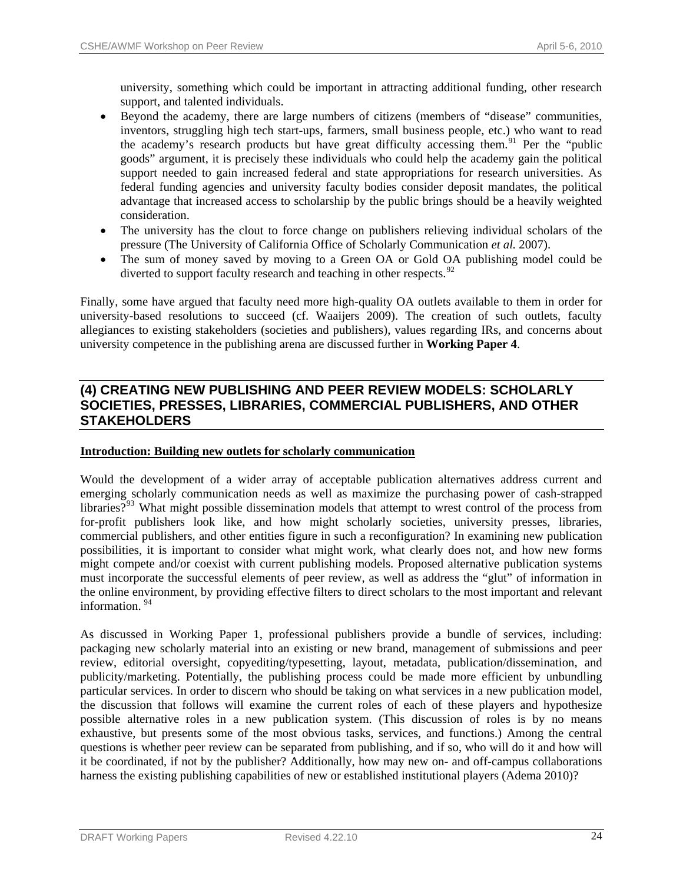university, something which could be important in attracting additional funding, other research support, and talented individuals.

- Beyond the academy, there are large numbers of citizens (members of "disease" communities, inventors, struggling high tech start-ups, farmers, small business people, etc.) who want to read the academy's research products but have great difficulty accessing them.<sup>[91](#page-44-0)</sup> Per the "public goods" argument, it is precisely these individuals who could help the academy gain the political support needed to gain increased federal and state appropriations for research universities. As federal funding agencies and university faculty bodies consider deposit mandates, the political advantage that increased access to scholarship by the public brings should be a heavily weighted consideration.
- The university has the clout to force change on publishers relieving individual scholars of the pressure (The University of California Office of Scholarly Communication *et al.* 2007).
- The sum of money saved by moving to a Green OA or Gold OA publishing model could be diverted to support faculty research and teaching in other respects.<sup>[92](#page-44-0)</sup>

Finally, some have argued that faculty need more high-quality OA outlets available to them in order for university-based resolutions to succeed (cf. Waaijers 2009). The creation of such outlets, faculty allegiances to existing stakeholders (societies and publishers), values regarding IRs, and concerns about university competence in the publishing arena are discussed further in **Working Paper 4**.

# **(4) CREATING NEW PUBLISHING AND PEER REVIEW MODELS: SCHOLARLY SOCIETIES, PRESSES, LIBRARIES, COMMERCIAL PUBLISHERS, AND OTHER STAKEHOLDERS**

# **Introduction: Building new outlets for scholarly communication**

Would the development of a wider array of acceptable publication alternatives address current and emerging scholarly communication needs as well as maximize the purchasing power of cash-strapped libraries?<sup>[93](#page-44-0)</sup> What might possible dissemination models that attempt to wrest control of the process from for-profit publishers look like, and how might scholarly societies, university presses, libraries, commercial publishers, and other entities figure in such a reconfiguration? In examining new publication possibilities, it is important to consider what might work, what clearly does not, and how new forms might compete and/or coexist with current publishing models. Proposed alternative publication systems must incorporate the successful elements of peer review, as well as address the "glut" of information in the online environment, by providing effective filters to direct scholars to the most important and relevant information. [94](#page-44-0)

As discussed in Working Paper 1, professional publishers provide a bundle of services, including: packaging new scholarly material into an existing or new brand, management of submissions and peer review, editorial oversight, copyediting/typesetting, layout, metadata, publication/dissemination, and publicity/marketing. Potentially, the publishing process could be made more efficient by unbundling particular services. In order to discern who should be taking on what services in a new publication model, the discussion that follows will examine the current roles of each of these players and hypothesize possible alternative roles in a new publication system. (This discussion of roles is by no means exhaustive, but presents some of the most obvious tasks, services, and functions.) Among the central questions is whether peer review can be separated from publishing, and if so, who will do it and how will it be coordinated, if not by the publisher? Additionally, how may new on- and off-campus collaborations harness the existing publishing capabilities of new or established institutional players (Adema 2010)?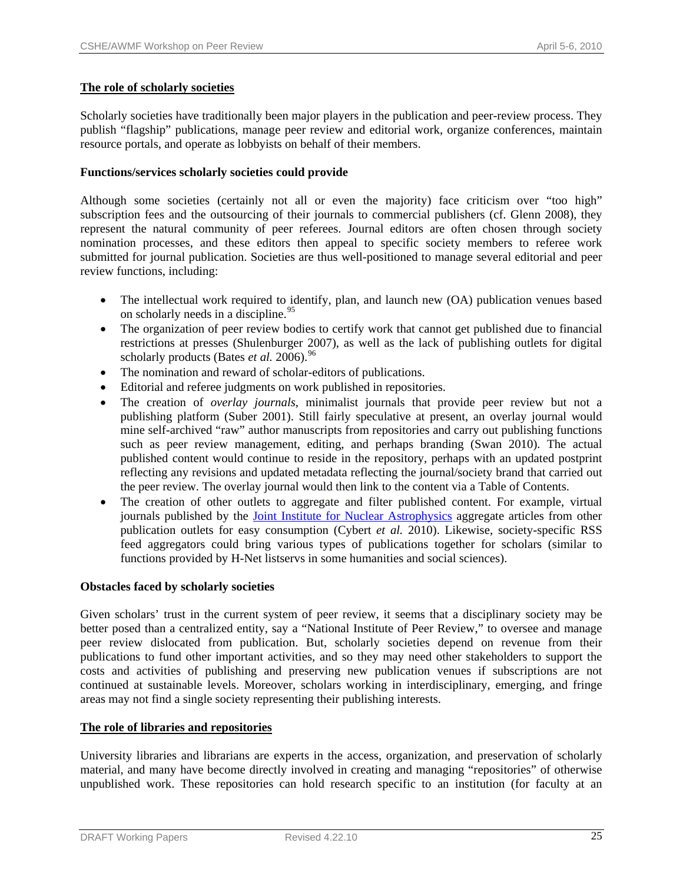# **The role of scholarly societies**

Scholarly societies have traditionally been major players in the publication and peer-review process. They publish "flagship" publications, manage peer review and editorial work, organize conferences, maintain resource portals, and operate as lobbyists on behalf of their members.

# **Functions/services scholarly societies could provide**

Although some societies (certainly not all or even the majority) face criticism over "too high" subscription fees and the outsourcing of their journals to commercial publishers (cf. Glenn 2008), they represent the natural community of peer referees. Journal editors are often chosen through society nomination processes, and these editors then appeal to specific society members to referee work submitted for journal publication. Societies are thus well-positioned to manage several editorial and peer review functions, including:

- The intellectual work required to identify, plan, and launch new (OA) publication venues based on scholarly needs in a discipline.  $95$
- The organization of peer review bodies to certify work that cannot get published due to financial restrictions at presses (Shulenburger 2007), as well as the lack of publishing outlets for digital scholarly products (Bates *et al.* 2006).<sup>[96](#page-44-0)</sup>
- The nomination and reward of scholar-editors of publications.
- Editorial and referee judgments on work published in repositories.
- The creation of *overlay journals*, minimalist journals that provide peer review but not a publishing platform (Suber 2001). Still fairly speculative at present, an overlay journal would mine self-archived "raw" author manuscripts from repositories and carry out publishing functions such as peer review management, editing, and perhaps branding (Swan 2010). The actual published content would continue to reside in the repository, perhaps with an updated postprint reflecting any revisions and updated metadata reflecting the journal/society brand that carried out the peer review. The overlay journal would then link to the content via a Table of Contents.
- The creation of other outlets to aggregate and filter published content. For example, virtual journals published by the [Joint Institute for Nuclear Astrophysics](http://www.jinaweb.org/html/vj.html) aggregate articles from other publication outlets for easy consumption (Cybert *et al.* 2010). Likewise, society-specific RSS feed aggregators could bring various types of publications together for scholars (similar to functions provided by H-Net listservs in some humanities and social sciences).

# **Obstacles faced by scholarly societies**

Given scholars' trust in the current system of peer review, it seems that a disciplinary society may be better posed than a centralized entity, say a "National Institute of Peer Review," to oversee and manage peer review dislocated from publication. But, scholarly societies depend on revenue from their publications to fund other important activities, and so they may need other stakeholders to support the costs and activities of publishing and preserving new publication venues if subscriptions are not continued at sustainable levels. Moreover, scholars working in interdisciplinary, emerging, and fringe areas may not find a single society representing their publishing interests.

# **The role of libraries and repositories**

University libraries and librarians are experts in the access, organization, and preservation of scholarly material, and many have become directly involved in creating and managing "repositories" of otherwise unpublished work. These repositories can hold research specific to an institution (for faculty at an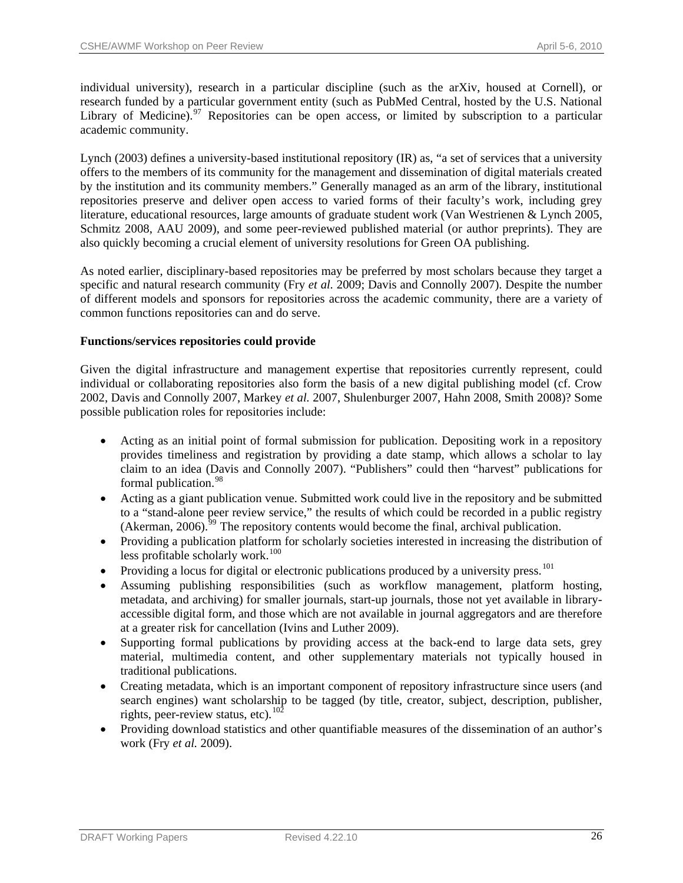individual university), research in a particular discipline (such as the arXiv, housed at Cornell), or research funded by a particular government entity (such as PubMed Central, hosted by the [U.S. National](http://www.nlm.nih.gov/)  [Library of Medicine\)](http://www.nlm.nih.gov/).<sup>[97](#page-44-0)</sup> Repositories can be open access, or limited by subscription to a particular academic community.

Lynch (2003) defines a university-based institutional repository (IR) as, "a set of services that a university offers to the members of its community for the management and dissemination of digital materials created by the institution and its community members." Generally managed as an arm of the library, institutional repositories preserve and deliver open access to varied forms of their faculty's work, including grey literature, educational resources, large amounts of graduate student work (Van Westrienen & Lynch 2005, Schmitz 2008, AAU 2009), and some peer-reviewed published material (or author preprints). They are also quickly becoming a crucial element of university resolutions for Green OA publishing.

As noted earlier, disciplinary-based repositories may be preferred by most scholars because they target a specific and natural research community (Fry *et al.* 2009; Davis and Connolly 2007). Despite the number of different models and sponsors for repositories across the academic community, there are a variety of common functions repositories can and do serve.

# **Functions/services repositories could provide**

Given the digital infrastructure and management expertise that repositories currently represent, could individual or collaborating repositories also form the basis of a new digital publishing model (cf. Crow 2002, Davis and Connolly 2007, Markey *et al.* 2007, Shulenburger 2007, Hahn 2008, Smith 2008)? Some possible publication roles for repositories include:

- Acting as an initial point of formal submission for publication. Depositing work in a repository provides timeliness and registration by providing a date stamp, which allows a scholar to lay claim to an idea (Davis and Connolly 2007). "Publishers" could then "harvest" publications for formal publication.<sup>[98](#page-44-0)</sup>
- Acting as a giant publication venue. Submitted work could live in the repository and be submitted to a "stand-alone peer review service," the results of which could be recorded in a public registry (Akerman,  $2006$ ).<sup>[99](#page-44-0)</sup> The repository contents would become the final, archival publication.
- Providing a publication platform for scholarly societies interested in increasing the distribution of less profitable scholarly work.<sup>[100](#page-44-0)</sup>
- Providing a locus for digital or electronic publications produced by a university press.<sup>[101](#page-44-0)</sup>
- Assuming publishing responsibilities (such as workflow management, platform hosting, metadata, and archiving) for smaller journals, start-up journals, those not yet available in libraryaccessible digital form, and those which are not available in journal aggregators and are therefore at a greater risk for cancellation (Ivins and Luther 2009).
- Supporting formal publications by providing access at the back-end to large data sets, grey material, multimedia content, and other supplementary materials not typically housed in traditional publications.
- Creating metadata, which is an important component of repository infrastructure since users (and search engines) want scholarship to be tagged (by title, creator, subject, description, publisher, rights, peer-review status, etc). $10^2$
- Providing download statistics and other quantifiable measures of the dissemination of an author's work (Fry *et al.* 2009).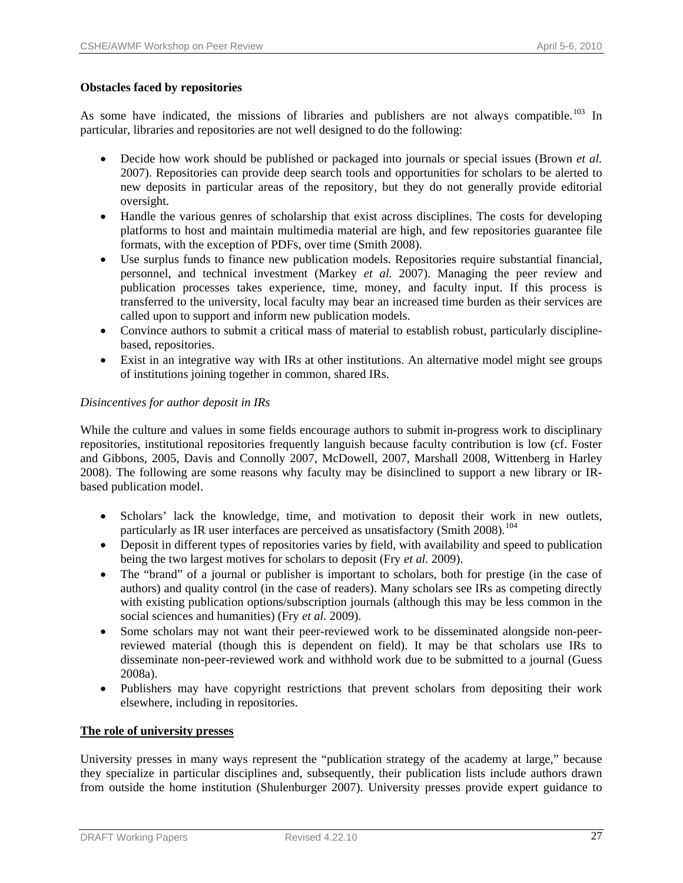# **Obstacles faced by repositories**

As some have indicated, the missions of libraries and publishers are not always compatible.<sup>[103](#page-44-0)</sup> In particular, libraries and repositories are not well designed to do the following:

- Decide how work should be published or packaged into journals or special issues (Brown *et al.*  2007). Repositories can provide deep search tools and opportunities for scholars to be alerted to new deposits in particular areas of the repository, but they do not generally provide editorial oversight.
- Handle the various genres of scholarship that exist across disciplines. The costs for developing platforms to host and maintain multimedia material are high, and few repositories guarantee file formats, with the exception of PDFs, over time (Smith 2008).
- Use surplus funds to finance new publication models. Repositories require substantial financial, personnel, and technical investment (Markey *et al.* 2007). Managing the peer review and publication processes takes experience, time, money, and faculty input. If this process is transferred to the university, local faculty may bear an increased time burden as their services are called upon to support and inform new publication models.
- Convince authors to submit a critical mass of material to establish robust, particularly disciplinebased, repositories.
- Exist in an integrative way with IRs at other institutions. An alternative model might see groups of institutions joining together in common, shared IRs.

# *Disincentives for author deposit in IRs*

While the culture and values in some fields encourage authors to submit in-progress work to disciplinary repositories, institutional repositories frequently languish because faculty contribution is low (cf. Foster and Gibbons, 2005, Davis and Connolly 2007, McDowell, 2007, Marshall 2008, Wittenberg in Harley 2008). The following are some reasons why faculty may be disinclined to support a new library or IRbased publication model.

- Scholars' lack the knowledge, time, and motivation to deposit their work in new outlets, particularly as IR user interfaces are perceived as unsatisfactory (Smith 2008).<sup>[104](#page-44-0)</sup>
- Deposit in different types of repositories varies by field, with availability and speed to publication being the two largest motives for scholars to deposit (Fry *et al.* 2009).
- The "brand" of a journal or publisher is important to scholars, both for prestige (in the case of authors) and quality control (in the case of readers). Many scholars see IRs as competing directly with existing publication options/subscription journals (although this may be less common in the social sciences and humanities) (Fry *et al.* 2009).
- Some scholars may not want their peer-reviewed work to be disseminated alongside non-peerreviewed material (though this is dependent on field). It may be that scholars use IRs to disseminate non-peer-reviewed work and withhold work due to be submitted to a journal (Guess 2008a).
- Publishers may have copyright restrictions that prevent scholars from depositing their work elsewhere, including in repositories.

# **The role of university presses**

University presses in many ways represent the "publication strategy of the academy at large," because they specialize in particular disciplines and, subsequently, their publication lists include authors drawn from outside the home institution (Shulenburger 2007). University presses provide expert guidance to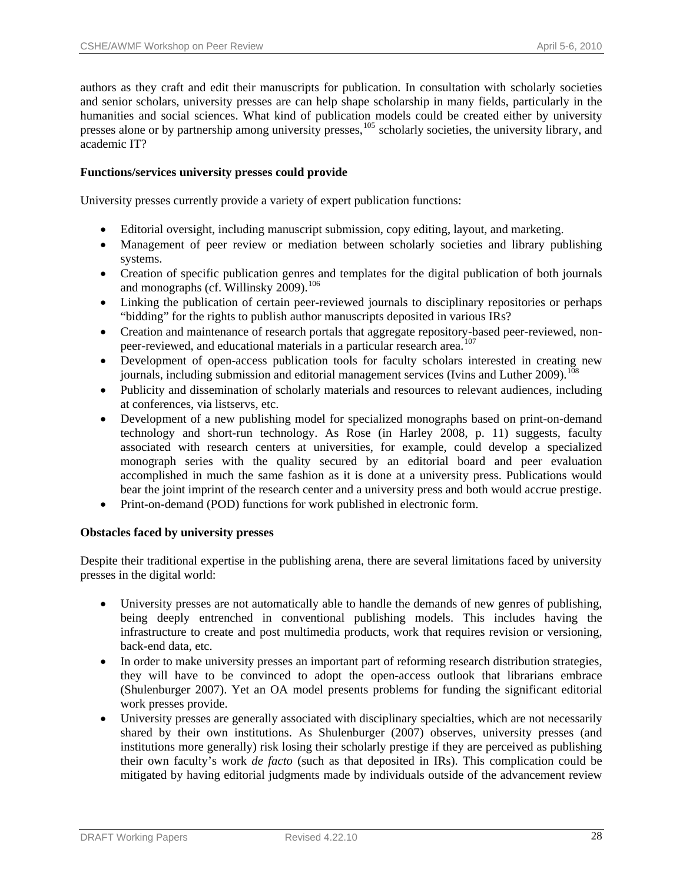authors as they craft and edit their manuscripts for publication. In consultation with scholarly societies and senior scholars, university presses are can help shape scholarship in many fields, particularly in the humanities and social sciences. What kind of publication models could be created either by university presses alone or by partnership among university presses,<sup>[105](#page-44-0)</sup> scholarly societies, the university library, and academic IT?

# **Functions/services university presses could provide**

University presses currently provide a variety of expert publication functions:

- Editorial oversight, including manuscript submission, copy editing, layout, and marketing.
- Management of peer review or mediation between scholarly societies and library publishing systems.
- Creation of specific publication genres and templates for the digital publication of both journals and monographs (cf. Willinsky 2009).<sup>[106](#page-44-0)</sup>
- Linking the publication of certain peer-reviewed journals to disciplinary repositories or perhaps "bidding" for the rights to publish author manuscripts deposited in various IRs?
- Creation and maintenance of research portals that aggregate repository-based peer-reviewed, non-peer-reviewed, and educational materials in a particular research area.<sup>[107](#page-44-0)</sup>
- Development of open-access publication tools for faculty scholars interested in creating new journals, including submission and editorial management services (Ivins and Luther 2009).<sup>[108](#page-45-0)</sup>
- Publicity and dissemination of scholarly materials and resources to relevant audiences, including at conferences, via listservs, etc.
- Development of a new publishing model for specialized monographs based on print-on-demand technology and short-run technology. As Rose (in Harley 2008, p. 11) suggests, faculty associated with research centers at universities, for example, could develop a specialized monograph series with the quality secured by an editorial board and peer evaluation accomplished in much the same fashion as it is done at a university press. Publications would bear the joint imprint of the research center and a university press and both would accrue prestige.
- Print-on-demand (POD) functions for work published in electronic form.

# **Obstacles faced by university presses**

Despite their traditional expertise in the publishing arena, there are several limitations faced by university presses in the digital world:

- University presses are not automatically able to handle the demands of new genres of publishing, being deeply entrenched in conventional publishing models. This includes having the infrastructure to create and post multimedia products, work that requires revision or versioning, back-end data, etc.
- In order to make university presses an important part of reforming research distribution strategies, they will have to be convinced to adopt the open-access outlook that librarians embrace (Shulenburger 2007). Yet an OA model presents problems for funding the significant editorial work presses provide.
- University presses are generally associated with disciplinary specialties, which are not necessarily shared by their own institutions. As Shulenburger (2007) observes, university presses (and institutions more generally) risk losing their scholarly prestige if they are perceived as publishing their own faculty's work *de facto* (such as that deposited in IRs). This complication could be mitigated by having editorial judgments made by individuals outside of the advancement review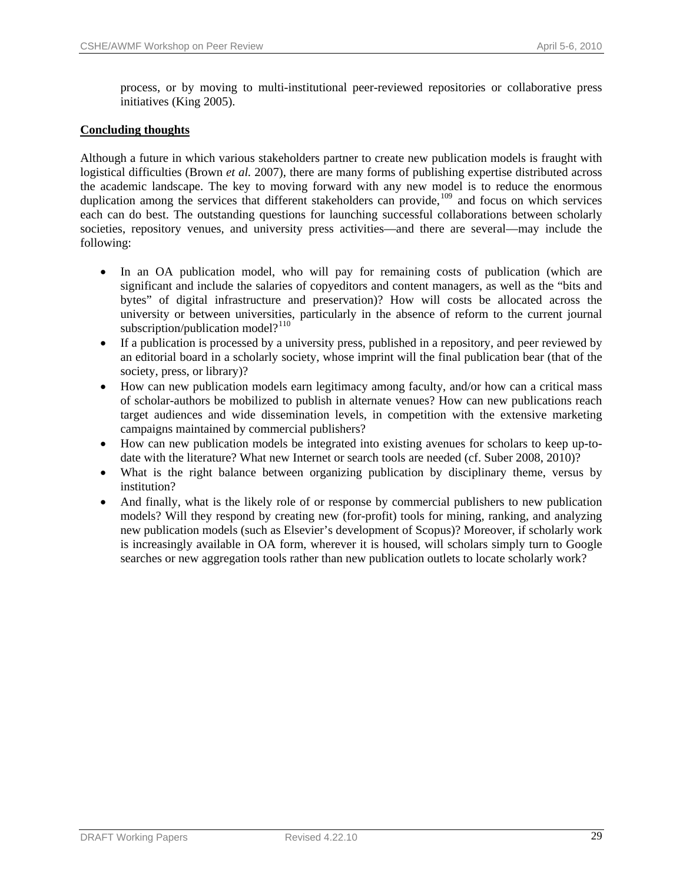process, or by moving to multi-institutional peer-reviewed repositories or collaborative press initiatives (King 2005).

# **Concluding thoughts**

Although a future in which various stakeholders partner to create new publication models is fraught with logistical difficulties (Brown *et al.* 2007), there are many forms of publishing expertise distributed across the academic landscape. The key to moving forward with any new model is to reduce the enormous duplication among the services that different stakeholders can provide,<sup>[109](#page-45-0)</sup> and focus on which services each can do best. The outstanding questions for launching successful collaborations between scholarly societies, repository venues, and university press activities—and there are several—may include the following:

- In an OA publication model, who will pay for remaining costs of publication (which are significant and include the salaries of copyeditors and content managers, as well as the "bits and bytes" of digital infrastructure and preservation)? How will costs be allocated across the university or between universities, particularly in the absence of reform to the current journal subscription/publication model? $110$
- If a publication is processed by a university press, published in a repository, and peer reviewed by an editorial board in a scholarly society, whose imprint will the final publication bear (that of the society, press, or library)?
- How can new publication models earn legitimacy among faculty, and/or how can a critical mass of scholar-authors be mobilized to publish in alternate venues? How can new publications reach target audiences and wide dissemination levels, in competition with the extensive marketing campaigns maintained by commercial publishers?
- How can new publication models be integrated into existing avenues for scholars to keep up-todate with the literature? What new Internet or search tools are needed (cf. Suber 2008, 2010)?
- What is the right balance between organizing publication by disciplinary theme, versus by institution?
- And finally, what is the likely role of or response by commercial publishers to new publication models? Will they respond by creating new (for-profit) tools for mining, ranking, and analyzing new publication models (such as Elsevier's development of Scopus)? Moreover, if scholarly work is increasingly available in OA form, wherever it is housed, will scholars simply turn to Google searches or new aggregation tools rather than new publication outlets to locate scholarly work?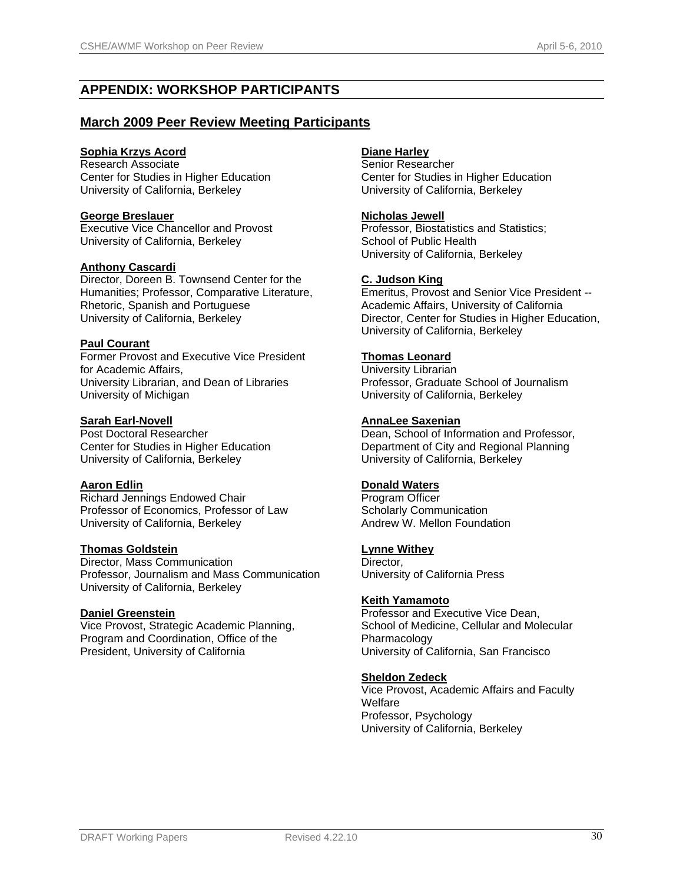# **APPENDIX: WORKSHOP PARTICIPANTS**

# **March 2009 Peer Review Meeting Participants**

# **Sophia Krzys Acord**

Research Associate Center for Studies in Higher Education University of California, Berkeley

# **George Breslauer**

Executive Vice Chancellor and Provost University of California, Berkeley

# **Anthony Cascardi**

Director, Doreen B. Townsend Center for the Humanities; Professor, Comparative Literature, Rhetoric, Spanish and Portuguese University of California, Berkeley

#### **Paul Courant**

Former Provost and Executive Vice President for Academic Affairs, University Librarian, and Dean of Libraries University of Michigan

# **Sarah Earl-Novell**

Post Doctoral Researcher Center for Studies in Higher Education University of California, Berkeley

# **Aaron Edlin**

Richard Jennings Endowed Chair Professor of Economics, Professor of Law University of California, Berkeley

# **Thomas Goldstein**

Director, Mass Communication Professor, Journalism and Mass Communication University of California, Berkeley

# **Daniel Greenstein**

Vice Provost, Strategic Academic Planning, Program and Coordination, Office of the President, University of California

# **Diane Harley**

Senior Researcher Center for Studies in Higher Education University of California, Berkeley

# **Nicholas Jewell**

Professor, Biostatistics and Statistics; School of Public Health University of California, Berkeley

#### **C. Judson King**

Emeritus, Provost and Senior Vice President -- Academic Affairs, University of California Director, Center for Studies in Higher Education, University of California, Berkeley

# **Thomas Leonard**

University Librarian Professor, Graduate School of Journalism University of California, Berkeley

# **AnnaLee Saxenian**

Dean, School of Information and Professor, Department of City and Regional Planning University of California, Berkeley

# **Donald Waters**

Program Officer Scholarly Communication Andrew W. Mellon Foundation

#### **Lynne Withey**

Director, University of California Press

# **Keith Yamamoto**

Professor and Executive Vice Dean, School of Medicine, Cellular and Molecular Pharmacology University of California, San Francisco

# **Sheldon Zedeck**

Vice Provost, Academic Affairs and Faculty **Welfare** Professor, Psychology University of California, Berkeley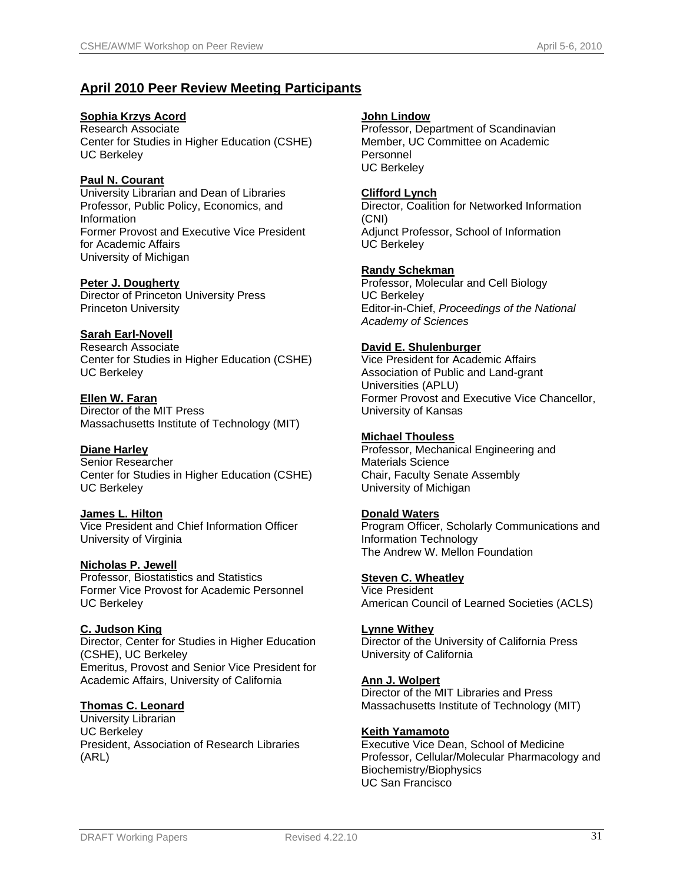# **April 2010 Peer Review Meeting Participants**

# **Sophia Krzys Acord**

Research Associate Center for Studies in Higher Education (CSHE) UC Berkeley

# **Paul N. Courant**

University Librarian and Dean of Libraries Professor, Public Policy, Economics, and Information Former Provost and Executive Vice President for Academic Affairs University of Michigan

#### **Peter J. Dougherty**

Director of Princeton University Press Princeton University

# **Sarah Earl-Novell**

Research Associate Center for Studies in Higher Education (CSHE) UC Berkeley

# **Ellen W. Faran**

Director of the MIT Press Massachusetts Institute of Technology (MIT)

# **Diane Harley**

Senior Researcher Center for Studies in Higher Education (CSHE) UC Berkeley

#### **James L. Hilton**

Vice President and Chief Information Officer University of Virginia

# **Nicholas P. Jewell**

Professor, Biostatistics and Statistics Former Vice Provost for Academic Personnel UC Berkeley

#### **C. Judson King**

Director, Center for Studies in Higher Education (CSHE), UC Berkeley Emeritus, Provost and Senior Vice President for Academic Affairs, University of California

# **Thomas C. Leonard**

University Librarian UC Berkeley President, Association of Research Libraries (ARL)

#### **John Lindow**

Professor, Department of Scandinavian Member, UC Committee on Academic Personnel UC Berkeley

#### **Clifford Lynch**

Director, Coalition for Networked Information (CNI) Adjunct Professor, School of Information UC Berkeley

# **Randy Schekman**

Professor, Molecular and Cell Biology UC Berkeley Editor-in-Chief, *Proceedings of the National Academy of Sciences*

#### **David E. Shulenburger**

Vice President for Academic Affairs Association of Public and Land-grant Universities (APLU) Former Provost and Executive Vice Chancellor, University of Kansas

#### **Michael Thouless**

Professor, Mechanical Engineering and Materials Science Chair, Faculty Senate Assembly University of Michigan

#### **Donald Waters**

Program Officer, Scholarly Communications and Information Technology The Andrew W. Mellon Foundation

# **Steven C. Wheatley**

Vice President American Council of Learned Societies (ACLS)

# **Lynne Withey**

Director of the University of California Press University of California

# **Ann J. Wolpert**

Director of the MIT Libraries and Press Massachusetts Institute of Technology (MIT)

#### **Keith Yamamoto**

Executive Vice Dean, School of Medicine Professor, Cellular/Molecular Pharmacology and Biochemistry/Biophysics UC San Francisco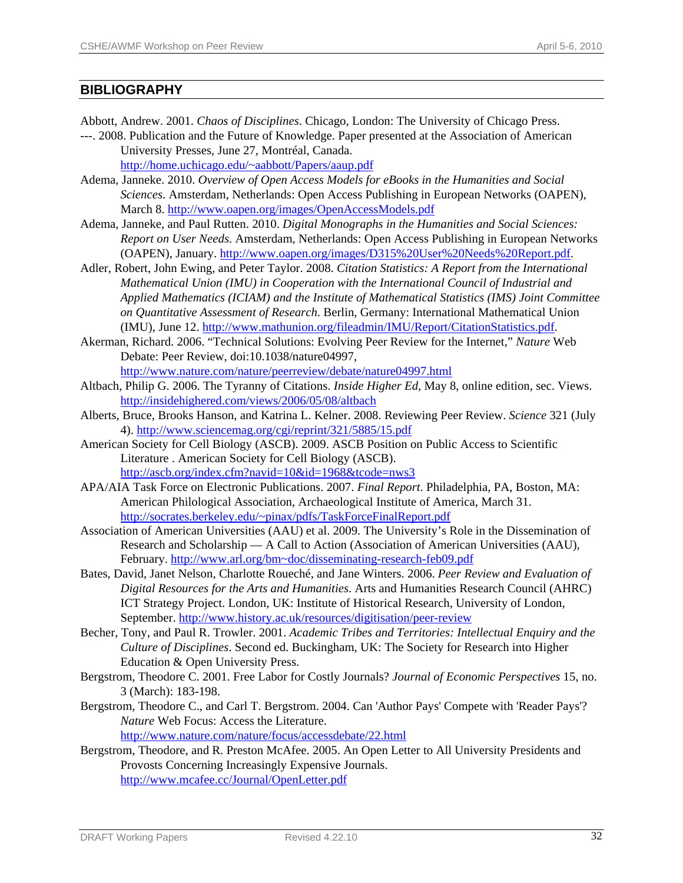# **BIBLIOGRAPHY**

- Abbott, Andrew. 2001. *Chaos of Disciplines*. Chicago, London: The University of Chicago Press.
- ---. 2008. Publication and the Future of Knowledge. Paper presented at the Association of American University Presses, June 27, Montréal, Canada. [http://home.uchicago.edu/~aabbott/Papers/aaup.pdf](http://home.uchicago.edu/%7Eaabbott/Papers/aaup.pdf)
- Adema, Janneke. 2010. *Overview of Open Access Models for eBooks in the Humanities and Social Sciences*. Amsterdam, Netherlands: Open Access Publishing in European Networks (OAPEN), March 8.<http://www.oapen.org/images/OpenAccessModels.pdf>
- Adema, Janneke, and Paul Rutten. 2010. *Digital Monographs in the Humanities and Social Sciences: Report on User Needs*. Amsterdam, Netherlands: Open Access Publishing in European Networks (OAPEN), January. [http://www.oapen.org/images/D315%20User%20Needs%20Report.pdf.](http://www.oapen.org/images/D315%20User%20Needs%20Report.pdf)
- Adler, Robert, John Ewing, and Peter Taylor. 2008. *Citation Statistics: A Report from the International Mathematical Union (IMU) in Cooperation with the International Council of Industrial and Applied Mathematics (ICIAM) and the Institute of Mathematical Statistics (IMS) Joint Committee on Quantitative Assessment of Research*. Berlin, Germany: International Mathematical Union (IMU), June 12. <http://www.mathunion.org/fileadmin/IMU/Report/CitationStatistics.pdf>.
- Akerman, Richard. 2006. "Technical Solutions: Evolving Peer Review for the Internet," *Nature* Web Debate: Peer Review, doi:10.1038/nature04997,

<http://www.nature.com/nature/peerreview/debate/nature04997.html>

- Altbach, Philip G. 2006. The Tyranny of Citations. *Inside Higher Ed*, May 8, online edition, sec. Views. <http://insidehighered.com/views/2006/05/08/altbach>
- Alberts, Bruce, Brooks Hanson, and Katrina L. Kelner. 2008. Reviewing Peer Review. *Science* 321 (July 4). <http://www.sciencemag.org/cgi/reprint/321/5885/15.pdf>
- American Society for Cell Biology (ASCB). 2009. ASCB Position on Public Access to Scientific Literature . American Society for Cell Biology (ASCB). <http://ascb.org/index.cfm?navid=10&id=1968&tcode=nws3>
- APA/AIA Task Force on Electronic Publications. 2007. *Final Report*. Philadelphia, PA, Boston, MA: American Philological Association, Archaeological Institute of America, March 31. [http://socrates.berkeley.edu/~pinax/pdfs/TaskForceFinalReport.pdf](http://socrates.berkeley.edu/%7Epinax/pdfs/TaskForceFinalReport.pdf)
- Association of American Universities (AAU) et al. 2009. The University's Role in the Dissemination of Research and Scholarship — A Call to Action (Association of American Universities (AAU), February. [http://www.arl.org/bm~doc/disseminating-research-feb09.pdf](http://www.arl.org/bm%7Edoc/disseminating-research-feb09.pdf)
- Bates, David, Janet Nelson, Charlotte Roueché, and Jane Winters. 2006. *Peer Review and Evaluation of Digital Resources for the Arts and Humanities*. Arts and Humanities Research Council (AHRC) ICT Strategy Project. London, UK: Institute of Historical Research, University of London, September.<http://www.history.ac.uk/resources/digitisation/peer-review>
- Becher, Tony, and Paul R. Trowler. 2001. *Academic Tribes and Territories: Intellectual Enquiry and the Culture of Disciplines*. Second ed. Buckingham, UK: The Society for Research into Higher Education & Open University Press.
- Bergstrom, Theodore C. 2001. Free Labor for Costly Journals? *Journal of Economic Perspectives* 15, no. 3 (March): 183-198.
- Bergstrom, Theodore C., and Carl T. Bergstrom. 2004. Can 'Author Pays' Compete with 'Reader Pays'? *Nature* Web Focus: Access the Literature.

<http://www.nature.com/nature/focus/accessdebate/22.html>

Bergstrom, Theodore, and R. Preston McAfee. 2005. An Open Letter to All University Presidents and Provosts Concerning Increasingly Expensive Journals. <http://www.mcafee.cc/Journal/OpenLetter.pdf>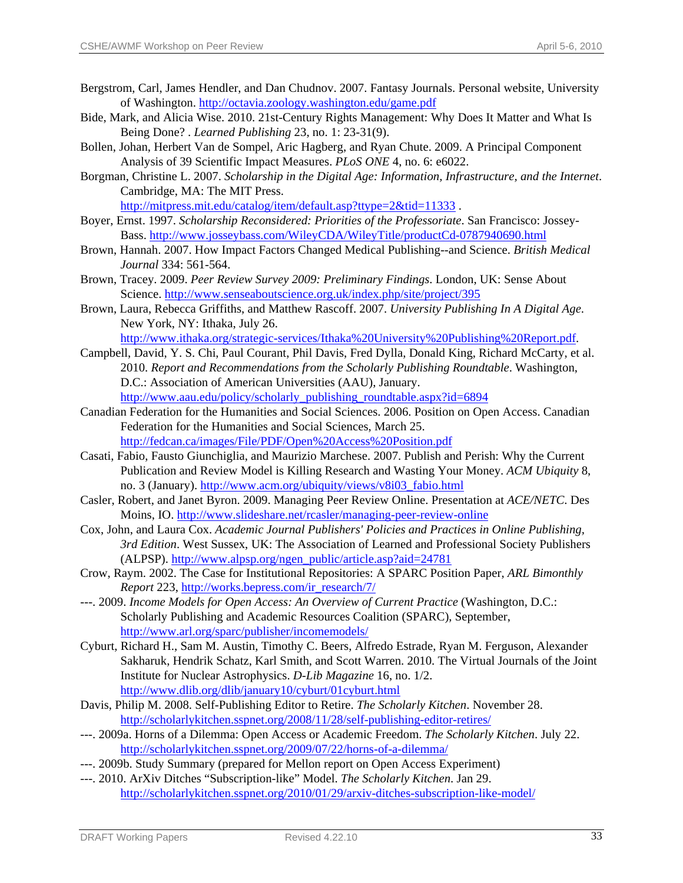- Bergstrom, Carl, James Hendler, and Dan Chudnov. 2007. Fantasy Journals. Personal website, University of Washington. <http://octavia.zoology.washington.edu/game.pdf>
- Bide, Mark, and Alicia Wise. 2010. 21st-Century Rights Management: Why Does It Matter and What Is Being Done? . *Learned Publishing* 23, no. 1: 23-31(9).
- Bollen, Johan, Herbert Van de Sompel, Aric Hagberg, and Ryan Chute. 2009. A Principal Component Analysis of 39 Scientific Impact Measures. *PLoS ONE* 4, no. 6: e6022.
- Borgman, Christine L. 2007. *Scholarship in the Digital Age: Information, Infrastructure, and the Internet*. Cambridge, MA: The MIT Press.

<http://mitpress.mit.edu/catalog/item/default.asp?ttype=2&tid=11333>.

- Boyer, Ernst. 1997. *Scholarship Reconsidered: Priorities of the Professoriate*. San Francisco: Jossey-Bass.<http://www.josseybass.com/WileyCDA/WileyTitle/productCd-0787940690.html>
- Brown, Hannah. 2007. How Impact Factors Changed Medical Publishing--and Science. *British Medical Journal* 334: 561-564.
- Brown, Tracey. 2009. *Peer Review Survey 2009: Preliminary Findings*. London, UK: Sense About Science. <http://www.senseaboutscience.org.uk/index.php/site/project/395>
- Brown, Laura, Rebecca Griffiths, and Matthew Rascoff. 2007. *University Publishing In A Digital Age*. New York, NY: Ithaka, July 26. [http://www.ithaka.org/strategic-services/Ithaka%20University%20Publishing%20Report.pdf.](http://www.ithaka.org/strategic-services/Ithaka%20University%20Publishing%20Report.pdf)
- Campbell, David, Y. S. Chi, Paul Courant, Phil Davis, Fred Dylla, Donald King, Richard McCarty, et al. 2010. *Report and Recommendations from the Scholarly Publishing Roundtable*. Washington, D.C.: Association of American Universities (AAU), January. http://www.aau.edu/policy/scholarly\_publishing\_roundtable.aspx?id=6894
- Canadian Federation for the Humanities and Social Sciences. 2006. Position on Open Access. Canadian Federation for the Humanities and Social Sciences, March 25. <http://fedcan.ca/images/File/PDF/Open%20Access%20Position.pdf>
- Casati, Fabio, Fausto Giunchiglia, and Maurizio Marchese. 2007. Publish and Perish: Why the Current Publication and Review Model is Killing Research and Wasting Your Money. *ACM Ubiquity* 8, no. 3 (January). [http://www.acm.org/ubiquity/views/v8i03\\_fabio.html](http://www.acm.org/ubiquity/views/v8i03_fabio.html)
- Casler, Robert, and Janet Byron. 2009. Managing Peer Review Online. Presentation at *ACE/NETC*. Des Moins, IO. <http://www.slideshare.net/rcasler/managing-peer-review-online>
- Cox, John, and Laura Cox. *Academic Journal Publishers' Policies and Practices in Online Publishing, 3rd Edition*. West Sussex, UK: The Association of Learned and Professional Society Publishers (ALPSP). [http://www.alpsp.org/ngen\\_public/article.asp?aid=24781](http://www.alpsp.org/ngen_public/article.asp?aid=24781)
- Crow, Raym. 2002. The Case for Institutional Repositories: A SPARC Position Paper, *ARL Bimonthly Report* 223, [http://works.bepress.com/ir\\_research/7/](http://works.bepress.com/ir_research/7/)
- ---. 2009. *Income Models for Open Access: An Overview of Current Practice* (Washington, D.C.: Scholarly Publishing and Academic Resources Coalition (SPARC), September, <http://www.arl.org/sparc/publisher/incomemodels/>
- Cyburt, Richard H., Sam M. Austin, Timothy C. Beers, Alfredo Estrade, Ryan M. Ferguson, Alexander Sakharuk, Hendrik Schatz, Karl Smith, and Scott Warren. 2010. The Virtual Journals of the Joint Institute for Nuclear Astrophysics. *D-Lib Magazine* 16, no. 1/2. <http://www.dlib.org/dlib/january10/cyburt/01cyburt.html>
- Davis, Philip M. 2008. Self-Publishing Editor to Retire. *The Scholarly Kitchen*. November 28. <http://scholarlykitchen.sspnet.org/2008/11/28/self-publishing-editor-retires/>
- ---. 2009a. Horns of a Dilemma: Open Access or Academic Freedom. *The Scholarly Kitchen*. July 22. <http://scholarlykitchen.sspnet.org/2009/07/22/horns-of-a-dilemma/>
- ---. 2009b. Study Summary (prepared for Mellon report on Open Access Experiment)
- ---. 2010. ArXiv Ditches "Subscription-like" Model. *The Scholarly Kitchen*. Jan 29. <http://scholarlykitchen.sspnet.org/2010/01/29/arxiv-ditches-subscription-like-model/>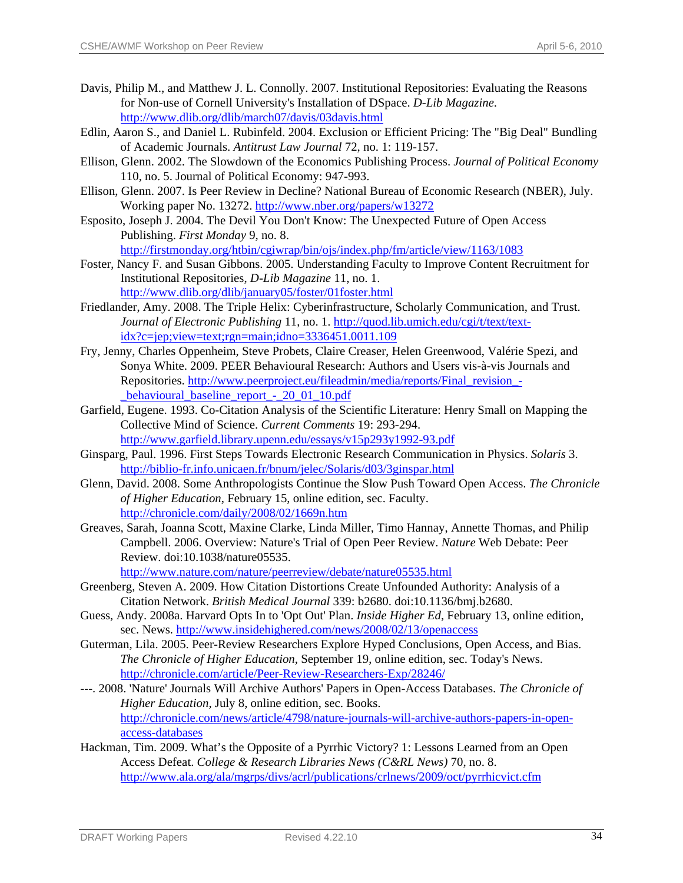- Davis, Philip M., and Matthew J. L. Connolly. 2007. Institutional Repositories: Evaluating the Reasons for Non-use of Cornell University's Installation of DSpace. *D-Lib Magazine*. <http://www.dlib.org/dlib/march07/davis/03davis.html>
- Edlin, Aaron S., and Daniel L. Rubinfeld. 2004. Exclusion or Efficient Pricing: The "Big Deal" Bundling of Academic Journals. *Antitrust Law Journal* 72, no. 1: 119-157.
- Ellison, Glenn. 2002. The Slowdown of the Economics Publishing Process. *Journal of Political Economy* 110, no. 5. Journal of Political Economy: 947-993.
- Ellison, Glenn. 2007. Is Peer Review in Decline? National Bureau of Economic Research (NBER), July. Working paper No. 13272. <http://www.nber.org/papers/w13272>
- Esposito, Joseph J. 2004. The Devil You Don't Know: The Unexpected Future of Open Access Publishing. *First Monday* 9, no. 8.

<http://firstmonday.org/htbin/cgiwrap/bin/ojs/index.php/fm/article/view/1163/1083>

- Foster, Nancy F. and Susan Gibbons. 2005. Understanding Faculty to Improve Content Recruitment for Institutional Repositories, *D-Lib Magazine* 11, no. 1. <http://www.dlib.org/dlib/january05/foster/01foster.html>
- Friedlander, Amy. 2008. The Triple Helix: Cyberinfrastructure, Scholarly Communication, and Trust. *Journal of Electronic Publishing* 11, no. 1. [http://quod.lib.umich.edu/cgi/t/text/text](http://quod.lib.umich.edu/cgi/t/text/text-idx?c=jep;view=text;rgn=main;idno=3336451.0011.109) $idx?c=jep; view=text;rgn=main; idno=3336451.0011.109$
- Fry, Jenny, Charles Oppenheim, Steve Probets, Claire Creaser, Helen Greenwood, Valérie Spezi, and Sonya White. 2009. PEER Behavioural Research: Authors and Users vis-à-vis Journals and Repositories. [http://www.peerproject.eu/fileadmin/media/reports/Final\\_revision\\_-](http://www.peerproject.eu/fileadmin/media/reports/Final_revision_-_behavioural_baseline_report_-_20_01_10.pdf) [\\_behavioural\\_baseline\\_report\\_-\\_20\\_01\\_10.pdf](http://www.peerproject.eu/fileadmin/media/reports/Final_revision_-_behavioural_baseline_report_-_20_01_10.pdf)
- Garfield, Eugene. 1993. Co-Citation Analysis of the Scientific Literature: Henry Small on Mapping the Collective Mind of Science. *Current Comments* 19: 293-294. <http://www.garfield.library.upenn.edu/essays/v15p293y1992-93.pdf>
- Ginsparg, Paul. 1996. First Steps Towards Electronic Research Communication in Physics. *Solaris* 3. <http://biblio-fr.info.unicaen.fr/bnum/jelec/Solaris/d03/3ginspar.html>
- Glenn, David. 2008. Some Anthropologists Continue the Slow Push Toward Open Access. *The Chronicle of Higher Education*, February 15, online edition, sec. Faculty. <http://chronicle.com/daily/2008/02/1669n.htm>
- Greaves, Sarah, Joanna Scott, Maxine Clarke, Linda Miller, Timo Hannay, Annette Thomas, and Philip Campbell. 2006. Overview: Nature's Trial of Open Peer Review. *Nature* Web Debate: Peer Review. doi:10.1038/nature05535.

<http://www.nature.com/nature/peerreview/debate/nature05535.html>

- Greenberg, Steven A. 2009. How Citation Distortions Create Unfounded Authority: Analysis of a Citation Network. *British Medical Journal* 339: b2680. doi:10.1136/bmj.b2680.
- Guess, Andy. 2008a. Harvard Opts In to 'Opt Out' Plan. *Inside Higher Ed*, February 13, online edition, sec. News.<http://www.insidehighered.com/news/2008/02/13/openaccess>
- Guterman, Lila. 2005. Peer-Review Researchers Explore Hyped Conclusions, Open Access, and Bias. *The Chronicle of Higher Education*, September 19, online edition, sec. Today's News. <http://chronicle.com/article/Peer-Review-Researchers-Exp/28246/>
- ---. 2008. 'Nature' Journals Will Archive Authors' Papers in Open-Access Databases. *The Chronicle of Higher Education*, July 8, online edition, sec. Books. [http://chronicle.com/news/article/4798/nature-journals-will-archive-authors-papers-in-open](http://chronicle.com/news/article/4798/nature-journals-will-archive-authors-papers-in-open-access-databases)[access-databases](http://chronicle.com/news/article/4798/nature-journals-will-archive-authors-papers-in-open-access-databases)
- Hackman, Tim. 2009. What's the Opposite of a Pyrrhic Victory? 1: Lessons Learned from an Open Access Defeat. *College & Research Libraries News (C&RL News)* 70, no. 8. <http://www.ala.org/ala/mgrps/divs/acrl/publications/crlnews/2009/oct/pyrrhicvict.cfm>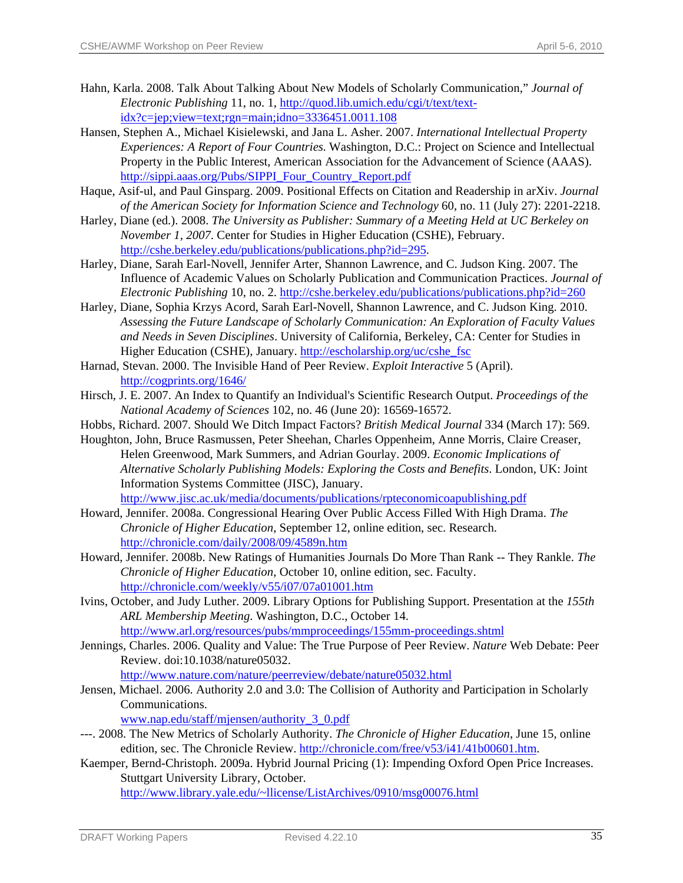- Hahn, Karla. 2008. Talk About Talking About New Models of Scholarly Communication," *Journal of Electronic Publishing* 11, no. 1, [http://quod.lib.umich.edu/cgi/t/text/text](http://quod.lib.umich.edu/cgi/t/text/text-idx?c=jep;view=text;rgn=main;idno=3336451.0011.108) $idx?c=jep;view=text;ren=main;idno=3336451.0011.108$
- Hansen, Stephen A., Michael Kisielewski, and Jana L. Asher. 2007. *International Intellectual Property Experiences: A Report of Four Countries*. Washington, D.C.: Project on Science and Intellectual Property in the Public Interest, American Association for the Advancement of Science (AAAS). [http://sippi.aaas.org/Pubs/SIPPI\\_Four\\_Country\\_Report.pdf](http://sippi.aaas.org/Pubs/SIPPI_Four_Country_Report.pdf)
- Haque, Asif-ul, and Paul Ginsparg. 2009. Positional Effects on Citation and Readership in arXiv. *Journal of the American Society for Information Science and Technology* 60, no. 11 (July 27): 2201-2218.
- Harley, Diane (ed.). 2008. *The University as Publisher: Summary of a Meeting Held at UC Berkeley on November 1, 2007*. Center for Studies in Higher Education (CSHE), February. <http://cshe.berkeley.edu/publications/publications.php?id=295>.
- Harley, Diane, Sarah Earl-Novell, Jennifer Arter, Shannon Lawrence, and C. Judson King. 2007. The Influence of Academic Values on Scholarly Publication and Communication Practices. *Journal of Electronic Publishing* 10, no. 2.<http://cshe.berkeley.edu/publications/publications.php?id=260>
- Harley, Diane, Sophia Krzys Acord, Sarah Earl-Novell, Shannon Lawrence, and C. Judson King. 2010. *Assessing the Future Landscape of Scholarly Communication: An Exploration of Faculty Values and Needs in Seven Disciplines*. University of California, Berkeley, CA: Center for Studies in Higher Education (CSHE), January. [http://escholarship.org/uc/cshe\\_fsc](http://escholarship.org/uc/cshe_fsc)
- Harnad, Stevan. 2000. The Invisible Hand of Peer Review. *Exploit Interactive* 5 (April). <http://cogprints.org/1646/>
- Hirsch, J. E. 2007. An Index to Quantify an Individual's Scientific Research Output. *Proceedings of the National Academy of Sciences* 102, no. 46 (June 20): 16569-16572.
- Hobbs, Richard. 2007. Should We Ditch Impact Factors? *British Medical Journal* 334 (March 17): 569.
- Houghton, John, Bruce Rasmussen, Peter Sheehan, Charles Oppenheim, Anne Morris, Claire Creaser, Helen Greenwood, Mark Summers, and Adrian Gourlay. 2009. *Economic Implications of Alternative Scholarly Publishing Models: Exploring the Costs and Benefits*. London, UK: Joint Information Systems Committee (JISC), January. <http://www.jisc.ac.uk/media/documents/publications/rpteconomicoapublishing.pdf>
- Howard, Jennifer. 2008a. Congressional Hearing Over Public Access Filled With High Drama. *The Chronicle of Higher Education*, September 12, online edition, sec. Research. <http://chronicle.com/daily/2008/09/4589n.htm>
- Howard, Jennifer. 2008b. New Ratings of Humanities Journals Do More Than Rank -- They Rankle. *The Chronicle of Higher Education*, October 10, online edition, sec. Faculty. <http://chronicle.com/weekly/v55/i07/07a01001.htm>
- Ivins, October, and Judy Luther. 2009. Library Options for Publishing Support. Presentation at the *155th ARL Membership Meeting*. Washington, D.C., October 14. <http://www.arl.org/resources/pubs/mmproceedings/155mm-proceedings.shtml>
- Jennings, Charles. 2006. Quality and Value: The True Purpose of Peer Review. *Nature* Web Debate: Peer Review. doi:10.1038/nature05032.

<http://www.nature.com/nature/peerreview/debate/nature05032.html>

Jensen, Michael. 2006. Authority 2.0 and 3.0: The Collision of Authority and Participation in Scholarly Communications.

[www.nap.edu/staff/mjensen/authority\\_3\\_0.pdf](http://www.nap.edu/staff/mjensen/authority_3_0.pdf)

- ---. 2008. The New Metrics of Scholarly Authority. *The Chronicle of Higher Education*, June 15, online edition, sec. The Chronicle Review. <http://chronicle.com/free/v53/i41/41b00601.htm>.
- Kaemper, Bernd-Christoph. 2009a. Hybrid Journal Pricing (1): Impending Oxford Open Price Increases. Stuttgart University Library, October. [http://www.library.yale.edu/~llicense/ListArchives/0910/msg00076.html](http://www.library.yale.edu/%7Ellicense/ListArchives/0910/msg00076.html)

DRAFT Working Papers **Revised 4.22.10** 35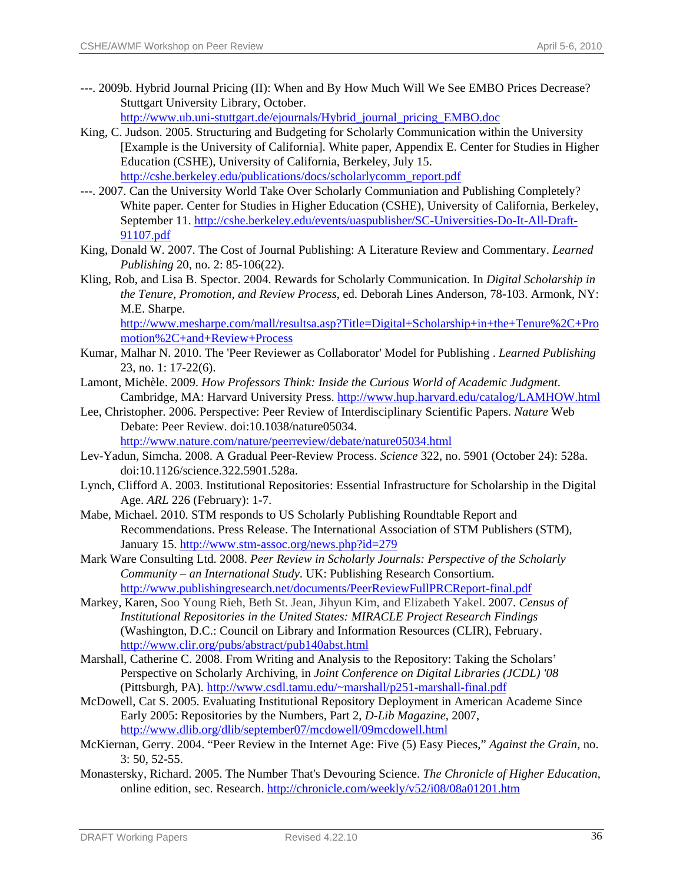---. 2009b. Hybrid Journal Pricing (II): When and By How Much Will We See EMBO Prices Decrease? Stuttgart University Library, October.

[http://www.ub.uni-stuttgart.de/ejournals/Hybrid\\_journal\\_pricing\\_EMBO.doc](http://www.ub.uni-stuttgart.de/ejournals/Hybrid_journal_pricing_EMBO.doc)

- King, C. Judson. 2005. Structuring and Budgeting for Scholarly Communication within the University [Example is the University of California]. White paper, Appendix E. Center for Studies in Higher Education (CSHE), University of California, Berkeley, July 15. [http://cshe.berkeley.edu/publications/docs/scholarlycomm\\_report.pdf](http://cshe.berkeley.edu/publications/docs/scholarlycomm_report.pdf)
- ---. 2007. Can the University World Take Over Scholarly Communiation and Publishing Completely? White paper. Center for Studies in Higher Education (CSHE), University of California, Berkeley, September 11. [http://cshe.berkeley.edu/events/uaspublisher/SC-Universities-Do-It-All-Draft-](http://cshe.berkeley.edu/events/uaspublisher/SC-Universities-Do-It-All-Draft-91107.pdf)[91107.pdf](http://cshe.berkeley.edu/events/uaspublisher/SC-Universities-Do-It-All-Draft-91107.pdf)
- King, Donald W. 2007. The Cost of Journal Publishing: A Literature Review and Commentary. *Learned Publishing* 20, no. 2: 85-106(22).
- Kling, Rob, and Lisa B. Spector. 2004. Rewards for Scholarly Communication. In *Digital Scholarship in the Tenure, Promotion, and Review Process*, ed. Deborah Lines Anderson, 78-103. Armonk, NY: M.E. Sharpe.

[http://www.mesharpe.com/mall/resultsa.asp?Title=Digital+Scholarship+in+the+Tenure%2C+Pro](http://www.mesharpe.com/mall/resultsa.asp?Title=Digital+Scholarship+in+the+Tenure%2C+Promotion%2C+and+Review+Process) [motion%2C+and+Review+Process](http://www.mesharpe.com/mall/resultsa.asp?Title=Digital+Scholarship+in+the+Tenure%2C+Promotion%2C+and+Review+Process) 

- Kumar, Malhar N. 2010. The 'Peer Reviewer as Collaborator' Model for Publishing . *Learned Publishing* 23, no. 1: 17-22(6).
- Lamont, Michèle. 2009. *How Professors Think: Inside the Curious World of Academic Judgment*. Cambridge, MA: Harvard University Press. <http://www.hup.harvard.edu/catalog/LAMHOW.html>
- Lee, Christopher. 2006. Perspective: Peer Review of Interdisciplinary Scientific Papers. *Nature* Web Debate: Peer Review. doi:10.1038/nature05034. <http://www.nature.com/nature/peerreview/debate/nature05034.html>
- Lev-Yadun, Simcha. 2008. A Gradual Peer-Review Process. *Science* 322, no. 5901 (October 24): 528a. doi:10.1126/science.322.5901.528a.
- Lynch, Clifford A. 2003. Institutional Repositories: Essential Infrastructure for Scholarship in the Digital Age. *ARL* 226 (February): 1-7.
- Mabe, Michael. 2010. STM responds to US Scholarly Publishing Roundtable Report and Recommendations. Press Release. The International Association of STM Publishers (STM), January 15.<http://www.stm-assoc.org/news.php?id=279>
- Mark Ware Consulting Ltd. 2008. *Peer Review in Scholarly Journals: Perspective of the Scholarly Community – an International Study*. UK: Publishing Research Consortium. <http://www.publishingresearch.net/documents/PeerReviewFullPRCReport-final.pdf>
- Markey, Karen, Soo Young Rieh, Beth St. Jean, Jihyun Kim, and Elizabeth Yakel. 2007. *Census of Institutional Repositories in the United States: MIRACLE Project Research Findings* (Washington, D.C.: Council on Library and Information Resources (CLIR), February. <http://www.clir.org/pubs/abstract/pub140abst.html>
- Marshall, Catherine C. 2008. From Writing and Analysis to the Repository: Taking the Scholars' Perspective on Scholarly Archiving, in *Joint Conference on Digital Libraries (JCDL) '08* (Pittsburgh, PA). [http://www.csdl.tamu.edu/~marshall/p251-marshall-final.pdf](http://www.csdl.tamu.edu/%7Emarshall/p251-marshall-final.pdf)
- McDowell, Cat S. 2005. Evaluating Institutional Repository Deployment in American Academe Since Early 2005: Repositories by the Numbers, Part 2, *D-Lib Magazine*, 2007, <http://www.dlib.org/dlib/september07/mcdowell/09mcdowell.html>
- McKiernan, Gerry. 2004. "Peer Review in the Internet Age: Five (5) Easy Pieces," *Against the Grain*, no. 3: 50, 52-55.
- Monastersky, Richard. 2005. The Number That's Devouring Science. *The Chronicle of Higher Education*, online edition, sec. Research. <http://chronicle.com/weekly/v52/i08/08a01201.htm>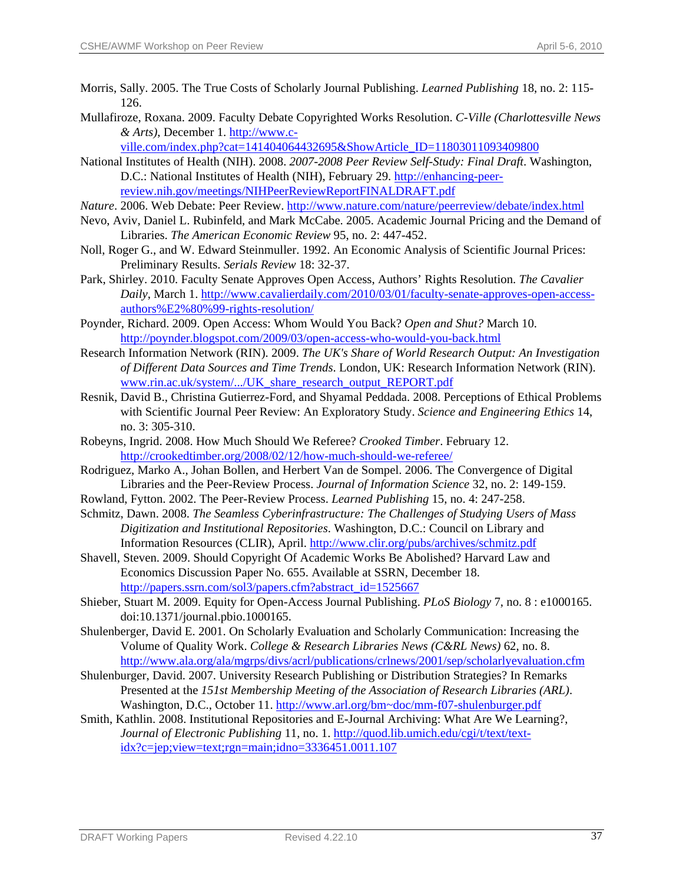- Morris, Sally. 2005. The True Costs of Scholarly Journal Publishing. *Learned Publishing* 18, no. 2: 115- 126.
- Mullafiroze, Roxana. 2009. Faculty Debate Copyrighted Works Resolution. *C-Ville (Charlottesville News & Arts)*, December 1. [http://www.c-](http://www.c-ville.com/index.php?cat=141404064432695&ShowArticle_ID=11803011093409800)

[ville.com/index.php?cat=141404064432695&ShowArticle\\_ID=11803011093409800](http://www.c-ville.com/index.php?cat=141404064432695&ShowArticle_ID=11803011093409800)

- National Institutes of Health (NIH). 2008. *2007-2008 Peer Review Self-Study: Final Draft*. Washington, D.C.: National Institutes of Health (NIH), February 29. [http://enhancing-peer](http://enhancing-peer-review.nih.gov/meetings/NIHPeerReviewReportFINALDRAFT.pdf)[review.nih.gov/meetings/NIHPeerReviewReportFINALDRAFT.pdf](http://enhancing-peer-review.nih.gov/meetings/NIHPeerReviewReportFINALDRAFT.pdf)
- *Nature*. 2006. Web Debate: Peer Review.<http://www.nature.com/nature/peerreview/debate/index.html>
- Nevo, Aviv, Daniel L. Rubinfeld, and Mark McCabe. 2005. Academic Journal Pricing and the Demand of Libraries. *The American Economic Review* 95, no. 2: 447-452.
- Noll, Roger G., and W. Edward Steinmuller. 1992. An Economic Analysis of Scientific Journal Prices: Preliminary Results. *Serials Review* 18: 32-37.
- Park, Shirley. 2010. Faculty Senate Approves Open Access, Authors' Rights Resolution. *The Cavalier Daily*, March 1. [http://www.cavalierdaily.com/2010/03/01/faculty-senate-approves-open-access](http://www.cavalierdaily.com/2010/03/01/faculty-senate-approves-open-access-authors%E2%80%99-rights-resolution/)[authors%E2%80%99-rights-resolution/](http://www.cavalierdaily.com/2010/03/01/faculty-senate-approves-open-access-authors%E2%80%99-rights-resolution/)
- Poynder, Richard. 2009. Open Access: Whom Would You Back? *Open and Shut?* March 10. <http://poynder.blogspot.com/2009/03/open-access-who-would-you-back.html>
- Research Information Network (RIN). 2009. *The UK's Share of World Research Output: An Investigation of Different Data Sources and Time Trends*. London, UK: Research Information Network (RIN). [www.rin.ac.uk/system/.../UK\\_share\\_research\\_output\\_REPORT.pdf](http://www.rin.ac.uk/system/.../UK_share_research_output_REPORT.pdf)
- Resnik, David B., Christina Gutierrez-Ford, and Shyamal Peddada. 2008. Perceptions of Ethical Problems with Scientific Journal Peer Review: An Exploratory Study. *Science and Engineering Ethics* 14, no. 3: 305-310.
- Robeyns, Ingrid. 2008. How Much Should We Referee? *Crooked Timber*. February 12. <http://crookedtimber.org/2008/02/12/how-much-should-we-referee/>
- Rodriguez, Marko A., Johan Bollen, and Herbert Van de Sompel. 2006. The Convergence of Digital Libraries and the Peer-Review Process. *Journal of Information Science* 32, no. 2: 149-159.
- Rowland, Fytton. 2002. The Peer-Review Process. *Learned Publishing* 15, no. 4: 247-258.
- Schmitz, Dawn. 2008. *The Seamless Cyberinfrastructure: The Challenges of Studying Users of Mass Digitization and Institutional Repositories*. Washington, D.C.: Council on Library and Information Resources (CLIR), April. <http://www.clir.org/pubs/archives/schmitz.pdf>
- Shavell, Steven. 2009. Should Copyright Of Academic Works Be Abolished? Harvard Law and Economics Discussion Paper No. 655. Available at SSRN, December 18. [http://papers.ssrn.com/sol3/papers.cfm?abstract\\_id=1525667](http://papers.ssrn.com/sol3/papers.cfm?abstract_id=1525667)
- Shieber, Stuart M. 2009. Equity for Open-Access Journal Publishing. *PLoS Biology* 7, no. 8 : e1000165. doi:10.1371/journal.pbio.1000165.
- Shulenberger, David E. 2001. On Scholarly Evaluation and Scholarly Communication: Increasing the Volume of Quality Work. *College & Research Libraries News (C&RL News)* 62, no. 8. <http://www.ala.org/ala/mgrps/divs/acrl/publications/crlnews/2001/sep/scholarlyevaluation.cfm>
- Shulenburger, David. 2007. University Research Publishing or Distribution Strategies? In Remarks Presented at the *151st Membership Meeting of the Association of Research Libraries (ARL)*. Washington, D.C., October 11. [http://www.arl.org/bm~doc/mm-f07-shulenburger.pdf](http://www.arl.org/bm%7Edoc/mm-f07-shulenburger.pdf)
- Smith, Kathlin. 2008. Institutional Repositories and E-Journal Archiving: What Are We Learning?, Journal of Electronic Publishing 11, no. 1. [http://quod.lib.umich.edu/cgi/t/text/text](http://quod.lib.umich.edu/cgi/t/text/text-idx?c=jep;view=text;rgn=main;idno=3336451.0011.107) $idx?c=jep;view=text;rgn=main;idno=3336451.0011.107$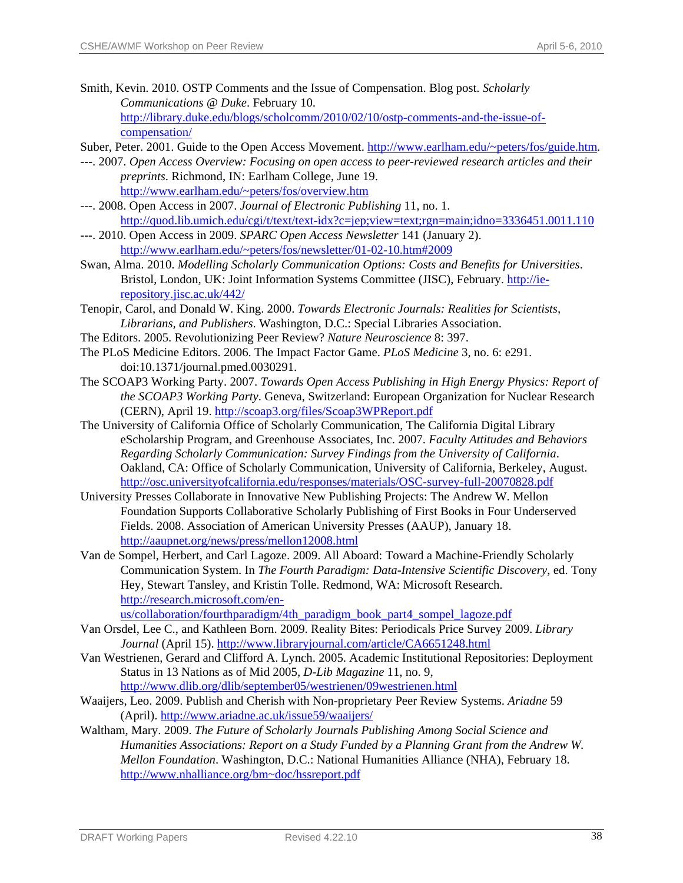- Smith, Kevin. 2010. OSTP Comments and the Issue of Compensation. Blog post. *Scholarly Communications @ Duke*. February 10. [http://library.duke.edu/blogs/scholcomm/2010/02/10/ostp-comments-and-the-issue-of](http://library.duke.edu/blogs/scholcomm/2010/02/10/ostp-comments-and-the-issue-of-compensation/)[compensation/](http://library.duke.edu/blogs/scholcomm/2010/02/10/ostp-comments-and-the-issue-of-compensation/)
- Suber, Peter. 2001. Guide to the Open Access Movement. [http://www.earlham.edu/~peters/fos/guide.htm.](http://www.earlham.edu/%7Epeters/fos/guide.htm)
- ---. 2007. *Open Access Overview: Focusing on open access to peer-reviewed research articles and their preprints*. Richmond, IN: Earlham College, June 19. [http://www.earlham.edu/~peters/fos/overview.htm](http://www.earlham.edu/%7Epeters/fos/overview.htm)
- ---. 2008. Open Access in 2007. *Journal of Electronic Publishing* 11, no. 1. http://quod.lib.umich.edu/cgi/t/text/text-idx?c=jep;view=text;rgn=main;idno=3336451.0011.110
- ---. 2010. Open Access in 2009. *SPARC Open Access Newsletter* 141 (January 2). <http://www.earlham.edu/~peters/fos/newsletter/01-02-10.htm#2009>
- Swan, Alma. 2010. *Modelling Scholarly Communication Options: Costs and Benefits for Universities*. Bristol, London, UK: Joint Information Systems Committee (JISC), February. [http://ie](http://ie-repository.jisc.ac.uk/442/)[repository.jisc.ac.uk/442/](http://ie-repository.jisc.ac.uk/442/)
- Tenopir, Carol, and Donald W. King. 2000. *Towards Electronic Journals: Realities for Scientists, Librarians, and Publishers*. Washington, D.C.: Special Libraries Association.
- The Editors. 2005. Revolutionizing Peer Review? *Nature Neuroscience* 8: 397.
- The PLoS Medicine Editors. 2006. The Impact Factor Game. *PLoS Medicine* 3, no. 6: e291. doi:10.1371/journal.pmed.0030291.
- The SCOAP3 Working Party. 2007. *Towards Open Access Publishing in High Energy Physics: Report of the SCOAP3 Working Party*. Geneva, Switzerland: European Organization for Nuclear Research (CERN), April 19. <http://scoap3.org/files/Scoap3WPReport.pdf>
- The University of California Office of Scholarly Communication, The California Digital Library eScholarship Program, and Greenhouse Associates, Inc. 2007. *Faculty Attitudes and Behaviors Regarding Scholarly Communication: Survey Findings from the University of California*. Oakland, CA: Office of Scholarly Communication, University of California, Berkeley, August. <http://osc.universityofcalifornia.edu/responses/materials/OSC-survey-full-20070828.pdf>
- University Presses Collaborate in Innovative New Publishing Projects: The Andrew W. Mellon Foundation Supports Collaborative Scholarly Publishing of First Books in Four Underserved Fields. 2008. Association of American University Presses (AAUP), January 18. <http://aaupnet.org/news/press/mellon12008.html>
- Van de Sompel, Herbert, and Carl Lagoze. 2009. All Aboard: Toward a Machine-Friendly Scholarly Communication System. In *The Fourth Paradigm: Data-Intensive Scientific Discovery*, ed. Tony Hey, Stewart Tansley, and Kristin Tolle. Redmond, WA: Microsoft Research. [http://research.microsoft.com/en-](http://research.microsoft.com/en-us/collaboration/fourthparadigm/4th_paradigm_book_part4_sompel_lagoze.pdf)

[us/collaboration/fourthparadigm/4th\\_paradigm\\_book\\_part4\\_sompel\\_lagoze.pdf](http://research.microsoft.com/en-us/collaboration/fourthparadigm/4th_paradigm_book_part4_sompel_lagoze.pdf)

- Van Orsdel, Lee C., and Kathleen Born. 2009. Reality Bites: Periodicals Price Survey 2009. *Library Journal* (April 15). <http://www.libraryjournal.com/article/CA6651248.html>
- Van Westrienen, Gerard and Clifford A. Lynch. 2005. Academic Institutional Repositories: Deployment Status in 13 Nations as of Mid 2005, *D-Lib Magazine* 11, no. 9, <http://www.dlib.org/dlib/september05/westrienen/09westrienen.html>
- Waaijers, Leo. 2009. Publish and Cherish with Non-proprietary Peer Review Systems. *Ariadne* 59 (April).<http://www.ariadne.ac.uk/issue59/waaijers/>
- Waltham, Mary. 2009. *The Future of Scholarly Journals Publishing Among Social Science and Humanities Associations: Report on a Study Funded by a Planning Grant from the Andrew W. Mellon Foundation*. Washington, D.C.: National Humanities Alliance (NHA), February 18. [http://www.nhalliance.org/bm~doc/hssreport.pdf](http://www.nhalliance.org/bm%7Edoc/hssreport.pdf)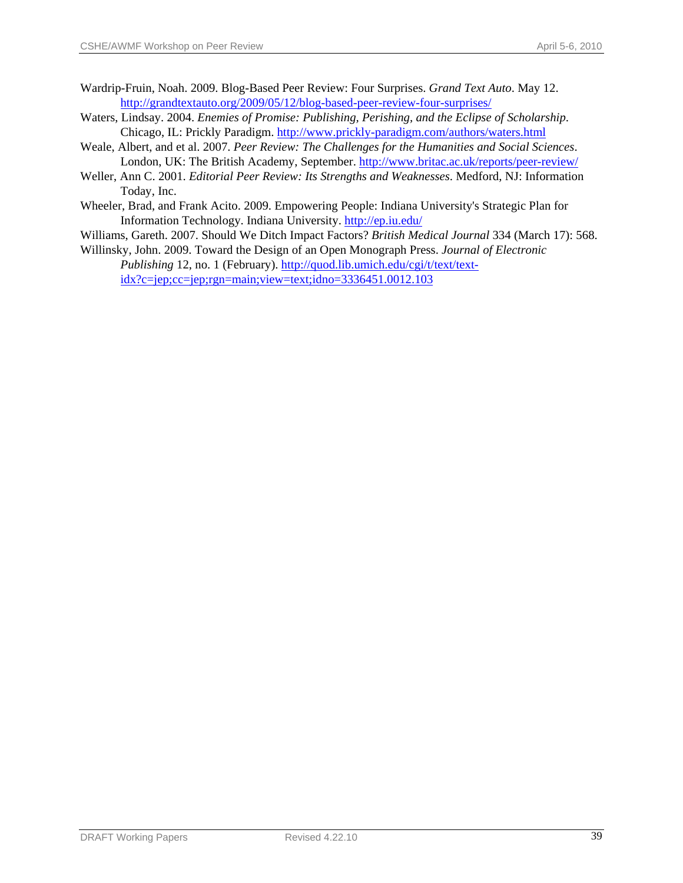- Wardrip-Fruin, Noah. 2009. Blog-Based Peer Review: Four Surprises. *Grand Text Auto*. May 12. <http://grandtextauto.org/2009/05/12/blog-based-peer-review-four-surprises/>
- Waters, Lindsay. 2004. *Enemies of Promise: Publishing, Perishing, and the Eclipse of Scholarship*. Chicago, IL: Prickly Paradigm.<http://www.prickly-paradigm.com/authors/waters.html>
- Weale, Albert, and et al. 2007. *Peer Review: The Challenges for the Humanities and Social Sciences*. London, UK: The British Academy, September.<http://www.britac.ac.uk/reports/peer-review/>
- Weller, Ann C. 2001. *Editorial Peer Review: Its Strengths and Weaknesses*. Medford, NJ: Information Today, Inc.
- Wheeler, Brad, and Frank Acito. 2009. Empowering People: Indiana University's Strategic Plan for Information Technology. Indiana University.<http://ep.iu.edu/>
- Williams, Gareth. 2007. Should We Ditch Impact Factors? *British Medical Journal* 334 (March 17): 568.
- Willinsky, John. 2009. Toward the Design of an Open Monograph Press. *Journal of Electronic Publishing* 12, no. 1 (February). [http://quod.lib.umich.edu/cgi/t/text/text](http://quod.lib.umich.edu/cgi/t/text/text-idx?c=jep;cc=jep;rgn=main;view=text;idno=3336451.0012.103)[idx?c=jep;cc=jep;rgn=main;view=text;idno=3336451.0012.103](http://quod.lib.umich.edu/cgi/t/text/text-idx?c=jep;cc=jep;rgn=main;view=text;idno=3336451.0012.103)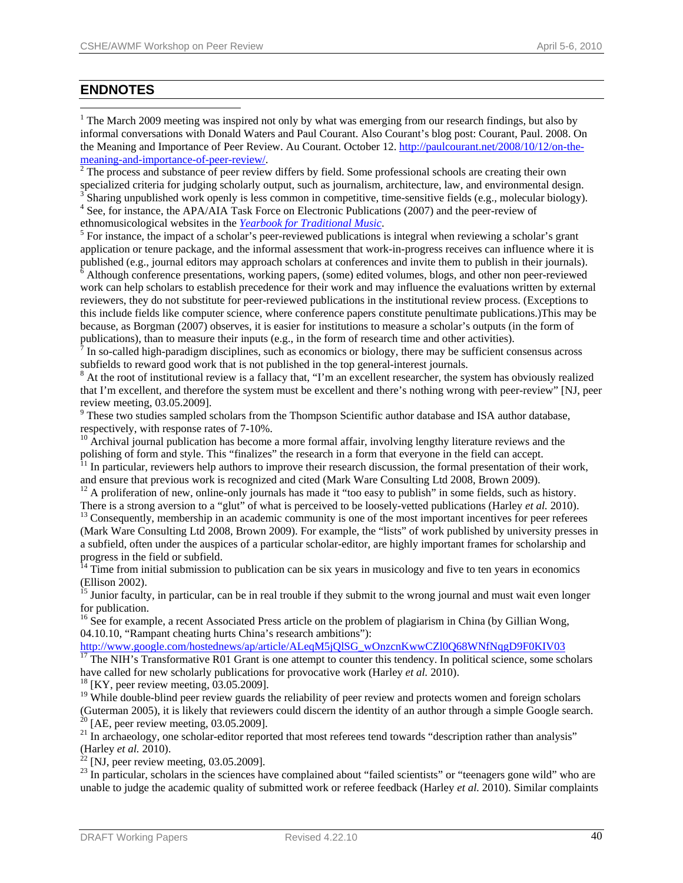# **ENDNOTES**

 $\overline{a}$ 

<span id="page-40-0"></span><sup>1</sup> The March 2009 meeting was inspired not only by what was emerging from our research findings, but also by informal conversations with Donald Waters and Paul Courant. Also Courant's blog post: Courant, Paul. 2008. On the Meaning and Importance of Peer Review. Au Courant. October 12. [http://paulcourant.net/2008/10/12/on-the-](http://paulcourant.net/2008/10/12/on-the-meaning-and-importance-of-peer-review/)

[meaning-and-importance-of-peer-review/](http://paulcourant.net/2008/10/12/on-the-meaning-and-importance-of-peer-review/).<br><sup>[2](http://paulcourant.net/2008/10/12/on-the-meaning-and-importance-of-peer-review/)</sup> The process and substance of peer review differs by field. Some professional schools are creating their own specialized criteria for judging scholarly output, such as journalism, architecture, law, and environmental design. <sup>3</sup> Sharing unpublished work openly is less common in competitive, time-sensitive fields (e.g., molecular biology).

<sup>4</sup> See, for instance, the APA/AIA Task Force on Electronic Publications (2007) and the peer-review of ethnomusicological websites in the *Yearbook for Traditional Music*. 5

 $<sup>5</sup>$  For instance, the impact of a scholar's peer-reviewed publications is integral when reviewing a scholar's grant</sup> application or tenure package, and the informal assessment that work-in-progress receives can influence where it is published (e.g., journal editors may approach scholars at conferences and invite them to publish in their journals). 6

<span id="page-40-1"></span> Although conference presentations, working papers, (some) edited volumes, blogs, and other non peer-reviewed work can help scholars to establish precedence for their work and may influence the evaluations written by external reviewers, they do not substitute for peer-reviewed publications in the institutional review process. (Exceptions to this include fields like computer science, where conference papers constitute penultimate publications.)This may be because, as Borgman (2007) observes, it is easier for institutions to measure a scholar's outputs (in the form of publications), than to measure their inputs (e.g., in the form of research time and other activities).

 In so-called high-paradigm disciplines, such as economics or biology, there may be sufficient consensus across subfields to reward good work that is not published in the top general-interest journals.

<sup>8</sup> At the root of institutional review is a fallacy that, "I'm an excellent researcher, the system has obviously realized that I'm excellent, and therefore the system must be excellent and there's nothing wrong with peer-review" [NJ, peer review meeting, 03.05.2009].

<sup>9</sup> These two studies sampled scholars from the Thompson Scientific author database and ISA author database, respectively, with response rates of 7-10%.

<sup>10</sup> Archival journal publication has become a more formal affair, involving lengthy literature reviews and the polishing of form and style. This "finalizes" the research in a form that everyone in the field can accept.

 $<sup>11</sup>$  In particular, reviewers help authors to improve their research discussion, the formal presentation of their work,</sup> and ensure that previous work is recognized and cited (Mark Ware Consulting Ltd 2008, Brown 2009).

<sup>12</sup> A proliferation of new, online-only journals has made it "too easy to publish" in some fields, such as history.<br>There is a strong aversion to a "glut" of what is perceived to be loosely-vetted publications (Harley *e* 

<sup>13</sup> Consequently, membership in an academic community is one of the most important incentives for peer referees (Mark Ware Consulting Ltd 2008, Brown 2009). For example, the "lists" of work published by university presses in a subfield, often under the auspices of a particular scholar-editor, are highly important frames for scholarship and progress in the field or subfield.

 $14$  Time from initial submission to publication can be six years in musicology and five to ten years in economics (Ellison 2002).

<sup>15</sup> Junior faculty, in particular, can be in real trouble if they submit to the wrong journal and must wait even longer for publication.

<sup>16</sup> See for example, a recent Associated Press article on the problem of plagiarism in China (by Gillian Wong, 04.10.10, "Rampant cheating hurts China's research ambitions"):

http://www.google.com/hostednews/ap/article/ALeqM5jQlSG\_wOnzcnKwwCZl0Q68WNfNqgD9F0KIV03<br><sup>17</sup> The NIH's Transformative R01 Grant is one attempt to counter this tendency. In political science, some scholars have called for new scholarly publications for provocative work (Harley *et al.* 2010). <sup>18</sup> [KY, peer review meeting, 03.05.2009].

<sup>19</sup> While double-blind peer review guards the reliability of peer review and protects women and foreign scholars (Guterman 2005), it is likely that reviewers could discern the identity of an author through a simple Google search. 20 [AE, peer review meeting, 03.05.2009].

<sup>21</sup> In archaeology, one scholar-editor reported that most referees tend towards "description rather than analysis" (Harley *et al.* 2010).

 $^{22}$  [NJ, peer review meeting, 03.05.2009].

<sup>23</sup> In particular, scholars in the sciences have complained about "failed scientists" or "teenagers gone wild" who are unable to judge the academic quality of submitted work or referee feedback (Harley *et al.* 2010). Similar complaints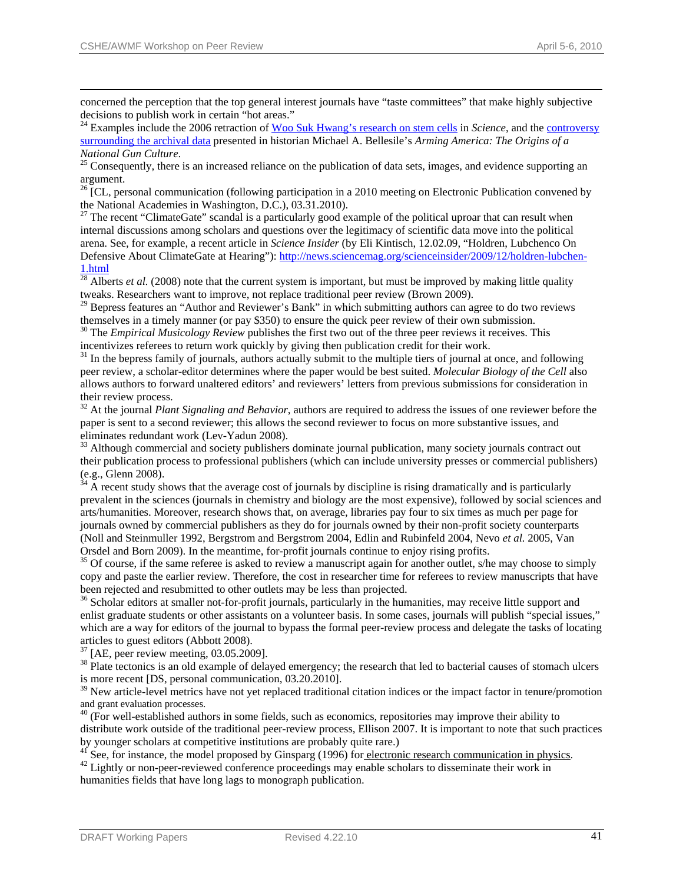concerned the perception that the top general interest journals have "taste committees" that make highly subjective decisions to publish work in certain "hot areas."

<sup>24</sup> Examples include the 2006 retraction of <u>[Woo Suk Hwang's research on stem cells](http://www.nature.com/news/specials/hwang/index.html)</u> in *Science*, and the **controversy** [surrounding the archival data](http://www.nytimes.com/2001/12/08/books/08GUNS.html?pagewanted=2) presented in historian Michael A. Bellesile's *Arming America: The Origins of a* 

*National Gun Culture*.<br><sup>25</sup> Consequently, there is an increased reliance on the publication of data sets, images, and evidence supporting an argument.

<sup>26</sup> [CL, personal communication (following participation in a 2010 meeting on Electronic Publication convened by the National Academies in Washington, D.C.), 03.31.2010).

 $27$  The recent "ClimateGate" scandal is a particularly good example of the political uproar that can result when internal discussions among scholars and questions over the legitimacy of scientific data move into the political arena. See, for example, a recent article in *Science Insider* (by Eli Kintisch, 12.02.09, "Holdren, Lubchenco On Defensive About ClimateGate at Hearing"): [http://news.sciencemag.org/scienceinsider/2009/12/holdren-lubchen-](http://news.sciencemag.org/scienceinsider/2009/12/holdren-lubchen-1.html)[1.html](http://news.sciencemag.org/scienceinsider/2009/12/holdren-lubchen-1.html)

<span id="page-41-0"></span> $^{28}$  Alberts *et al.* (2008) note that the current system is important, but must be improved by making little quality tweaks. Researchers want to improve, not replace traditional peer review (Brown 2009).

<sup>29</sup> Bepress features an "Author and Reviewer's Bank" in which submitting authors can agree to do two reviews themselves in a timely manner (or pay \$350) to ensure the quick peer review of their own submission.

<sup>30</sup> The *Empirical Musicology Review* publishes the first two out of the three peer reviews it receives. This incentivizes referees to return work quickly by giving then publication credit for their work.

<sup>31</sup> In the bepress family of journals, authors actually submit to the multiple tiers of journal at once, and following peer review, a scholar-editor determines where the paper would be best suited. *Molecular Biology of the Cell* also allows authors to forward unaltered editors' and reviewers' letters from previous submissions for consideration in their review process.

<sup>32</sup> At the journal *Plant Signaling and Behavior*, authors are required to address the issues of one reviewer before the paper is sent to a second reviewer; this allows the second reviewer to focus on more substantive issues, and eliminates redundant work (Lev-Yadun 2008).<br><sup>33</sup> Although commercial and society publishers dominate journal publication, many society journals contract out

their publication process to professional publishers (which can include university presses or commercial publishers) (e.g., Glenn 2008).

 $34$  A recent study shows that the average cost of journals by discipline is rising dramatically and is particularly prevalent in the sciences (journals in chemistry and biology are the most expensive), followed by social sciences and arts/humanities. Moreover, research shows that, on average, libraries pay four to six times as much per page for journals owned by commercial publishers as they do for journals owned by their non-profit society counterparts (Noll and Steinmuller 1992, Bergstrom and Bergstrom 2004, Edlin and Rubinfeld 2004, Nevo *et al.* 2005, Van Orsdel and Born 2009). In the meantime, for-profit journals continue to enjoy rising profits.

<sup>35</sup> Of course, if the same referee is asked to review a manuscript again for another outlet, s/he may choose to simply copy and paste the earlier review. Therefore, the cost in researcher time for referees to review manuscripts that have been rejected and resubmitted to other outlets may be less than projected.

<sup>36</sup> Scholar editors at smaller not-for-profit journals, particularly in the humanities, may receive little support and enlist graduate students or other assistants on a volunteer basis. In some cases, journals will publish "special issues," which are a way for editors of the journal to bypass the formal peer-review process and delegate the tasks of locating articles to guest editors (Abbott 2008).

 $37$  [AE, peer review meeting, 03.05.2009].

<sup>38</sup> Plate tectonics is an old example of delayed emergency; the research that led to bacterial causes of stomach ulcers is more recent [DS, personal communication, 03.20.2010].

<sup>39</sup> New article-level metrics have not yet replaced traditional citation indices or the impact factor in tenure/promotion and grant evaluation processes.

 $40$  (For well-established authors in some fields, such as economics, repositories may improve their ability to distribute work outside of the traditional peer-review process, Ellison 2007. It is important to note that such practices by younger scholars at competitive institutions are probably quite rare.)

<sup>41</sup> See, for instance, the model proposed by Ginsparg (1996) for <u>electronic research communication in physics</u>.<br><sup>42</sup> Lightly or non-peer-reviewed conference proceedings may enable scholars to disseminate their work in

humanities fields that have long lags to monograph publication.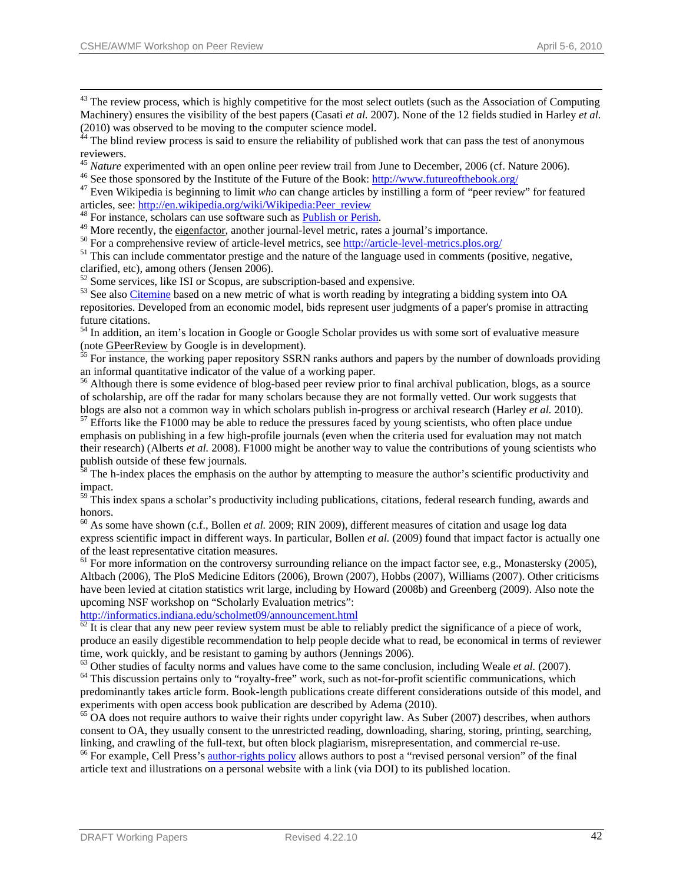<sup>43</sup> The review process, which is highly competitive for the most select outlets (such as the Association of Computing Machinery) ensures the visibility of the best papers (Casati *et al.* 2007). None of the 12 fields studied in Harley *et al.*  (2010) was observed to be moving to the computer science model.

<sup>44</sup> The blind review process is said to ensure the reliability of published work that can pass the test of anonymous reviewers.

<sup>45</sup> *Nature* experimented with an open online peer review trail fro[m June to December, 2006 \(cf. Na](http://www.futureofthebook.org/)ture 2006).<br><sup>46</sup> See those sponsored by the Institute of the Future of the Book:  $\frac{http://www.futureofthebook.org/}{http://www.futureofthebook.org/}$  $\frac{http://www.futureofthebook.org/}{http://www.futureofthebook.org/}$  $\frac{http://www.futureofthebook.org/}{http://www.futureofthebook.org/}$ <br><sup>47</sup> Even

articles, see: <u>http://en.wikipedia.org/wiki/Wikipedia:Peer review</u><br><sup>48</sup> For instance, schol[ars can use](http://www.eigenfactor.org/) software such as <u>Publish or Perish</u>.<br><sup>49</sup> More recently, the <u>eigenfactor</u>, another journal[-level met](http://www.harzing.com/pop.htm)ric, rates a jou

<span id="page-42-0"></span>clarified, etc), among others (Jensen 2006).

<sup>52</sup> Some services, like ISI or Scopus, are subscription-based and expensive.

<sup>53</sup> See also [Citemine](http://citemine.com/) based on a new metric of what is worth reading by integrating a bidding system into OA repositories. Developed from an economic model, bids represent user judgments of a paper's promise in attracting future citations.

<sup>54</sup> In addition, an item's location in Google or Google Scholar provides us with some sort of evaluative measure (note [GPeerReview](http://code.google.com/p/gpeerreview/) by Google is in development).<br><sup>55</sup> For [instance, the w](http://code.google.com/p/gpeerreview/)orking paper repository SSRN ranks authors and papers by the number of downloads providing

an informal quantitative indicator of the value of a working paper.

<sup>56</sup> Although there is some evidence of blog-based peer review prior to final archival publication, blogs, as a source of scholarship, are off the radar for many scholars because they are not formally vetted. Our work suggests that blogs are also not a common way in which scholars publish in-progress or archival research (Harley *et al.* 2010).<sup>57</sup> Efforts like the F1000 may be able to reduce the pressures faced by young scientists, who often place u

emphasis on publishing in a few high-profile journals (even when the criteria used for evaluation may not match their research) (Alberts *et al.* 2008). F1000 might be another way to value the contributions of young scientists who publish outside of these few journals.

<sup>58</sup> The h-index places the emphasis on the author by attempting to measure the author's scientific productivity and impact.

 $59$  This index spans a scholar's productivity including publications, citations, federal research funding, awards and honors.

<sup>60</sup> As some have shown (c.f., Bollen *et al.* 2009; RIN 2009), different measures of citation and usage log data express scientific impact in different ways. In particular, Bollen *et al.* (2009) found that impact factor is actually one of the least representative citation measures.

 $<sup>61</sup>$  For more information on the controversy surrounding reliance on the impact factor see, e.g., Monastersky (2005),</sup> Altbach (2006), The PloS Medicine Editors (2006), Brown (2007), Hobbs (2007), Williams (2007). Other criticisms have been levied at citation statistics writ large, including by Howard (2008b) and Greenberg (2009). Also note the upcoming NSF workshop on "Scholarly Evaluation metrics":

<http://informatics.indiana.edu/scholmet09/announcement.html><br><sup>[62](http://informatics.indiana.edu/scholmet09/announcement.html)</sup> It is clear that any new peer review system must be able to reliably predict the significance of a piece of work, produce an easily digestible recommendation to help people decide what to read, be economical in terms of reviewer time, work quickly, and be resistant to gaming by authors (Jennings 2006).

 $^{63}$  Other studies of faculty norms and values have come to the same conclusion, including Weale *et al.* (2007).<br><sup>64</sup> This discussion pertains only to "royalty-free" work, such as not-for-profit scientific communicatio

predominantly takes article form. Book-length publications create different considerations outside of this model, and experiments with open access book publication are described by Adema (2010).<br><sup>65</sup> OA does not require authors to waive their rights under copyright law. As Suber (2007) describes, when authors

consent to OA, they usually consent to the unrestricted reading, downloading, sharing, storing, printing, searching, linking, and crawling of the [full-text, but often b](http://www.cell.com/authors)lock plagiarism, misrepresentation, and commercial re-use.<br><sup>66</sup> For example, Cell Press's [author-rights policy](http://www.cell.com/authors) allows authors to post a "revised personal version" of the f

article text and illustrations on a personal website with a link (via DOI) to its published location.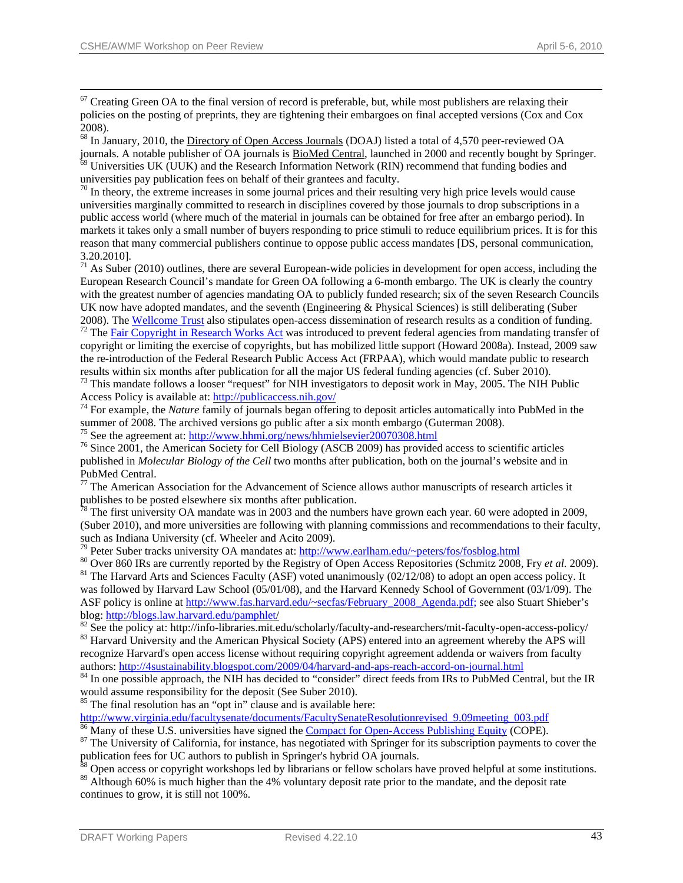$67$  Creating Green OA to the final version of record is preferable, but, while most publishers are relaxing their policies on the posting of preprints, they are tightening their embargoes on final accepted versions (Cox and Cox 2008).

 $^{68}$  In January, 2010, the [Directory of Open Access Journals](http://www.doaj.org/) (DOAJ) listed a total of 4,570 peer-reviewed OA journals. A notable publisher of OA journals is  $\underline{\text{BiOMed Central}}$ , launched in 2000 and recently bought by Springe  $\frac{69}{69}$  Universities UK (UUK) and the Research Information Network (RIN) recommend that funding bodies and universities pay publication fees on behalf of their grantees and faculty.

 $\frac{1}{20}$  In theory, the extreme increases in some journal prices and their resulting very high price levels would cause universities marginally committed to research in disciplines covered by those journals to drop subscriptions in a public access world (where much of the material in journals can be obtained for free after an embargo period). In markets it takes only a small number of buyers responding to price stimuli to reduce equilibrium prices. It is for this reason that many commercial publishers continue to oppose public access mandates [DS, personal communication, 3.20.2010].

<span id="page-43-0"></span> $71$  As Suber (2010) outlines, there are several European-wide policies in development for open access, including the European Research Council's mandate for Green OA following a 6-month embargo. The UK is clearly the country with the greatest number of agencies mandating OA to publicly funded research; six of the seven Research Councils UK now have adopted mandates, and the seventh (Engineering & Physical Sciences) is still deliberating (Suber 2008). [The](http://judiciary.house.gov/hearings/pdf/HR6845.pdf) [Wellcome Trust](http://www.wellcome.ac.uk/) [also stipulates op](http://judiciary.house.gov/hearings/pdf/HR6845.pdf)en-access dissemination of research results as a condition of funding.  $72$  The [Fair Copyright in Research Works Act](http://judiciary.house.gov/hearings/pdf/HR6845.pdf) was introduced to prevent federal agencies from mandating tr

copyright or limiting the exercise of copyrights, but has mobilized little support (Howard 2008a). Instead, 2009 saw the re-introduction of the Federal Research Public Access Act (FRPAA), which would mandate public to research results within six months after publication for all the major US federal funding agencies (cf. Suber 2010). 73 This mandate follows a looser "request" for NIH investigators to deposit work in May, 2005. The NIH Public

Access Policy is available at:<http://publicaccess.nih.gov/><br><sup>74</sup> For example, the *Nature* family of journals began offering to deposit articles automatically into PubMed in the

summer of 2008. The archived versions go public after a six month embargo (Guterman 2008).<br><sup>75</sup> See the agreement at: http://www.hhmi.org/news/hhmielsevier20070308.html

<sup>76</sup> Since 2001, the American Society for Cell Biology (ASCB 2009) has provided access to scientific articles published in *Molecular Biology of the Cell* two months after publication, both on the journal's website and in PubMed Central.

 $77$  The American Association for the Advancement of Science allows author manuscripts of research articles it publishes to be posted elsewhere six months after publication.

 $78$  The first university OA mandate was in 2003 and the numbers have grown each year. 60 were adopted in 2009, (Suber 2010), and more universities are following with planning commissions and recommendations to their faculty,

such as Indiana University (cf. Wheeler and Acito 2009).<br><sup>79</sup> Peter Suber tracks university OA mandates at: [http://www.earlham.edu/~peters/fos/fosblog.html](http://www.earlham.edu/%7Epeters/fos/fosblog.html)<br><sup>80</sup> Over 860 IRs are currently reported by the Registry of Open was followed by Harvard Law School (05/01/08), and the Harvard Kennedy School of Government (03/1/09). The ASF policy is online at [http://www.fas.harvard.edu/~secfas/February\\_2008\\_Agenda.pdf;](http://www.fas.harvard.edu/%7Esecfas/February_2008_Agenda.pdf) see also Stuart Shieber's blog: http://blogs.law.harvard.edu/pamphlet/

 $82$  See the policy at: http:[/](http://blogs.law.harvard.edu/pamphlet/)/info-libraries.mit.edu/scholarly/faculty-and-researchers/mit-faculty-open-access-policy/<br> $83$  Harvard University and the American Physical Society (APS) entered into an agreement whereby the recognize Harvard's open access license without requiring copyright agreement addenda or waivers from faculty authors: <http://4sustainability.blogspot.com/2009/04/harvard-and-aps-reach-accord-on-journal.html> 84 In one possible approach, the NIH has decided to "consider" direct feeds from IRs to PubMed Central, but the IR

would assume responsibility for the deposit (See Suber 2010).

 $85$  The final resolution has an "opt in" clause and is available here:

http://www.virginia.edu/facultysenate/documents/FacultySenateResolutionrevised\_9.09meeting\_003.pdf<br><sup>86</sup> Many of these U.S. universities have signed the <u>Compact for Open-Access Publishing Equity</u> (COPE).<br><sup>87</sup> The Universit

publication fees for UC authors to publish in Springer's hybrid OA journals.

<sup>88</sup> Open access or copyright workshops led by librarians or fellow scholars have proved helpful at some institutions.

<sup>89</sup> Although 60% is much higher than the 4% voluntary deposit rate prior to the mandate, and the deposit rate continues to grow, it is still not 100%.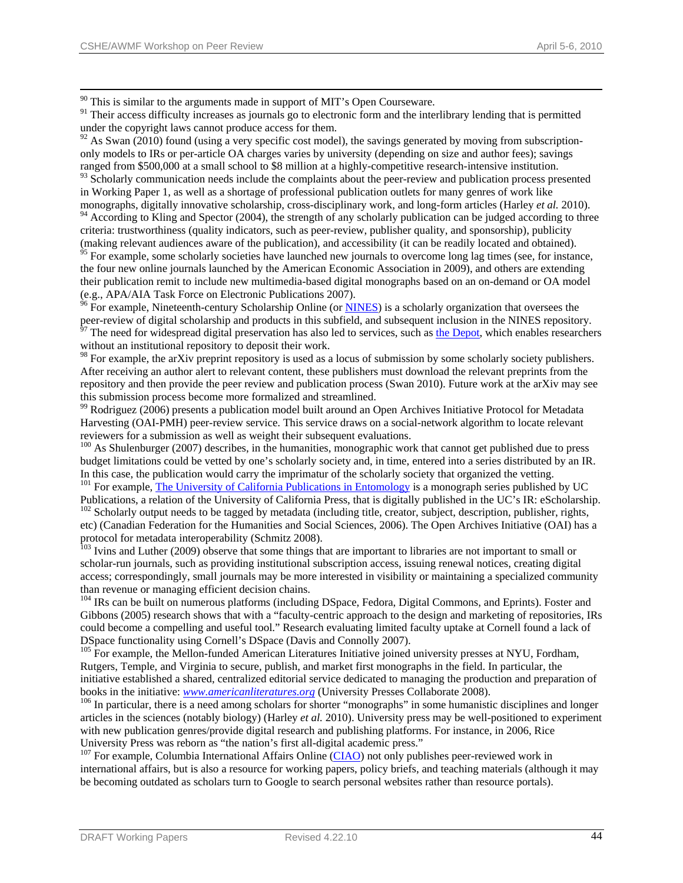$90$  This is similar to the arguments made in support of MIT's Open Courseware.

<sup>91</sup> Their access difficulty increases as journals go to electronic form and the interlibrary lending that is permitted under the copyright laws cannot produce access for them.

 $92$  As Swan (2010) found (using a very specific cost model), the savings generated by moving from subscriptiononly models to IRs or per-article OA charges varies by university (depending on size and author fees); savings ranged from \$500,000 at a small school to \$8 million at a highly-competitive research-intensive institution.

<sup>93</sup> Scholarly communication needs include the complaints about the peer-review and publication process presented in Working Paper 1, as well as a shortage of professional publication outlets for many genres of work like monographs, digitally innovative scholarship, cross-disciplinary work, and long-form articles (Harley *et al.* 2010). <sup>94</sup> According to Kling and Spector (2004), the strength of any scholarly publication can be judged according to three criteria: trustworthiness (quality indicators, such as peer-review, publisher quality, and sponsorship), publicity

<span id="page-44-0"></span>(making relevant audiences aware of the publication), and accessibility (it can be readily located and obtained). <sup>95</sup> For example, some scholarly societies have launched new journals to overcome long lag times (see, for instance, the four new online journals launched by the American Economic Association in 2009), and others are extending their publication remit to include new multimedia-based digital monographs based on an on-demand or OA model (e.g., APA/AIA Task Force on Electronic Publications 2007).<br><sup>96</sup> For example, Nineteenth-century Scholarship Online (or <u>[NINES](http://www.nines.org/)</u>) is a scholarly organization that oversees the

peer-review of digital scholarship and products in this subfield, and subsequent inclusion in the NINES repository.  $97$  The need for widespread digital preservation has also led to services, such as [the Depot](http://depot.edina.ac.uk/), which enables researchers without an institutional repository to deposit their work.

<sup>98</sup> For example, the arXiv preprint repository is used as a locus of submission by some scholarly society publishers. After receiving an author alert to relevant content, these publishers must download the relevant preprints from the repository and then provide the peer review and publication process (Swan 2010). Future work at the arXiv may see this submission process become more formalized and streamlined.

99 Rodriguez (2006) presents a publication model built around an Open Archives Initiative Protocol for Metadata Harvesting (OAI-PMH) peer-review service. This service draws on a social-network algorithm to locate relevant reviewers for a submission as well as weight their subsequent evaluations.

<sup>100</sup> As Shulenburger (2007) describes, in the humanities, monographic work that cannot get published due to press budget limitations could be vetted by one's scholarly society and, in time, entered into a series distributed by an IR. In this case, the publication would carry the imprimatur of the scholarly society that organized the vetting.<br><sup>101</sup> For example, <u>The University of California Publications in Entomology</u> is a monograph series published by

<sup>102</sup> Scholarly output needs to be tagged by metadata (including title, creator, subject, description, publisher, rights,

etc) (Canadian Federation for the Humanities and Social Sciences, 2006). The Open Archives Initiative (OAI) has a protocol for metadata interoperability (Schmitz 2008).

<sup>103</sup> Ivins and Luther (2009) observe that some things that are important to libraries are not important to small or scholar-run journals, such as providing institutional subscription access, issuing renewal notices, creating digital access; correspondingly, small journals may be more interested in visibility or maintaining a specialized community than revenue or managing efficient decision chains.<br><sup>104</sup> IRs can be built on numerous platforms (including DSpace, Fedora, Digital Commons, and Eprints). Foster and

Gibbons (2005) research shows that with a "faculty-centric approach to the design and marketing of repositories, IRs could become a compelling and useful tool." Research evaluating limited faculty uptake at Cornell found a lack of DSpace functionality using Cornell's DSpace (Davis and Connolly 2007).

<sup>105</sup> For example, the Mellon-funded American Literatures Initiative joined university presses at NYU, Fordham, Rutgers, Temple, and Virginia to secure, publish, and market first monographs in the field. In particular, the initiative established a shared, centralized editorial service dedicated to managing the production and preparation of books in the initiative: *www.americanliteratures.org* (University Presses Collaborate 2008).<br><sup>106</sup> In particular, there is a need among scholars for shorter "monographs" in some humanistic disciplines and longer

articles in the sciences (notably biology) (Harley *et al.* 2010). University press may be well-positioned to experiment with new publication genres/provide digital research and publishing platforms. For instance, in 2006, Rice University Press was reborn as "the nation's first all-dig[ital aca](http://www.ciaonet.org/)demic press."<br><sup>107</sup> For example, Columbia International Affairs Online ([CIAO](http://www.ciaonet.org/)) not only publishes peer-reviewed work in

international affairs, but is also a resource for working papers, policy briefs, and teaching materials (although it may be becoming outdated as scholars turn to Google to search personal websites rather than resource portals).